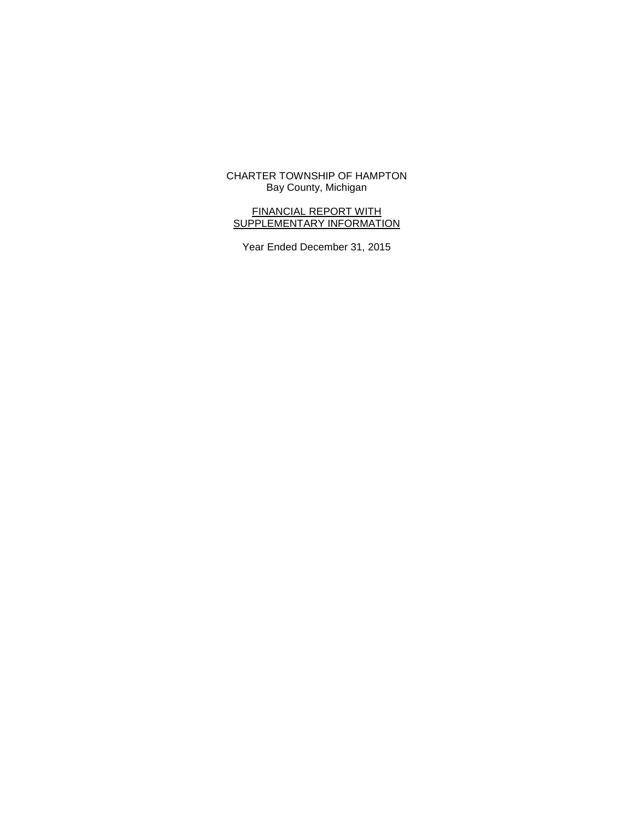#### FINANCIAL REPORT WITH SUPPLEMENTARY INFORMATION

Year Ended December 31, 2015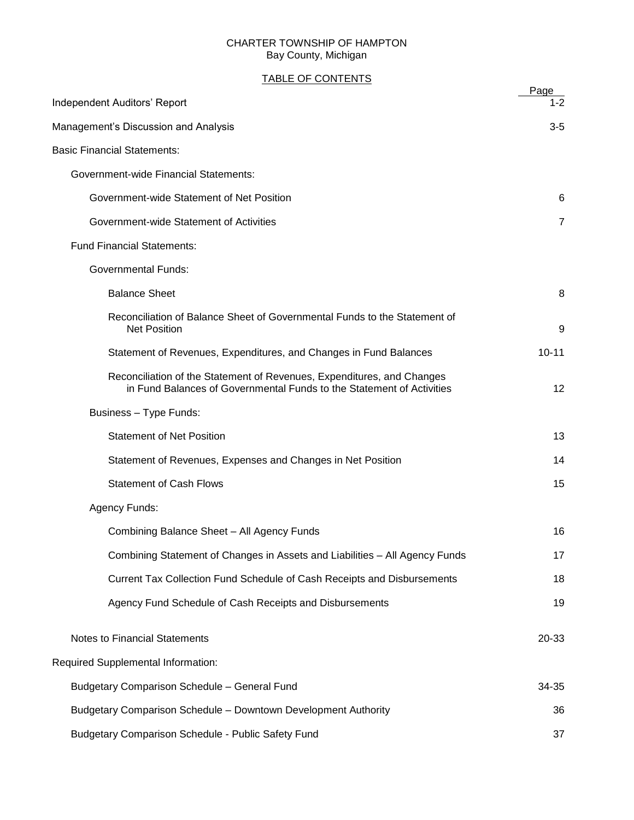# TABLE OF CONTENTS

|                                                                                                                                                 | Page           |
|-------------------------------------------------------------------------------------------------------------------------------------------------|----------------|
| Independent Auditors' Report                                                                                                                    | $1 - 2$        |
| Management's Discussion and Analysis                                                                                                            | $3-5$          |
| <b>Basic Financial Statements:</b>                                                                                                              |                |
| <b>Government-wide Financial Statements:</b>                                                                                                    |                |
| Government-wide Statement of Net Position                                                                                                       | 6              |
| Government-wide Statement of Activities                                                                                                         | $\overline{7}$ |
| <b>Fund Financial Statements:</b>                                                                                                               |                |
| <b>Governmental Funds:</b>                                                                                                                      |                |
| <b>Balance Sheet</b>                                                                                                                            | 8              |
| Reconciliation of Balance Sheet of Governmental Funds to the Statement of<br><b>Net Position</b>                                                | 9              |
| Statement of Revenues, Expenditures, and Changes in Fund Balances                                                                               | $10 - 11$      |
| Reconciliation of the Statement of Revenues, Expenditures, and Changes<br>in Fund Balances of Governmental Funds to the Statement of Activities | 12             |
| Business - Type Funds:                                                                                                                          |                |
| <b>Statement of Net Position</b>                                                                                                                | 13             |
| Statement of Revenues, Expenses and Changes in Net Position                                                                                     | 14             |
| <b>Statement of Cash Flows</b>                                                                                                                  | 15             |
| Agency Funds:                                                                                                                                   |                |
| Combining Balance Sheet - All Agency Funds                                                                                                      | 16             |
| Combining Statement of Changes in Assets and Liabilities - All Agency Funds                                                                     | 17             |
| Current Tax Collection Fund Schedule of Cash Receipts and Disbursements                                                                         | 18             |
| Agency Fund Schedule of Cash Receipts and Disbursements                                                                                         | 19             |
| <b>Notes to Financial Statements</b>                                                                                                            | 20-33          |
| Required Supplemental Information:                                                                                                              |                |
| Budgetary Comparison Schedule - General Fund                                                                                                    | 34-35          |
| Budgetary Comparison Schedule - Downtown Development Authority                                                                                  | 36             |
| Budgetary Comparison Schedule - Public Safety Fund                                                                                              | 37             |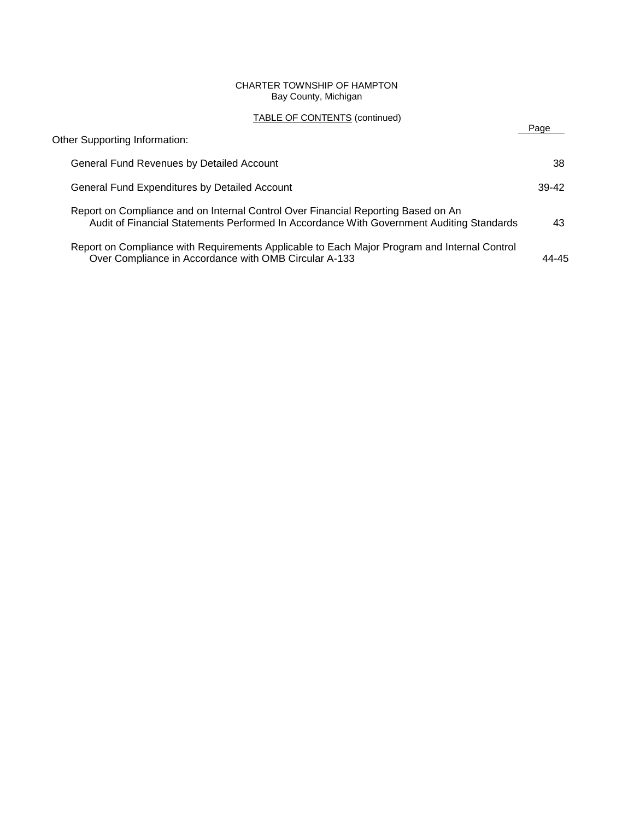# TABLE OF CONTENTS (continued)

|                                                                                                                                                                               | Page  |
|-------------------------------------------------------------------------------------------------------------------------------------------------------------------------------|-------|
| Other Supporting Information:                                                                                                                                                 |       |
| General Fund Revenues by Detailed Account                                                                                                                                     | 38    |
| General Fund Expenditures by Detailed Account                                                                                                                                 | 39-42 |
| Report on Compliance and on Internal Control Over Financial Reporting Based on An<br>Audit of Financial Statements Performed In Accordance With Government Auditing Standards | 43    |
| Report on Compliance with Requirements Applicable to Each Major Program and Internal Control<br>Over Compliance in Accordance with OMB Circular A-133                         | 44-45 |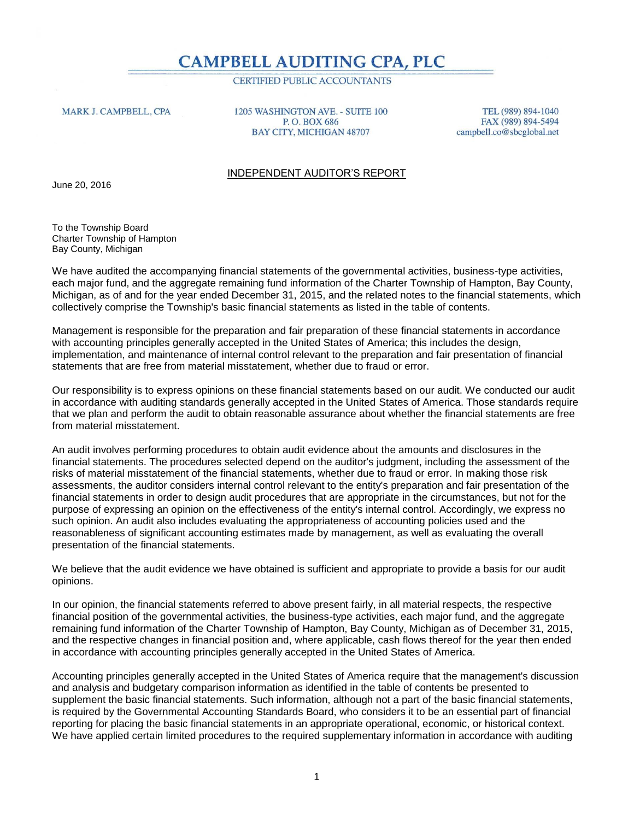# **CAMPBELL AUDITING CPA, PLC**

CERTIFIED PUBLIC ACCOUNTANTS

MARK J. CAMPBELL, CPA

1205 WASHINGTON AVE. - SUITE 100 P.O. BOX 686 BAY CITY, MICHIGAN 48707

TEL (989) 894-1040 FAX (989) 894-5494 campbell.co@sbcglobal.net

#### INDEPENDENT AUDITOR'S REPORT

To the Township Board Charter Township of Hampton Bay County, Michigan

June 20, 2016

We have audited the accompanying financial statements of the governmental activities, business-type activities, each major fund, and the aggregate remaining fund information of the Charter Township of Hampton, Bay County, Michigan, as of and for the year ended December 31, 2015, and the related notes to the financial statements, which collectively comprise the Township's basic financial statements as listed in the table of contents.

Management is responsible for the preparation and fair preparation of these financial statements in accordance with accounting principles generally accepted in the United States of America; this includes the design, implementation, and maintenance of internal control relevant to the preparation and fair presentation of financial statements that are free from material misstatement, whether due to fraud or error.

Our responsibility is to express opinions on these financial statements based on our audit. We conducted our audit in accordance with auditing standards generally accepted in the United States of America. Those standards require that we plan and perform the audit to obtain reasonable assurance about whether the financial statements are free from material misstatement.

An audit involves performing procedures to obtain audit evidence about the amounts and disclosures in the financial statements. The procedures selected depend on the auditor's judgment, including the assessment of the risks of material misstatement of the financial statements, whether due to fraud or error. In making those risk assessments, the auditor considers internal control relevant to the entity's preparation and fair presentation of the financial statements in order to design audit procedures that are appropriate in the circumstances, but not for the purpose of expressing an opinion on the effectiveness of the entity's internal control. Accordingly, we express no such opinion. An audit also includes evaluating the appropriateness of accounting policies used and the reasonableness of significant accounting estimates made by management, as well as evaluating the overall presentation of the financial statements.

We believe that the audit evidence we have obtained is sufficient and appropriate to provide a basis for our audit opinions.

In our opinion, the financial statements referred to above present fairly, in all material respects, the respective financial position of the governmental activities, the business-type activities, each major fund, and the aggregate remaining fund information of the Charter Township of Hampton, Bay County, Michigan as of December 31, 2015, and the respective changes in financial position and, where applicable, cash flows thereof for the year then ended in accordance with accounting principles generally accepted in the United States of America.

Accounting principles generally accepted in the United States of America require that the management's discussion and analysis and budgetary comparison information as identified in the table of contents be presented to supplement the basic financial statements. Such information, although not a part of the basic financial statements, is required by the Governmental Accounting Standards Board, who considers it to be an essential part of financial reporting for placing the basic financial statements in an appropriate operational, economic, or historical context. We have applied certain limited procedures to the required supplementary information in accordance with auditing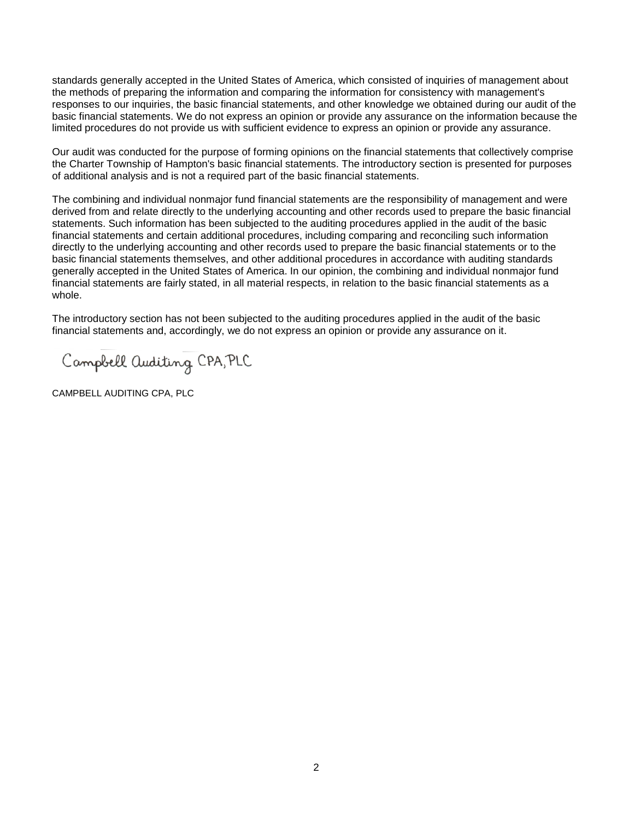standards generally accepted in the United States of America, which consisted of inquiries of management about the methods of preparing the information and comparing the information for consistency with management's responses to our inquiries, the basic financial statements, and other knowledge we obtained during our audit of the basic financial statements. We do not express an opinion or provide any assurance on the information because the limited procedures do not provide us with sufficient evidence to express an opinion or provide any assurance.

Our audit was conducted for the purpose of forming opinions on the financial statements that collectively comprise the Charter Township of Hampton's basic financial statements. The introductory section is presented for purposes of additional analysis and is not a required part of the basic financial statements.

The combining and individual nonmajor fund financial statements are the responsibility of management and were derived from and relate directly to the underlying accounting and other records used to prepare the basic financial statements. Such information has been subjected to the auditing procedures applied in the audit of the basic financial statements and certain additional procedures, including comparing and reconciling such information directly to the underlying accounting and other records used to prepare the basic financial statements or to the basic financial statements themselves, and other additional procedures in accordance with auditing standards generally accepted in the United States of America. In our opinion, the combining and individual nonmajor fund financial statements are fairly stated, in all material respects, in relation to the basic financial statements as a whole.

The introductory section has not been subjected to the auditing procedures applied in the audit of the basic financial statements and, accordingly, we do not express an opinion or provide any assurance on it.

Campbell auditing CPA, PLC

CAMPBELL AUDITING CPA, PLC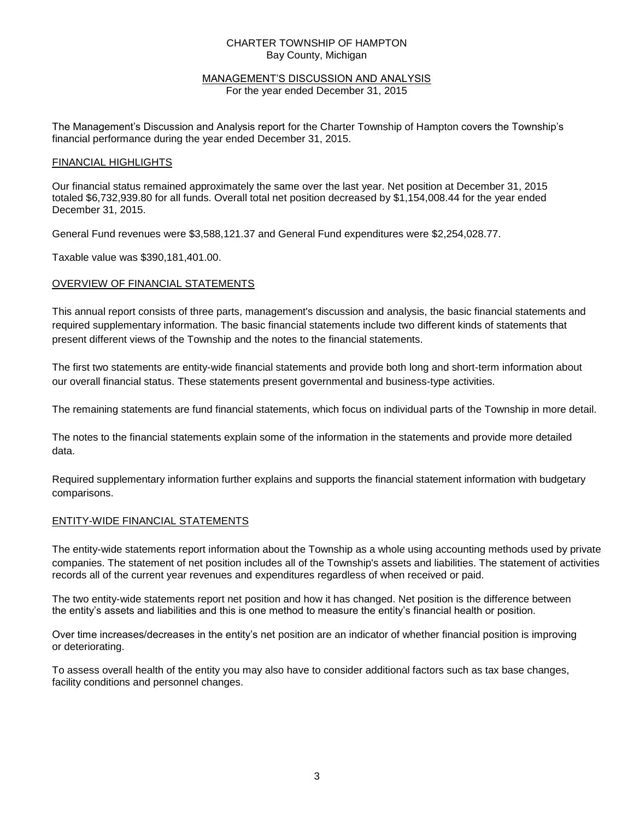# MANAGEMENT'S DISCUSSION AND ANALYSIS

For the year ended December 31, 2015

The Management's Discussion and Analysis report for the Charter Township of Hampton covers the Township's financial performance during the year ended December 31, 2015.

## FINANCIAL HIGHLIGHTS

Our financial status remained approximately the same over the last year. Net position at December 31, 2015 totaled \$6,732,939.80 for all funds. Overall total net position decreased by \$1,154,008.44 for the year ended December 31, 2015.

General Fund revenues were \$3,588,121.37 and General Fund expenditures were \$2,254,028.77.

Taxable value was \$390,181,401.00.

# OVERVIEW OF FINANCIAL STATEMENTS

This annual report consists of three parts, management's discussion and analysis, the basic financial statements and required supplementary information. The basic financial statements include two different kinds of statements that present different views of the Township and the notes to the financial statements.

The first two statements are entity-wide financial statements and provide both long and short-term information about our overall financial status. These statements present governmental and business-type activities.

The remaining statements are fund financial statements, which focus on individual parts of the Township in more detail.

The notes to the financial statements explain some of the information in the statements and provide more detailed data.

Required supplementary information further explains and supports the financial statement information with budgetary comparisons.

### ENTITY-WIDE FINANCIAL STATEMENTS

The entity-wide statements report information about the Township as a whole using accounting methods used by private companies. The statement of net position includes all of the Township's assets and liabilities. The statement of activities records all of the current year revenues and expenditures regardless of when received or paid.

The two entity-wide statements report net position and how it has changed. Net position is the difference between the entity's assets and liabilities and this is one method to measure the entity's financial health or position.

Over time increases/decreases in the entity's net position are an indicator of whether financial position is improving or deteriorating.

To assess overall health of the entity you may also have to consider additional factors such as tax base changes, facility conditions and personnel changes.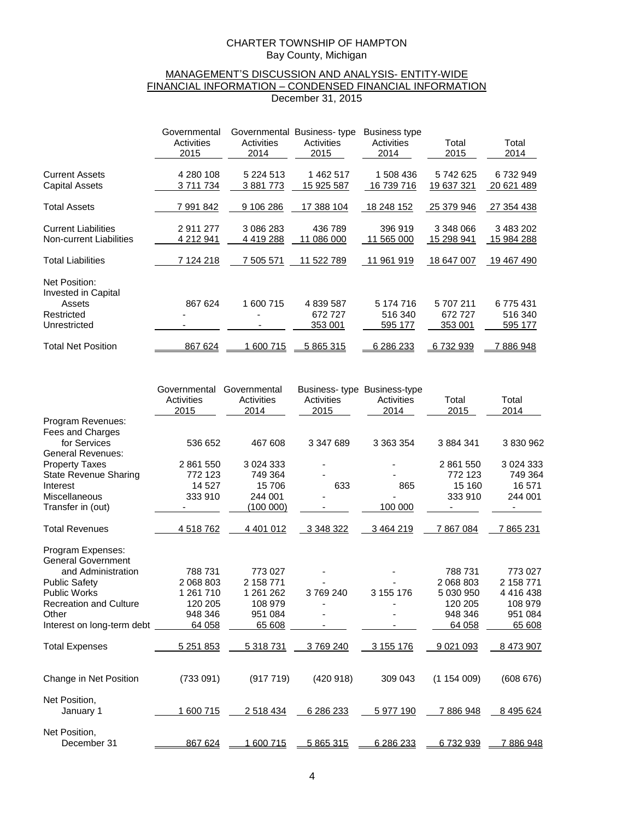# CHARTER TOWNSHIP OF HAMPTON

# Bay County, Michigan

# MANAGEMENT'S DISCUSSION AND ANALYSIS- ENTITY-WIDE FINANCIAL INFORMATION – CONDENSED FINANCIAL INFORMATION December 31, 2015

|                                      | Governmental<br>Activities<br>2015 | Governmental<br>Activities<br>2014 | Business-type<br>Activities<br>2015 | <b>Business type</b><br>Activities<br>2014 | Total<br>2015 | Total<br>2014 |
|--------------------------------------|------------------------------------|------------------------------------|-------------------------------------|--------------------------------------------|---------------|---------------|
| <b>Current Assets</b>                | 4 280 108                          | 5 2 2 4 5 1 3                      | 1 462 517                           | 1 508 436                                  | 5742625       | 6732949       |
| Capital Assets                       | 3 711 734                          | 3881773                            | 15 925 587                          | 16 739 716                                 | 19 637 321    | 20 621 489    |
| <b>Total Assets</b>                  | 7991842                            | 9 106 286                          | 17 388 104                          | 18 248 152                                 | 25 379 946    | 27 354 438    |
| <b>Current Liabilities</b>           | 2 911 277                          | 3 086 283                          | 436 789                             | 396 919                                    | 3 348 066     | 3 483 202     |
| Non-current Liabilities              | 4 212 941                          | 4 419 288                          | 086 000<br>11                       | 565 000<br>11                              | 15 298 941    | 15 984 288    |
| <b>Total Liabilities</b>             | 7 124 218                          | 7 505 571                          | 522789<br>11                        | 11 961 919                                 | 18 647 007    | 19 467 490    |
| Net Position:<br>Invested in Capital |                                    |                                    |                                     |                                            |               |               |
| Assets                               | 867 624                            | 1 600 715                          | 4 839 587                           | 5 174 716                                  | 5707211       | 6775431       |
| Restricted                           |                                    |                                    | 672727                              | 516 340                                    | 672 727       | 516 340       |
| Unrestricted                         |                                    |                                    | 353 001                             | 595 177                                    | 353 001       | 595 177       |
| <b>Total Net Position</b>            | 867 624                            | 600 715                            | 5 865 315                           | 6 286 233                                  | 6 732 939     | 7 886 948     |

|                               | Governmental | Governmental |            | Business-type Business-type |             |               |
|-------------------------------|--------------|--------------|------------|-----------------------------|-------------|---------------|
|                               | Activities   | Activities   | Activities | Activities                  | Total       | Total         |
|                               | 2015         | 2014         | 2015       | 2014                        | 2015        | 2014          |
| Program Revenues:             |              |              |            |                             |             |               |
| Fees and Charges              |              |              |            |                             |             |               |
| for Services                  | 536 652      | 467 608      | 3 347 689  | 3 363 354                   | 3884341     | 3830962       |
| <b>General Revenues:</b>      |              |              |            |                             |             |               |
| <b>Property Taxes</b>         | 2861550      | 3 0 24 3 33  |            |                             | 2861550     | 3 0 24 3 33   |
| <b>State Revenue Sharing</b>  | 772 123      | 749 364      |            |                             | 772 123     | 749 364       |
| Interest                      | 14 5 27      | 15 706       | 633        | 865                         | 15 160      | 16 571        |
| Miscellaneous                 | 333 910      | 244 001      |            |                             | 333 910     | 244 001       |
| Transfer in (out)             |              | (100 000)    |            | 100 000                     |             |               |
| <b>Total Revenues</b>         | 4 518 762    | 4 401 012    | 3 348 322  | 3 464 219                   | 7 867 084   | 7865231       |
| Program Expenses:             |              |              |            |                             |             |               |
| <b>General Government</b>     |              |              |            |                             |             |               |
| and Administration            | 788 731      | 773 027      |            |                             | 788 731     | 773 027       |
| <b>Public Safety</b>          | 2 068 803    | 2 158 771    |            |                             | 2 068 803   | 2 158 771     |
| <b>Public Works</b>           | 1 261 710    | 1 261 262    | 3769240    | 3 155 176                   | 5 030 950   | 4 4 1 6 4 3 8 |
| <b>Recreation and Culture</b> | 120 205      | 108 979      |            |                             | 120 205     | 108 979       |
| Other                         | 948 346      | 951 084      |            |                             | 948 346     | 951 084       |
| Interest on long-term debt    | 64 058       | 65 608       |            |                             | 64 058      | 65 608        |
| <b>Total Expenses</b>         | 5 251 853    | 5 318 731    | 3769240    | 3 155 176                   | 9 0 21 0 93 | 8 473 907     |
| Change in Net Position        | (733091)     | (917719)     | (420918)   | 309 043                     | (1154009)   | (608 676)     |
| Net Position,                 |              |              |            |                             |             |               |
| January 1                     | 1 600 715    | 2 518 434    | 6 286 233  | 5 977 190                   | 7886948     | 8 495 624     |
| Net Position,                 |              |              |            |                             |             |               |
| December 31                   | 867 624      | 1 600 715    | 5 865 315  | 6 286 233                   | 6732939     | 7886948       |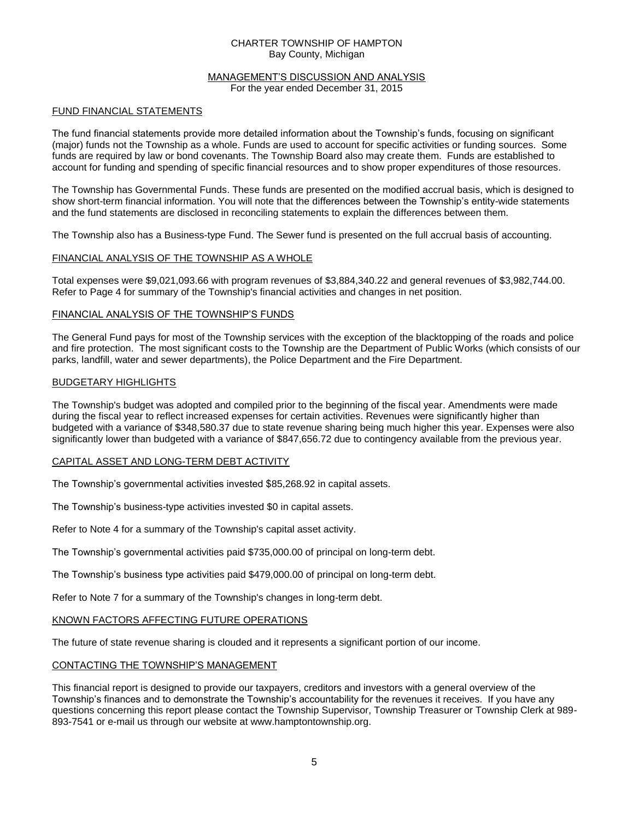### MANAGEMENT'S DISCUSSION AND ANALYSIS

For the year ended December 31, 2015

#### FUND FINANCIAL STATEMENTS

The fund financial statements provide more detailed information about the Township's funds, focusing on significant (major) funds not the Township as a whole. Funds are used to account for specific activities or funding sources. Some funds are required by law or bond covenants. The Township Board also may create them. Funds are established to account for funding and spending of specific financial resources and to show proper expenditures of those resources.

The Township has Governmental Funds. These funds are presented on the modified accrual basis, which is designed to show short-term financial information. You will note that the differences between the Township's entity-wide statements and the fund statements are disclosed in reconciling statements to explain the differences between them.

The Township also has a Business-type Fund. The Sewer fund is presented on the full accrual basis of accounting.

## FINANCIAL ANALYSIS OF THE TOWNSHIP AS A WHOLE

Total expenses were \$9,021,093.66 with program revenues of \$3,884,340.22 and general revenues of \$3,982,744.00. Refer to Page 4 for summary of the Township's financial activities and changes in net position.

#### FINANCIAL ANALYSIS OF THE TOWNSHIP'S FUNDS

The General Fund pays for most of the Township services with the exception of the blacktopping of the roads and police and fire protection. The most significant costs to the Township are the Department of Public Works (which consists of our parks, landfill, water and sewer departments), the Police Department and the Fire Department.

#### BUDGETARY HIGHLIGHTS

The Township's budget was adopted and compiled prior to the beginning of the fiscal year. Amendments were made during the fiscal year to reflect increased expenses for certain activities. Revenues were significantly higher than budgeted with a variance of \$348,580.37 due to state revenue sharing being much higher this year. Expenses were also significantly lower than budgeted with a variance of \$847,656.72 due to contingency available from the previous year.

### CAPITAL ASSET AND LONG-TERM DEBT ACTIVITY

The Township's governmental activities invested \$85,268.92 in capital assets.

The Township's business-type activities invested \$0 in capital assets.

Refer to Note 4 for a summary of the Township's capital asset activity.

The Township's governmental activities paid \$735,000.00 of principal on long-term debt.

The Township's business type activities paid \$479,000.00 of principal on long-term debt.

Refer to Note 7 for a summary of the Township's changes in long-term debt.

### KNOWN FACTORS AFFECTING FUTURE OPERATIONS

The future of state revenue sharing is clouded and it represents a significant portion of our income.

### CONTACTING THE TOWNSHIP'S MANAGEMENT

This financial report is designed to provide our taxpayers, creditors and investors with a general overview of the Township's finances and to demonstrate the Township's accountability for the revenues it receives. If you have any questions concerning this report please contact the Township Supervisor, Township Treasurer or Township Clerk at 989- 893-7541 or e-mail us through our website at www.hamptontownship.org.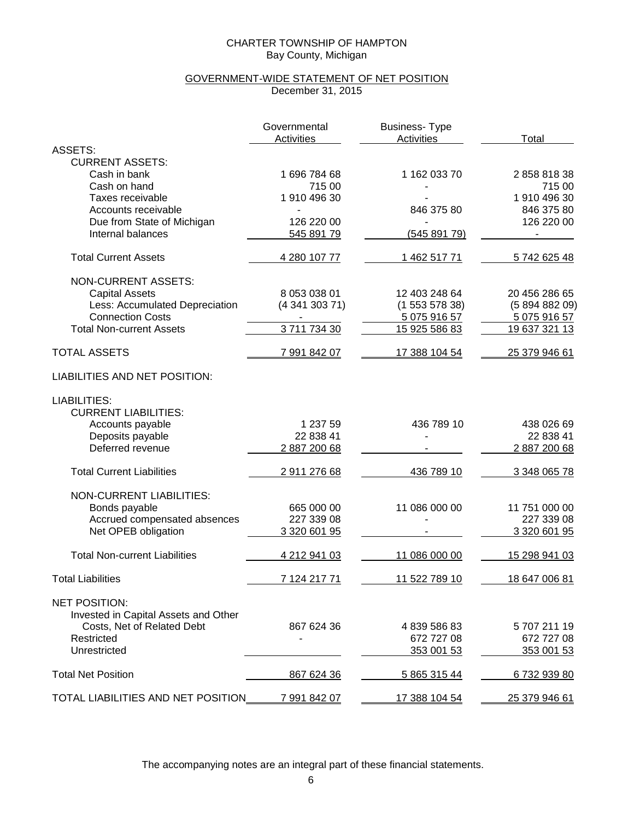# GOVERNMENT-WIDE STATEMENT OF NET POSITION

December 31, 2015

|                                      | Governmental<br>Activities | <b>Business-Type</b><br>Activities | Total         |
|--------------------------------------|----------------------------|------------------------------------|---------------|
| <b>ASSETS:</b>                       |                            |                                    |               |
| <b>CURRENT ASSETS:</b>               |                            |                                    |               |
| Cash in bank                         | 169678468                  | 1 162 033 70                       | 285881838     |
| Cash on hand                         | 715 00                     |                                    | 715 00        |
| Taxes receivable                     | 1910 496 30                |                                    | 1 910 496 30  |
| Accounts receivable                  |                            | 846 375 80                         | 846 375 80    |
| Due from State of Michigan           | 126 220 00                 |                                    | 126 220 00    |
| Internal balances                    | 545 891 79                 | (54589179)                         |               |
| <b>Total Current Assets</b>          | 4 280 107 77               | 1 462 517 71                       | 574262548     |
| <b>NON-CURRENT ASSETS:</b>           |                            |                                    |               |
| <b>Capital Assets</b>                | 8 053 038 01               | 12 403 248 64                      | 20 456 286 65 |
| Less: Accumulated Depreciation       | (434130371)                | (155357838)                        | (589488209)   |
| <b>Connection Costs</b>              |                            | 5 075 916 57                       | 5 075 916 57  |
| <b>Total Non-current Assets</b>      | 371173430                  | 15 925 586 83                      | 19 637 321 13 |
| <b>TOTAL ASSETS</b>                  | 799184207                  | 17 388 104 54                      | 25 379 946 61 |
| LIABILITIES AND NET POSITION:        |                            |                                    |               |
| <b>LIABILITIES:</b>                  |                            |                                    |               |
| <b>CURRENT LIABILITIES:</b>          |                            |                                    |               |
| Accounts payable                     | 1 237 59                   | 436 789 10                         | 438 026 69    |
| Deposits payable                     | 22 838 41                  |                                    | 22 838 41     |
| Deferred revenue                     | 288720068                  |                                    | 2887 200 68   |
| <b>Total Current Liabilities</b>     | 2 911 276 68               | 436 789 10                         | 3 348 065 78  |
| <b>NON-CURRENT LIABILITIES:</b>      |                            |                                    |               |
| Bonds payable                        | 665 000 00                 | 11 086 000 00                      | 11 751 000 00 |
| Accrued compensated absences         | 227 339 08                 |                                    | 227 339 08    |
| Net OPEB obligation                  | 3 320 601 95               |                                    | 3 320 601 95  |
| <b>Total Non-current Liabilities</b> | 4 212 941 03               | 11 086 000 00                      | 15 298 941 03 |
| <b>Total Liabilities</b>             | 7 124 217 71               | 11 522 789 10                      | 18 647 006 81 |
| <b>NET POSITION:</b>                 |                            |                                    |               |
| Invested in Capital Assets and Other |                            |                                    |               |
| Costs, Net of Related Debt           | 867 624 36                 | 483958683                          | 570721119     |
| Restricted                           |                            | 672 727 08                         | 672 727 08    |
| Unrestricted                         |                            | 353 001 53                         | 353 001 53    |
| <b>Total Net Position</b>            | 867 624 36                 | 5 865 315 44                       | 673293980     |
| TOTAL LIABILITIES AND NET POSITION   | 799184207                  | 17 388 104 54                      | 25 379 946 61 |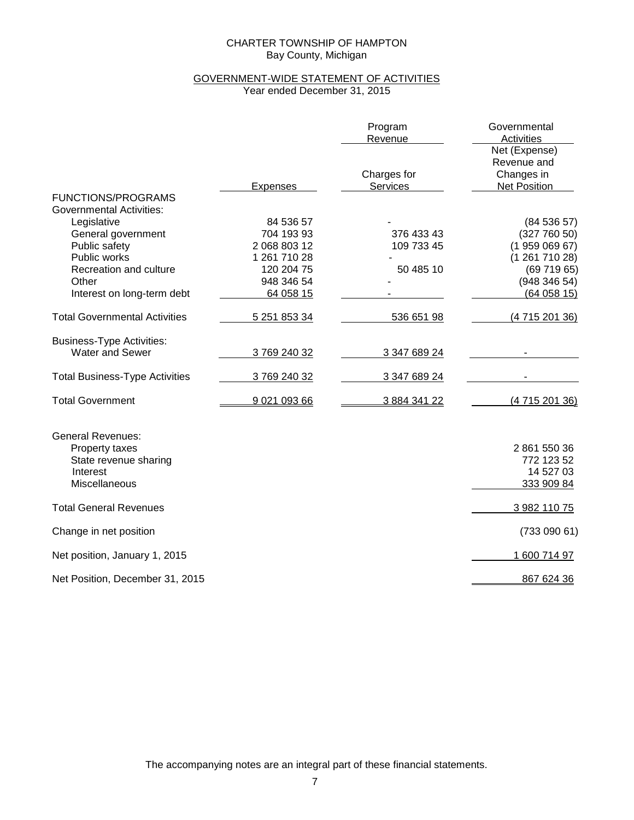# GOVERNMENT-WIDE STATEMENT OF ACTIVITIES

Year ended December 31, 2015

|                                                                                                  |                 | Program<br>Revenue             | Governmental<br><b>Activities</b>                                 |
|--------------------------------------------------------------------------------------------------|-----------------|--------------------------------|-------------------------------------------------------------------|
|                                                                                                  | <b>Expenses</b> | Charges for<br><b>Services</b> | Net (Expense)<br>Revenue and<br>Changes in<br><b>Net Position</b> |
| <b>FUNCTIONS/PROGRAMS</b>                                                                        |                 |                                |                                                                   |
| <b>Governmental Activities:</b><br>Legislative                                                   | 84 536 57       |                                | (8453657)                                                         |
| General government                                                                               | 704 193 93      | 376 433 43                     | (327 760 50)                                                      |
| Public safety                                                                                    | 2 068 803 12    | 109 733 45                     | (195906967)                                                       |
| Public works                                                                                     | 1 261 710 28    |                                | (126171028)                                                       |
| Recreation and culture                                                                           | 120 204 75      | 50 485 10                      | (6971965)                                                         |
| Other                                                                                            | 948 346 54      |                                | (94834654)                                                        |
| Interest on long-term debt                                                                       | 64 058 15       |                                | (6405815)                                                         |
| <b>Total Governmental Activities</b>                                                             | 5 251 853 34    | 536 651 98                     | (471520136)                                                       |
| <b>Business-Type Activities:</b>                                                                 |                 |                                |                                                                   |
| Water and Sewer                                                                                  | 376924032       | 3 347 689 24                   |                                                                   |
| <b>Total Business-Type Activities</b>                                                            | 376924032       | 3 347 689 24                   |                                                                   |
| <b>Total Government</b>                                                                          | 9 021 093 66    | 3 884 341 22                   | (4715 201 36)                                                     |
| <b>General Revenues:</b><br>Property taxes<br>State revenue sharing<br>Interest<br>Miscellaneous |                 |                                | 2 861 550 36<br>772 123 52<br>14 527 03<br>333 909 84             |
| <b>Total General Revenues</b>                                                                    |                 |                                | 3 982 110 75                                                      |
| Change in net position                                                                           |                 |                                | (733 090 61)                                                      |
| Net position, January 1, 2015                                                                    |                 |                                | 1 600 714 97                                                      |
| Net Position, December 31, 2015                                                                  |                 |                                | 867 624 36                                                        |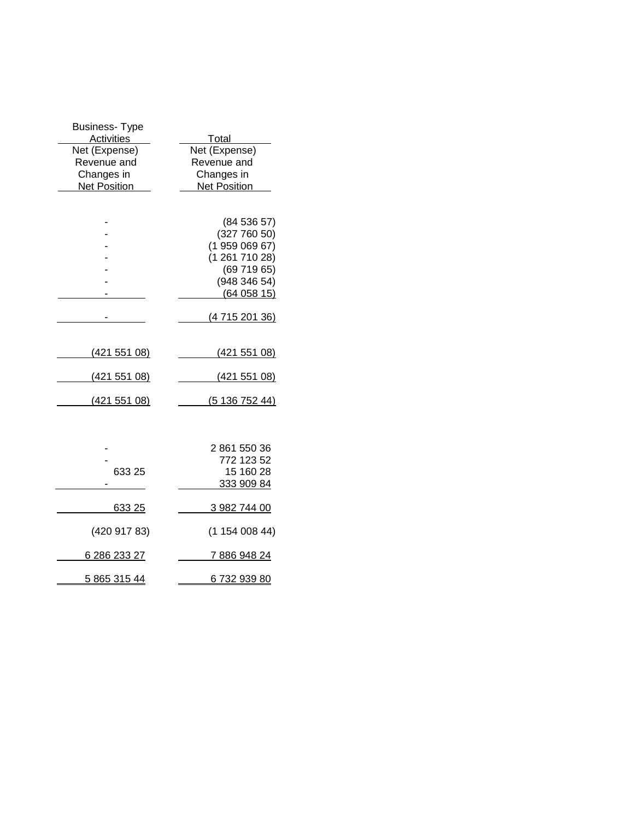| <b>Business-Type</b> |                     |
|----------------------|---------------------|
| Activities           | Total               |
| Net (Expense)        | Net (Expense)       |
| Revenue and          | Revenue and         |
| Changes in           | Changes in          |
| <b>Net Position</b>  | <b>Net Position</b> |
|                      |                     |
|                      |                     |
|                      | (8453657)           |
|                      | (327 760 50)        |
|                      | (195906967)         |
|                      | (126171028)         |
|                      | (6971965)           |
|                      | (94834654)          |
|                      | (6405815)           |
|                      |                     |
| -                    | (4 715 201 36)      |
|                      |                     |
|                      |                     |
| (421 551 08)         | (421 551 08)        |
|                      |                     |
| (421 551 08)         | (421 551 08)        |
|                      |                     |
| (421 551 08)         | (513675244)         |
|                      |                     |
|                      |                     |
|                      |                     |
|                      | 2 861 550 36        |
|                      | 772 123 52          |
| 633 25               | 15 160 28           |
|                      | 333 909 84          |
|                      |                     |
| 633 25               | 3 982 744 00        |
|                      |                     |
| (42091783)           | (115400844)         |
|                      |                     |
| 6 286 233 27         | 788694824           |
|                      |                     |
| 5 865 315 44         | 673293980           |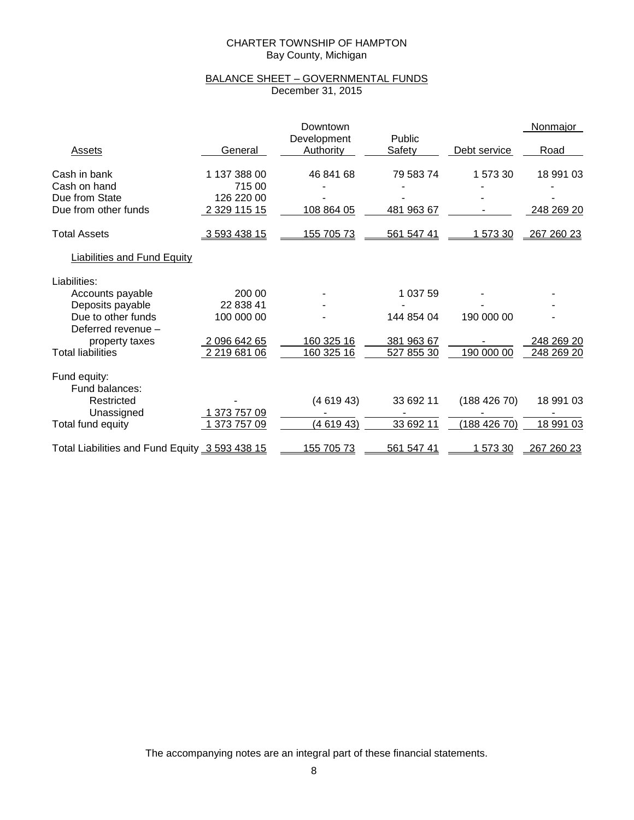# BALANCE SHEET – GOVERNMENTAL FUNDS December 31, 2015

|                                                |              | Downtown    |             |              | Nonmajor   |
|------------------------------------------------|--------------|-------------|-------------|--------------|------------|
|                                                |              | Development | Public      |              |            |
| Assets                                         | General      | Authority   | Safety      | Debt service | Road       |
| Cash in bank                                   | 1 137 388 00 | 46 841 68   | 79 583 74   | 1 573 30     | 18 991 03  |
| Cash on hand                                   | 715 00       |             |             |              |            |
| Due from State                                 | 126 220 00   |             |             |              |            |
| Due from other funds                           | 2 329 115 15 | 108 864 05  | 481 963 67  |              | 248 269 20 |
| <b>Total Assets</b>                            | 3 593 438 15 | 155 705 73  | 561 547 41  | 1 573 30     | 267 260 23 |
| Liabilities and Fund Equity                    |              |             |             |              |            |
| Liabilities:                                   |              |             |             |              |            |
| Accounts payable                               | 200 00       |             | 1 0 3 7 5 9 |              |            |
| Deposits payable                               | 22 838 41    |             |             |              |            |
| Due to other funds                             | 100 000 00   |             | 144 854 04  | 190 000 00   |            |
| Deferred revenue -                             |              |             |             |              |            |
| property taxes                                 | 2 096 642 65 | 160 325 16  | 381 963 67  |              | 248 269 20 |
| Total liabilities                              | 2 219 681 06 | 160 325 16  | 527 855 30  | 190 000 00   | 248 269 20 |
| Fund equity:                                   |              |             |             |              |            |
| Fund balances:                                 |              |             |             |              |            |
| Restricted                                     |              | (461943)    | 33 692 11   | (18842670)   | 18 991 03  |
| Unassigned                                     | 373 757 09   |             |             |              |            |
| Total fund equity                              | 373 757 09   | (4 619 43)  | 33 692 11   | (188 426 70) | 18 991 03  |
| Total Liabilities and Fund Equity 3 593 438 15 |              | 155 705 73  | 561 547 41  | 1 573 30     | 267 260 23 |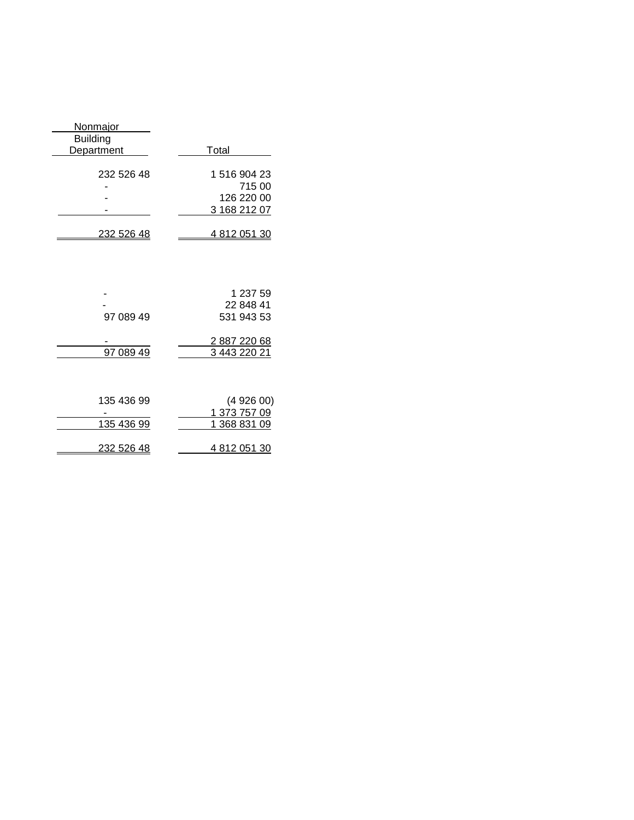| <b>Nonmajor</b> |                     |
|-----------------|---------------------|
| <b>Building</b> |                     |
| Department      | <b>Total</b>        |
|                 |                     |
| 232 526 48      | 151690423           |
|                 | 715 00              |
|                 | 126 220 00          |
|                 |                     |
|                 | 3 168 212 07        |
|                 |                     |
| 232 526 48      | 4 812 051 30        |
|                 |                     |
|                 |                     |
|                 |                     |
|                 |                     |
|                 | 1 237 59            |
|                 | 22 848 41           |
| 97 089 49       | 531 943 53          |
|                 |                     |
|                 | 288722068           |
| 97 089 49       | 3 443 220 21        |
|                 |                     |
|                 |                     |
|                 |                     |
| 135 436 99      | (492600)            |
|                 |                     |
|                 | 1 373 757 09        |
| 135 436 99      | 1 368 831 09        |
|                 |                     |
| 232 526 48      | <u>4 812 051 30</u> |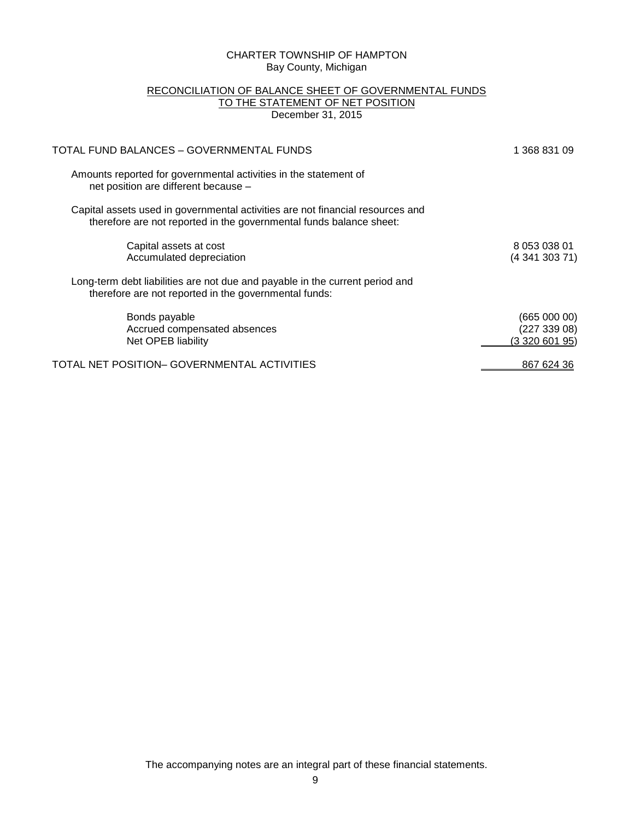#### RECONCILIATION OF BALANCE SHEET OF GOVERNMENTAL FUNDS TO THE STATEMENT OF NET POSITION December 31, 2015

| TOTAL FUND BALANCES - GOVERNMENTAL FUNDS                                                                                                              | 1 368 831 09                |
|-------------------------------------------------------------------------------------------------------------------------------------------------------|-----------------------------|
| Amounts reported for governmental activities in the statement of<br>net position are different because -                                              |                             |
| Capital assets used in governmental activities are not financial resources and<br>therefore are not reported in the governmental funds balance sheet: |                             |
| Capital assets at cost<br>Accumulated depreciation                                                                                                    | 8 053 038 01<br>(434130371) |
| Long-term debt liabilities are not due and payable in the current period and<br>therefore are not reported in the governmental funds:                 |                             |
| Bonds payable                                                                                                                                         | (665 000 00)                |
| Accrued compensated absences<br>Net OPEB liability                                                                                                    | (227 339 08)<br>(332060195) |
| TOTAL NET POSITION- GOVERNMENTAL ACTIVITIES                                                                                                           | 867 624 36                  |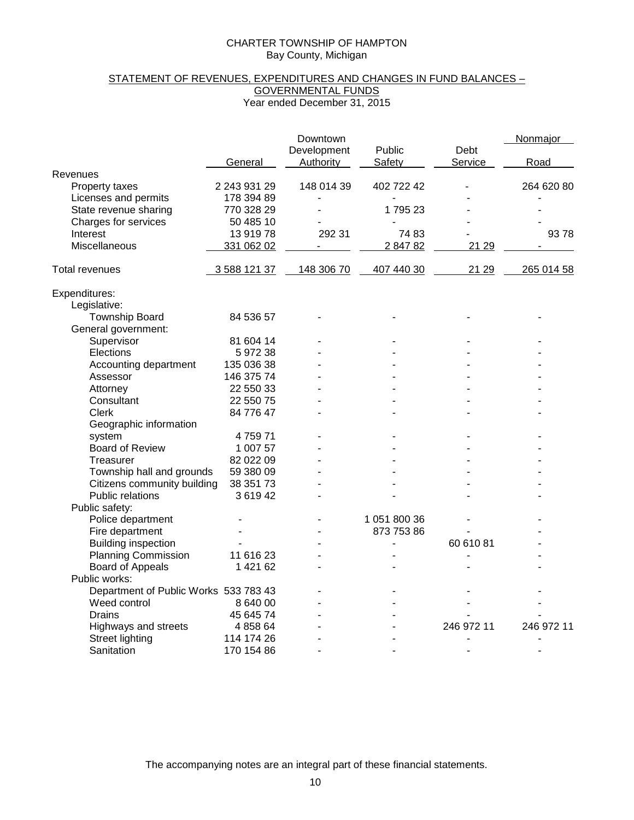# STATEMENT OF REVENUES, EXPENDITURES AND CHANGES IN FUND BALANCES – GOVERNMENTAL FUNDS

| Year ended December 31, 2015 |  |
|------------------------------|--|
|------------------------------|--|

|                                       |              | Downtown    |              |            | Nonmajor   |
|---------------------------------------|--------------|-------------|--------------|------------|------------|
|                                       |              | Development | Public       | Debt       |            |
|                                       | General      | Authority   | Safety       | Service    | Road       |
| Revenues                              |              |             |              |            |            |
| Property taxes                        | 2 243 931 29 | 148 014 39  | 402 722 42   |            | 264 620 80 |
| Licenses and permits                  | 178 394 89   |             |              |            |            |
| State revenue sharing                 | 770 328 29   |             | 179523       |            |            |
| Charges for services                  | 50 485 10    |             |              |            |            |
| Interest                              | 13 919 78    | 292 31      | 7483         |            | 9378       |
| Miscellaneous                         | 331 062 02   |             | 2 847 82     | 21 29      |            |
| Total revenues                        | 3 588 121 37 | 148 306 70  | 407 440 30   | 21 29      | 265 014 58 |
| Expenditures:                         |              |             |              |            |            |
| Legislative:                          |              |             |              |            |            |
| <b>Township Board</b>                 | 84 536 57    |             |              |            |            |
| General government:                   |              |             |              |            |            |
| Supervisor                            | 81 604 14    |             |              |            |            |
| Elections                             | 5 972 38     |             |              |            |            |
| Accounting department                 | 135 036 38   |             |              |            |            |
| Assessor                              | 146 375 74   |             |              |            |            |
| Attorney                              | 22 550 33    |             |              |            |            |
| Consultant                            | 22 550 75    |             |              |            |            |
| Clerk                                 | 84 776 47    |             |              |            |            |
| Geographic information                |              |             |              |            |            |
| system                                | 475971       |             |              |            |            |
| <b>Board of Review</b>                | 1 007 57     |             |              |            |            |
| Treasurer                             | 82 022 09    |             |              |            |            |
| Township hall and grounds             | 59 380 09    |             |              |            |            |
| Citizens community building           | 38 351 73    |             |              |            |            |
| Public relations                      | 361942       |             |              |            |            |
| Public safety:                        |              |             |              |            |            |
| Police department                     |              |             | 1 051 800 36 |            |            |
| Fire department                       |              |             | 873 753 86   |            |            |
| <b>Building inspection</b>            |              |             |              | 60 610 81  |            |
| <b>Planning Commission</b>            | 11 616 23    |             |              |            |            |
| <b>Board of Appeals</b>               | 1 421 62     |             |              |            |            |
| Public works:                         |              |             |              |            |            |
| Department of Public Works 533 783 43 |              |             |              |            |            |
| Weed control                          | 8 640 00     |             |              |            |            |
| <b>Drains</b>                         | 45 645 74    |             |              |            |            |
| Highways and streets                  | 4 8 5 8 6 4  |             |              | 246 972 11 | 246 972 11 |
| Street lighting                       | 114 174 26   |             |              |            |            |
| Sanitation                            | 170 154 86   |             |              |            |            |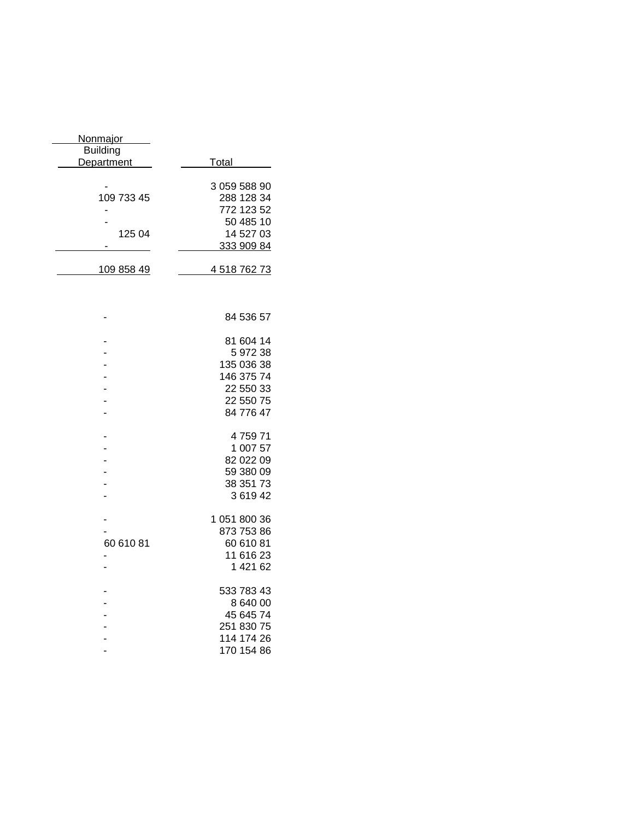| <b>Nonmajor</b>   |                  |
|-------------------|------------------|
| <b>Building</b>   |                  |
| Department        | Total            |
|                   |                  |
|                   | 3 059 588 90     |
| 109 733 45        | 288 128 34       |
|                   | 772 123 52       |
|                   | 50 485 10        |
| 125 04            | 14 527 03        |
|                   |                  |
|                   | 333 909 84       |
|                   |                  |
| <u>109 858 49</u> | <u>451876273</u> |
|                   |                  |
|                   |                  |
|                   |                  |
|                   | 84 536 57        |
|                   |                  |
|                   | 81 604 14        |
|                   | 5 972 38         |
|                   | 135 036 38       |
|                   | 146 375 74       |
|                   | 22 550 33        |
|                   | 22 550 75        |
|                   | 84 776 47        |
|                   |                  |
|                   | 475971           |
|                   | 1 007 57         |
|                   | 82 022 09        |
|                   | 59 380 09        |
|                   | 38 351 73        |
|                   | 361942           |
|                   |                  |
|                   | 1 051 800 36     |
|                   | 873 753 86       |
| 60 610 81         | 60 610 81        |
|                   | 11 616 23        |
|                   |                  |
|                   | 1 421 62         |
|                   |                  |
|                   | 533 783 43       |
|                   | 8 640 00         |
|                   | 45 645 74        |
|                   | 251 830 75       |
|                   | 114 174 26       |
|                   | 170 154 86       |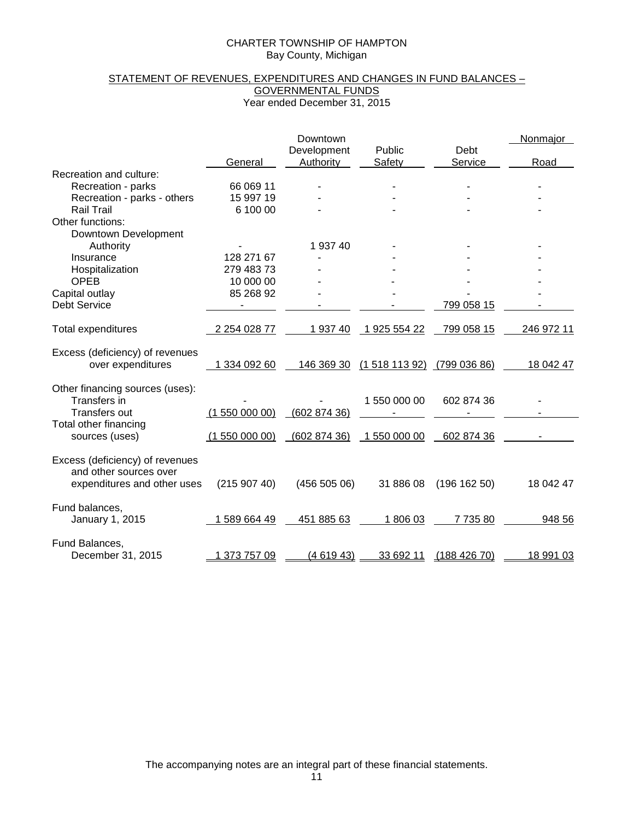# STATEMENT OF REVENUES, EXPENDITURES AND CHANGES IN FUND BALANCES – GOVERNMENTAL FUNDS Year ended December 31, 2015

|                                                      |                   | Downtown                 |                                  |                 | Nonmajor   |
|------------------------------------------------------|-------------------|--------------------------|----------------------------------|-----------------|------------|
|                                                      | General           | Development<br>Authority | Public<br>Safety                 | Debt<br>Service | Road       |
| Recreation and culture:                              |                   |                          |                                  |                 |            |
| Recreation - parks                                   | 66 069 11         |                          |                                  |                 |            |
| Recreation - parks - others                          | 15 997 19         |                          |                                  |                 |            |
| <b>Rail Trail</b>                                    | 6 100 00          |                          |                                  |                 |            |
| Other functions:                                     |                   |                          |                                  |                 |            |
| Downtown Development                                 |                   |                          |                                  |                 |            |
| Authority                                            |                   | 1 937 40                 |                                  |                 |            |
| Insurance                                            | 128 271 67        |                          |                                  |                 |            |
| Hospitalization                                      | 279 483 73        |                          |                                  |                 |            |
| <b>OPEB</b>                                          | 10 000 00         |                          |                                  |                 |            |
| Capital outlay                                       | 85 268 92         |                          |                                  |                 |            |
| <b>Debt Service</b>                                  |                   |                          |                                  | 799 058 15      |            |
| Total expenditures                                   | 2 2 5 4 0 2 8 7 7 | 1 937 40                 | 1 925 554 22                     | 799 058 15      | 246 972 11 |
| Excess (deficiency) of revenues<br>over expenditures | 1 334 092 60      | 146 369 30               | $(1\ 518\ 113\ 92)$ (799 036 86) |                 | 18 042 47  |
|                                                      |                   |                          |                                  |                 |            |
| Other financing sources (uses):                      |                   |                          |                                  |                 |            |
| Transfers in                                         |                   |                          | 1 550 000 00                     | 602 874 36      |            |
| <b>Transfers out</b>                                 | (155000000)       | (602 874 36)             |                                  |                 |            |
| Total other financing                                |                   |                          |                                  |                 |            |
| sources (uses)                                       | (155000000)       | (602 874 36)             | 1 550 000 00                     | 602 874 36      |            |
| Excess (deficiency) of revenues                      |                   |                          |                                  |                 |            |
| and other sources over                               |                   |                          |                                  |                 |            |
| expenditures and other uses                          | (21590740)        | (456 505 06)             | 31 886 08                        | (196 162 50)    | 18 042 47  |
| Fund balances,                                       |                   |                          |                                  |                 |            |
| January 1, 2015                                      | 158966449         | 451 885 63               | 180603                           | 773580          | 948 56     |
| Fund Balances,                                       |                   |                          |                                  |                 |            |
| December 31, 2015                                    | 1 373 757 09      | (461943)                 | 33 692 11                        | (18842670)      | 18 991 03  |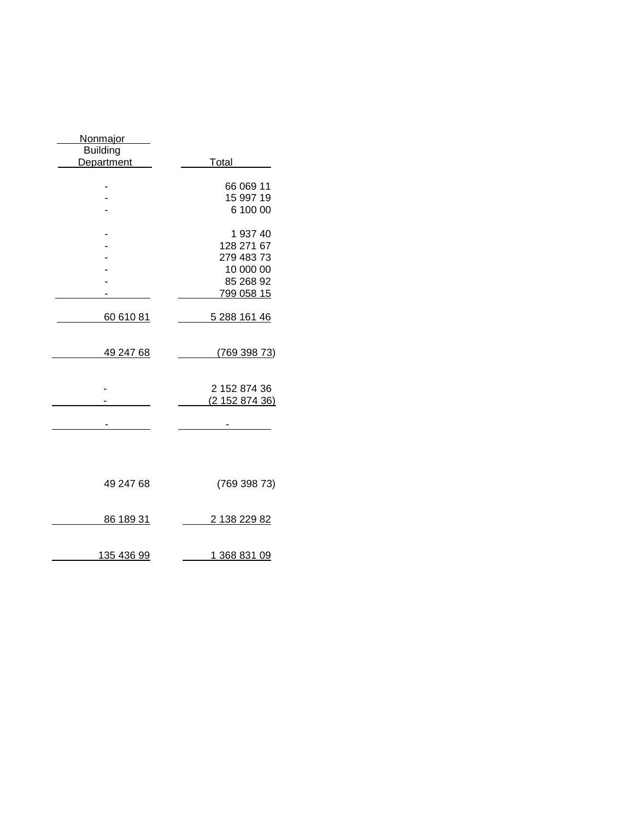| <u>Nonmajor</u>   |                |
|-------------------|----------------|
| <b>Building</b>   |                |
| <b>Department</b> | Total          |
|                   |                |
|                   | 66 069 11      |
|                   | 15 997 19      |
|                   | 6 100 00       |
|                   |                |
|                   | 1 937 40       |
|                   | 128 271 67     |
|                   | 279 483 73     |
|                   | 10 000 00      |
|                   | 85 268 92      |
|                   | 799 058 15     |
|                   |                |
| 60 610 81         | 5 288 161 46   |
|                   |                |
|                   |                |
| 49 247 68         | (769 398 73)   |
|                   |                |
|                   |                |
|                   | 2 152 874 36   |
|                   | (2 152 874 36) |
|                   |                |
|                   |                |
|                   |                |
|                   |                |
|                   |                |
|                   |                |
| 49 247 68         | (769 398 73)   |
|                   |                |
|                   |                |
| 86 189 31         | 2 138 229 82   |
|                   |                |
|                   |                |
| 135 436 99        | 1 368 831 09   |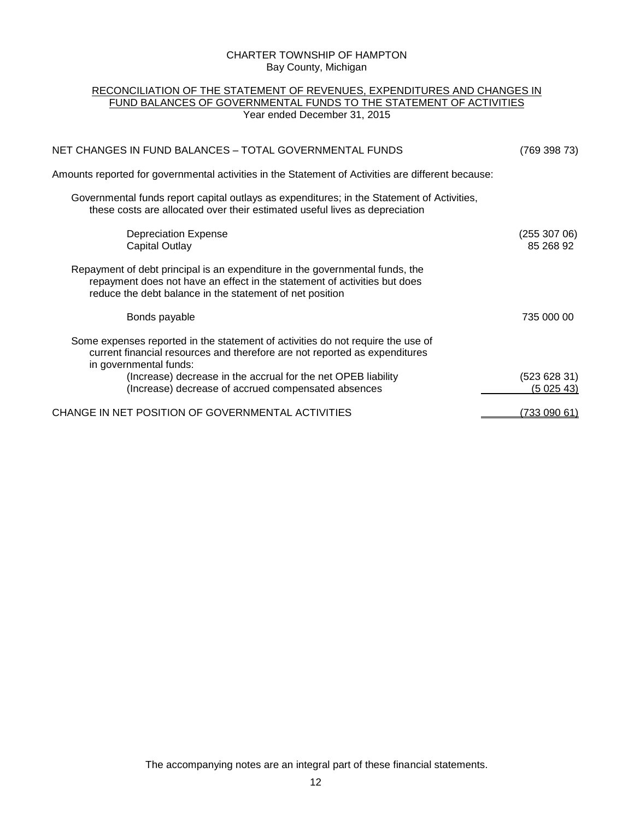## RECONCILIATION OF THE STATEMENT OF REVENUES, EXPENDITURES AND CHANGES IN FUND BALANCES OF GOVERNMENTAL FUNDS TO THE STATEMENT OF ACTIVITIES Year ended December 31, 2015

| NET CHANGES IN FUND BALANCES - TOTAL GOVERNMENTAL FUNDS                                                                                                                                                               | (769 398 73)              |
|-----------------------------------------------------------------------------------------------------------------------------------------------------------------------------------------------------------------------|---------------------------|
| Amounts reported for governmental activities in the Statement of Activities are different because:                                                                                                                    |                           |
| Governmental funds report capital outlays as expenditures; in the Statement of Activities,<br>these costs are allocated over their estimated useful lives as depreciation                                             |                           |
| <b>Depreciation Expense</b><br><b>Capital Outlay</b>                                                                                                                                                                  | (255 307 06)<br>85 268 92 |
| Repayment of debt principal is an expenditure in the governmental funds, the<br>repayment does not have an effect in the statement of activities but does<br>reduce the debt balance in the statement of net position |                           |
| Bonds payable                                                                                                                                                                                                         | 735 000 00                |
| Some expenses reported in the statement of activities do not require the use of<br>current financial resources and therefore are not reported as expenditures<br>in governmental funds:                               |                           |
| (Increase) decrease in the accrual for the net OPEB liability                                                                                                                                                         | (523 628 31)              |
| (Increase) decrease of accrued compensated absences                                                                                                                                                                   | (502543)                  |
| CHANGE IN NET POSITION OF GOVERNMENTAL ACTIVITIES                                                                                                                                                                     | <u>(733 090 61)</u>       |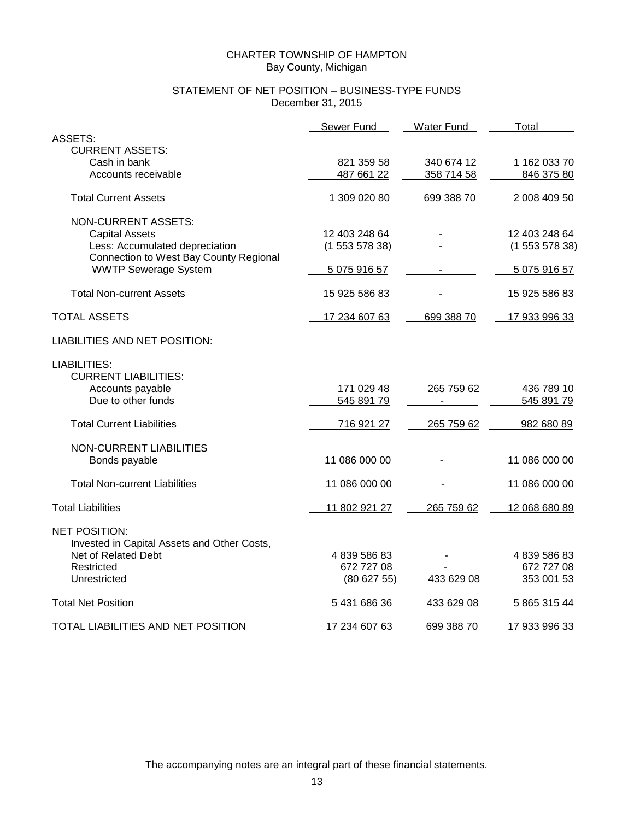#### STATEMENT OF NET POSITION – BUSINESS-TYPE FUNDS December 31, 2015

|                                                                       | Sewer Fund    | <b>Water Fund</b> | Total         |
|-----------------------------------------------------------------------|---------------|-------------------|---------------|
| ASSETS:                                                               |               |                   |               |
| <b>CURRENT ASSETS:</b><br>Cash in bank                                | 821 359 58    | 340 674 12        | 1 162 033 70  |
| Accounts receivable                                                   | 487 661 22    | 358 714 58        | 846 375 80    |
| <b>Total Current Assets</b>                                           | 1 309 020 80  | 699 388 70        | 2 008 409 50  |
|                                                                       |               |                   |               |
| <b>NON-CURRENT ASSETS:</b>                                            |               |                   |               |
| <b>Capital Assets</b>                                                 | 12 403 248 64 |                   | 12 403 248 64 |
| Less: Accumulated depreciation                                        | (155357838)   |                   | (155357838)   |
| Connection to West Bay County Regional<br><b>WWTP Sewerage System</b> | 5 075 916 57  |                   | 5 075 916 57  |
| <b>Total Non-current Assets</b>                                       | 15 925 586 83 |                   | 15 925 586 83 |
| <b>TOTAL ASSETS</b>                                                   | 17 234 607 63 | 699 388 70        | 17 933 996 33 |
| <b>LIABILITIES AND NET POSITION:</b>                                  |               |                   |               |
| <b>LIABILITIES:</b>                                                   |               |                   |               |
| <b>CURRENT LIABILITIES:</b>                                           |               |                   |               |
| Accounts payable                                                      | 171 029 48    | 265 759 62        | 436 789 10    |
| Due to other funds                                                    | 545 891 79    |                   | 545 891 79    |
| <b>Total Current Liabilities</b>                                      | 716 921 27    | 265 759 62        | 982 680 89    |
| <b>NON-CURRENT LIABILITIES</b>                                        |               |                   |               |
| Bonds payable                                                         | 11 086 000 00 |                   | 11 086 000 00 |
|                                                                       |               |                   |               |
| <b>Total Non-current Liabilities</b>                                  | 11 086 000 00 |                   | 11 086 000 00 |
| <b>Total Liabilities</b>                                              | 11 802 921 27 | 265 759 62        | 12 068 680 89 |
| <b>NET POSITION:</b>                                                  |               |                   |               |
| Invested in Capital Assets and Other Costs,                           |               |                   |               |
| Net of Related Debt                                                   | 4 839 586 83  |                   | 4 839 586 83  |
| Restricted                                                            | 672 727 08    |                   | 672 727 08    |
| Unrestricted                                                          | (8062755)     | 433 629 08        | 353 001 53    |
| <b>Total Net Position</b>                                             | 5 431 686 36  | 433 629 08        | 5 865 315 44  |
| TOTAL LIABILITIES AND NET POSITION                                    | 17 234 607 63 | 699 388 70        | 17 933 996 33 |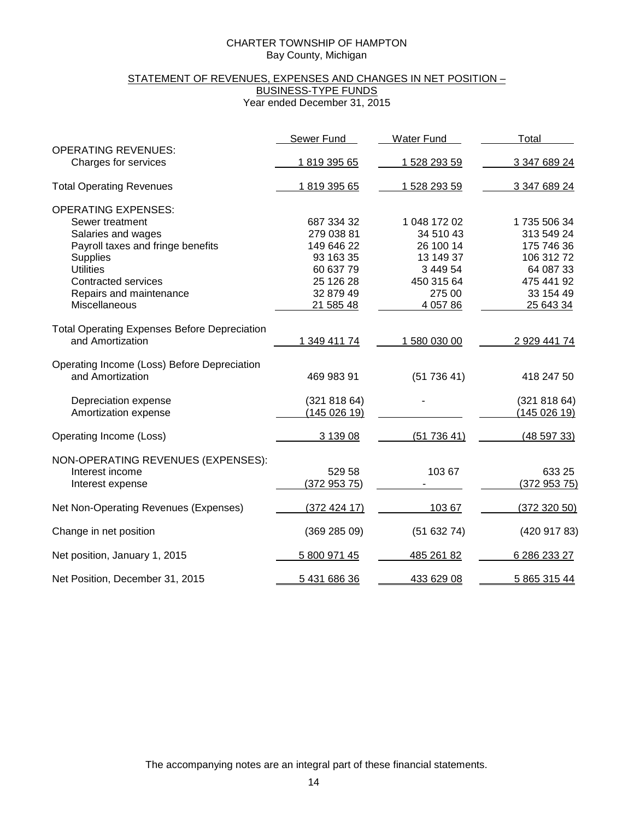# STATEMENT OF REVENUES, EXPENSES AND CHANGES IN NET POSITION – BUSINESS-TYPE FUNDS

|                                                                         | Sewer Fund   | <b>Water Fund</b> | Total          |
|-------------------------------------------------------------------------|--------------|-------------------|----------------|
| <b>OPERATING REVENUES:</b><br>Charges for services                      | 1819 395 65  | 1 528 293 59      | 3 347 689 24   |
| <b>Total Operating Revenues</b>                                         | 181939565    | 1 528 293 59      | 3 347 689 24   |
| <b>OPERATING EXPENSES:</b>                                              |              |                   |                |
| Sewer treatment                                                         | 687 334 32   | 1 048 172 02      | 1735 506 34    |
| Salaries and wages                                                      | 279 038 81   | 34 510 43         | 313 549 24     |
| Payroll taxes and fringe benefits                                       | 149 646 22   | 26 100 14         | 175 746 36     |
| <b>Supplies</b>                                                         | 93 163 35    | 13 149 37         | 106 312 72     |
| <b>Utilities</b>                                                        | 60 637 79    | 3 449 54          | 64 087 33      |
| <b>Contracted services</b>                                              | 25 126 28    | 450 315 64        | 475 441 92     |
| Repairs and maintenance                                                 | 32 879 49    | 275 00            | 33 154 49      |
| Miscellaneous                                                           | 21 585 48    | 4 0 5 7 8 6       | 25 643 34      |
|                                                                         |              |                   |                |
| <b>Total Operating Expenses Before Depreciation</b><br>and Amortization | 1 349 411 74 | 1 580 030 00      | 2 9 29 4 41 74 |
| Operating Income (Loss) Before Depreciation<br>and Amortization         | 469 983 91   | (5173641)         | 418 247 50     |
| Depreciation expense                                                    | (321 818 64) |                   | (321 818 64)   |
| Amortization expense                                                    | (145 026 19) |                   | (145 026 19)   |
| Operating Income (Loss)                                                 | 3 139 08     | (5173641)         | (4859733)      |
|                                                                         |              |                   |                |
| NON-OPERATING REVENUES (EXPENSES):                                      |              |                   |                |
| Interest income                                                         | 529 58       | 103 67            | 633 25         |
| Interest expense                                                        | (372 953 75) |                   | (37295375)     |
| Net Non-Operating Revenues (Expenses)                                   | (372 424 17) | 103 67            | (37232050)     |
| Change in net position                                                  | (369 285 09) | (5163274)         | (420 917 83)   |
| Net position, January 1, 2015                                           | 5 800 971 45 | 485 261 82        | 6 286 233 27   |
| Net Position, December 31, 2015                                         | 5 431 686 36 | 433 629 08        | 5 865 315 44   |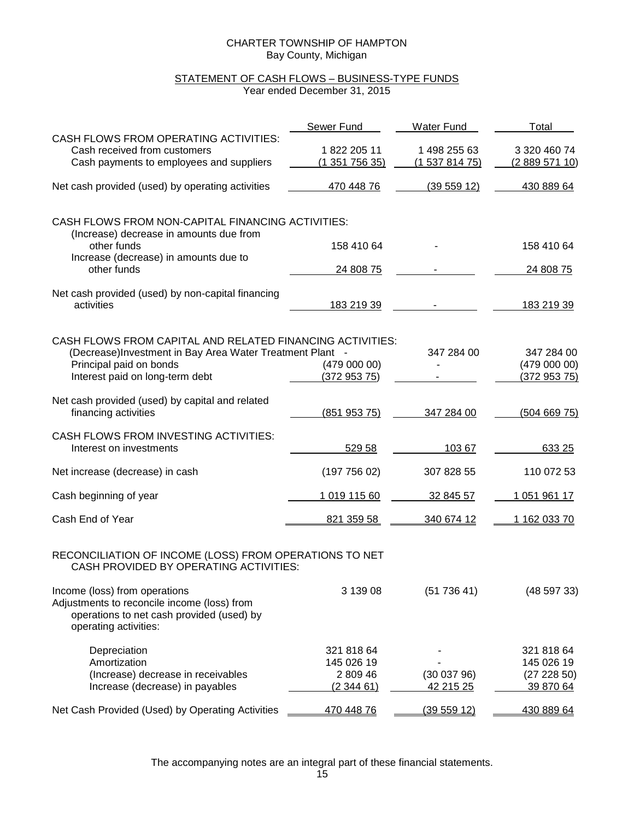# STATEMENT OF CASH FLOWS – BUSINESS-TYPE FUNDS

Year ended December 31, 2015

|                                                                                                                                                                                      | Sewer Fund                 | <b>Water Fund</b>           | Total                                   |
|--------------------------------------------------------------------------------------------------------------------------------------------------------------------------------------|----------------------------|-----------------------------|-----------------------------------------|
| CASH FLOWS FROM OPERATING ACTIVITIES:<br>Cash received from customers<br>Cash payments to employees and suppliers                                                                    | 1822 205 11<br>(135175635) | 1 498 255 63<br>(153781475) | 3 320 460 74<br>(2 889 571 10)          |
| Net cash provided (used) by operating activities                                                                                                                                     | 470 448 76                 | (3955912)                   | 430 889 64                              |
| CASH FLOWS FROM NON-CAPITAL FINANCING ACTIVITIES:                                                                                                                                    |                            |                             |                                         |
| (Increase) decrease in amounts due from<br>other funds<br>Increase (decrease) in amounts due to                                                                                      | 158 410 64                 |                             | 158 410 64                              |
| other funds                                                                                                                                                                          | 24 808 75                  |                             | 24 808 75                               |
| Net cash provided (used) by non-capital financing<br>activities                                                                                                                      | 183 219 39                 |                             | 183 219 39                              |
| CASH FLOWS FROM CAPITAL AND RELATED FINANCING ACTIVITIES:<br>(Decrease) Investment in Bay Area Water Treatment Plant -<br>Principal paid on bonds<br>Interest paid on long-term debt | (4790000)<br>(372 953 75)  | 347 284 00                  | 347 284 00<br>(4790000)<br>(372 953 75) |
| Net cash provided (used) by capital and related<br>financing activities                                                                                                              | (851 953 75)               | 347 284 00                  | (50466975)                              |
| CASH FLOWS FROM INVESTING ACTIVITIES:<br>Interest on investments                                                                                                                     | 529 58                     | 103 67                      | 633 25                                  |
| Net increase (decrease) in cash                                                                                                                                                      | (19775602)                 | 307 828 55                  | 110 072 53                              |
| Cash beginning of year                                                                                                                                                               | 1 019 115 60               | 32 845 57                   | 1 051 961 17                            |
| Cash End of Year                                                                                                                                                                     | 821 359 58                 | 340 674 12                  | 1 162 033 70                            |
| RECONCILIATION OF INCOME (LOSS) FROM OPERATIONS TO NET<br>CASH PROVIDED BY OPERATING ACTIVITIES:                                                                                     |                            |                             |                                         |
| Income (loss) from operations<br>Adjustments to reconcile income (loss) from<br>operations to net cash provided (used) by<br>operating activities:                                   | 3 139 08                   | (5173641)                   | (4859733)                               |
| Depreciation<br>Amortization                                                                                                                                                         | 321 818 64<br>145 026 19   |                             | 321 818 64<br>145 026 19                |
| (Increase) decrease in receivables<br>Increase (decrease) in payables                                                                                                                | 2 809 46<br>(234461)       | (3003796)<br>42 215 25      | (27 228 50)<br>39 870 64                |
| Net Cash Provided (Used) by Operating Activities                                                                                                                                     | 470 448 76                 | (3955912)                   | 430 889 64                              |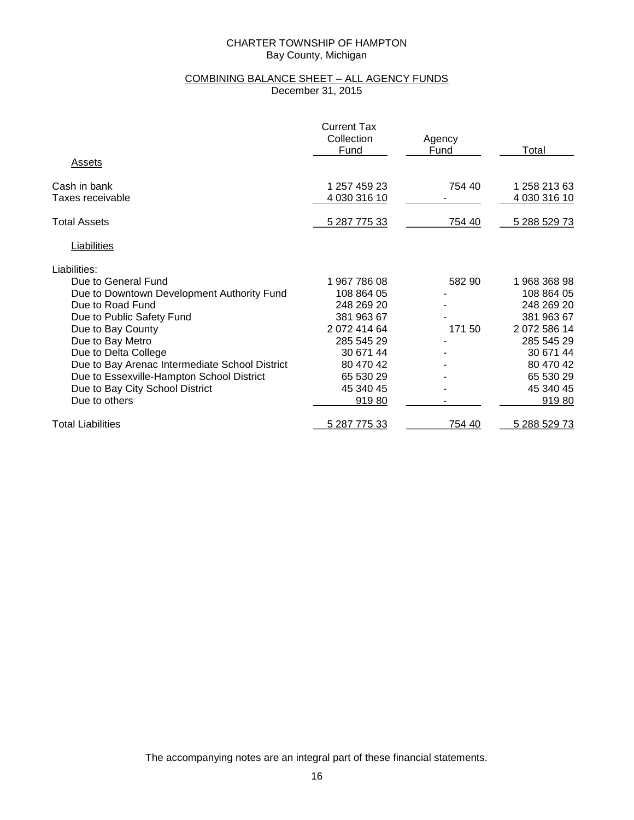# COMBINING BALANCE SHEET – ALL AGENCY FUNDS

December 31, 2015

| <b>Assets</b>                                  | <b>Current Tax</b><br>Collection<br>Fund | Agency<br>Fund | Total                        |
|------------------------------------------------|------------------------------------------|----------------|------------------------------|
| Cash in bank<br>Taxes receivable               | 1 257 459 23<br>4 030 316 10             | 754 40         | 1 258 213 63<br>4 030 316 10 |
| Total Assets                                   | 5 287 775 33                             | <u>754 40</u>  | 5 288 529 73                 |
| Liabilities                                    |                                          |                |                              |
| Liabilities:                                   |                                          |                |                              |
| Due to General Fund                            | 196778608                                | 582 90         | 1968 368 98                  |
| Due to Downtown Development Authority Fund     | 108 864 05                               |                | 108 864 05                   |
| Due to Road Fund                               | 248 269 20                               |                | 248 269 20                   |
| Due to Public Safety Fund                      | 381 963 67                               |                | 381 963 67                   |
| Due to Bay County                              | 2 072 414 64                             | 171 50         | 2 072 586 14                 |
| Due to Bay Metro                               | 285 545 29                               |                | 285 545 29                   |
| Due to Delta College                           | 30 671 44                                |                | 30 671 44                    |
| Due to Bay Arenac Intermediate School District | 80 470 42                                |                | 80 470 42                    |
| Due to Essexville-Hampton School District      | 65 530 29                                |                | 65 530 29                    |
| Due to Bay City School District                | 45 340 45                                |                | 45 340 45                    |
| Due to others                                  | 91980                                    |                | 91980                        |
| <b>Total Liabilities</b>                       | 5 287 775 33                             | <u>754 40</u>  | 5 288 529 73                 |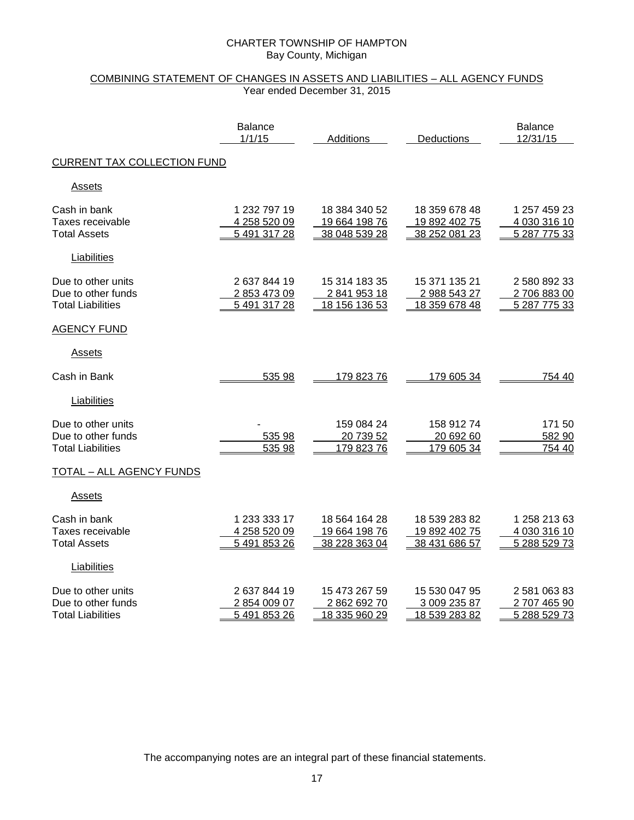# COMBINING STATEMENT OF CHANGES IN ASSETS AND LIABILITIES – ALL AGENCY FUNDS Year ended December 31, 2015

|                                                | <b>Balance</b><br>1/1/15     | Additions                      | Deductions                     | <b>Balance</b><br>12/31/15   |
|------------------------------------------------|------------------------------|--------------------------------|--------------------------------|------------------------------|
| <b>CURRENT TAX COLLECTION FUND</b>             |                              |                                |                                |                              |
| Assets                                         |                              |                                |                                |                              |
| Cash in bank                                   | 1 232 797 19                 | 18 384 340 52                  | 18 359 678 48                  | 1 257 459 23                 |
| Taxes receivable<br>Total Assets               | 4 258 520 09<br>5 491 317 28 | 19 664 198 76<br>38 048 539 28 | 19 892 402 75<br>38 252 081 23 | 4 030 316 10<br>5 287 775 33 |
| <b>Liabilities</b>                             |                              |                                |                                |                              |
| Due to other units                             | 263784419                    | 15 314 183 35                  | 15 371 135 21                  | 2 580 892 33                 |
| Due to other funds<br><b>Total Liabilities</b> | 2 853 473 09<br>5 491 317 28 | 2 841 953 18<br>18 156 136 53  | 2 988 543 27<br>18 359 678 48  | 270688300<br>5 287 775 33    |
| <b>AGENCY FUND</b>                             |                              |                                |                                |                              |
| <b>Assets</b>                                  |                              |                                |                                |                              |
| Cash in Bank                                   | 535 98                       | 179 823 76                     | 179 605 34                     | 754 40                       |
| <b>Liabilities</b>                             |                              |                                |                                |                              |
| Due to other units                             |                              | 159 084 24                     | 158 912 74                     | 171 50                       |
| Due to other funds<br><b>Total Liabilities</b> | 535 98<br>535 98             | 20 739 52<br>179 823 76        | 20 692 60<br>179 605 34        | 582 90<br>754 40             |
| TOTAL - ALL AGENCY FUNDS                       |                              |                                |                                |                              |
| <b>Assets</b>                                  |                              |                                |                                |                              |
| Cash in bank                                   | 1 233 333 17                 | 18 564 164 28                  | 18 539 283 82                  | 1 258 213 63                 |
| Taxes receivable<br><b>Total Assets</b>        | 4 258 520 09<br>5 491 853 26 | 19 664 198 76<br>38 228 363 04 | 19 892 402 75<br>38 431 686 57 | 4 030 316 10<br>5 288 529 73 |
| Liabilities                                    |                              |                                |                                |                              |
| Due to other units                             | 263784419                    | 15 473 267 59                  | 15 530 047 95                  | 2 581 063 83                 |
| Due to other funds                             | 2 854 009 07                 | 286269270                      | 3 009 235 87                   | 270746590                    |
| <b>Total Liabilities</b>                       | 5 491 853 26                 | 18 335 960 29                  | 18 539 283 82                  | 5 288 529 73                 |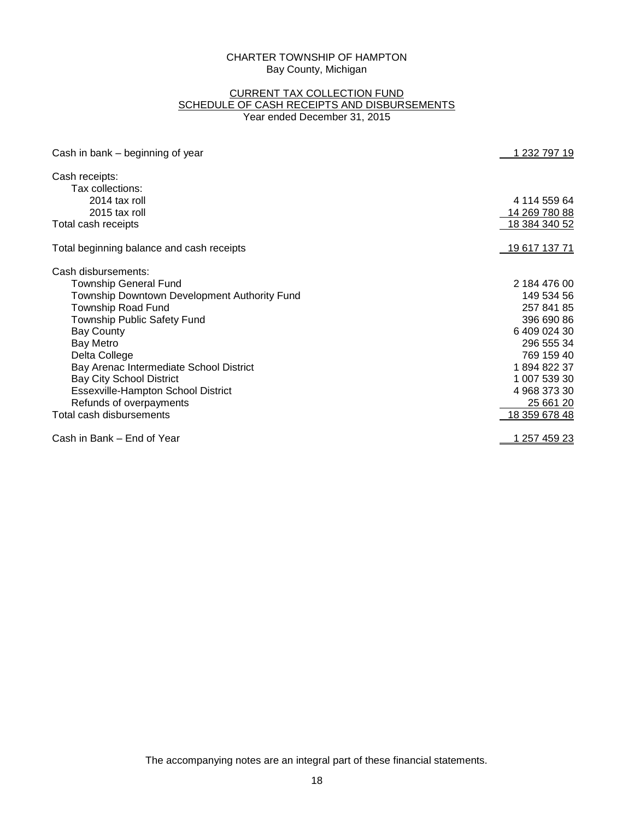# CURRENT TAX COLLECTION FUND SCHEDULE OF CASH RECEIPTS AND DISBURSEMENTS Year ended December 31, 2015

| Cash in bank – beginning of year             | 1 232 797 19  |
|----------------------------------------------|---------------|
| Cash receipts:<br>Tax collections:           |               |
| 2014 tax roll                                | 4 114 559 64  |
| 2015 tax roll                                | 14 269 780 88 |
| Total cash receipts                          | 18 384 340 52 |
| Total beginning balance and cash receipts    | 19 617 137 71 |
| Cash disbursements:                          |               |
| <b>Township General Fund</b>                 | 2 184 476 00  |
| Township Downtown Development Authority Fund | 149 534 56    |
| <b>Township Road Fund</b>                    | 257 841 85    |
| <b>Township Public Safety Fund</b>           | 396 690 86    |
| <b>Bay County</b>                            | 6 409 024 30  |
| <b>Bay Metro</b>                             | 296 555 34    |
| Delta College                                | 769 159 40    |
| Bay Arenac Intermediate School District      | 189482237     |
| <b>Bay City School District</b>              | 1 007 539 30  |
| <b>Essexville-Hampton School District</b>    | 4 968 373 30  |
| Refunds of overpayments                      | 25 661 20     |
| Total cash disbursements                     | 18 359 678 48 |
| Cash in Bank - End of Year                   | 1 257 459 23  |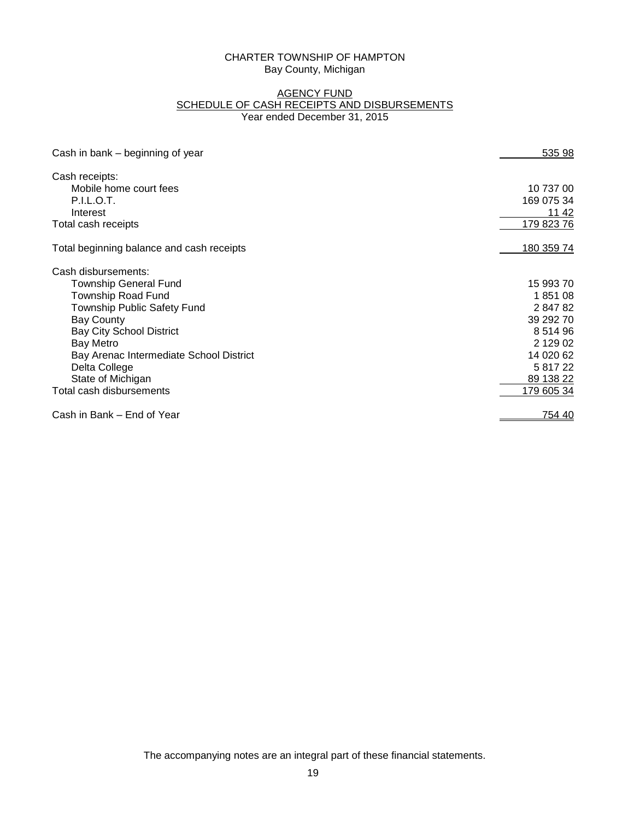#### <u>AGENCY FUND</u> SCHEDULE OF CASH RECEIPTS AND DISBURSEMENTS Year ended December 31, 2015

| Cash in bank – beginning of year          | 535 98      |
|-------------------------------------------|-------------|
| Cash receipts:                            |             |
| Mobile home court fees                    | 10 737 00   |
| P.I.L.O.T.                                | 169 075 34  |
| Interest                                  | 11 $42$     |
| Total cash receipts                       | 179 823 76  |
| Total beginning balance and cash receipts | 180 359 74  |
| Cash disbursements:                       |             |
| Township General Fund                     | 15 993 70   |
| <b>Township Road Fund</b>                 | 185108      |
| Township Public Safety Fund               | 284782      |
| <b>Bay County</b>                         | 39 292 70   |
| <b>Bay City School District</b>           | 8 5 1 4 9 6 |
| <b>Bay Metro</b>                          | 2 129 02    |
| Bay Arenac Intermediate School District   | 14 020 62   |
| Delta College                             | 5 817 22    |
| State of Michigan                         | 89 138 22   |
| Total cash disbursements                  | 179 605 34  |
| Cash in Bank – End of Year                | 754 40      |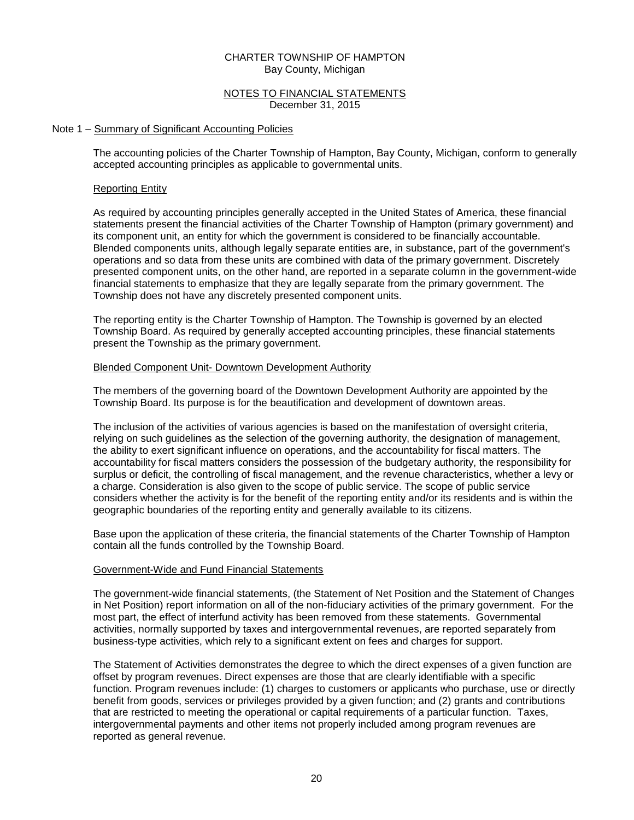#### NOTES TO FINANCIAL STATEMENTS December 31, 2015

#### Note 1 – Summary of Significant Accounting Policies

The accounting policies of the Charter Township of Hampton, Bay County, Michigan, conform to generally accepted accounting principles as applicable to governmental units.

## Reporting Entity

As required by accounting principles generally accepted in the United States of America, these financial statements present the financial activities of the Charter Township of Hampton (primary government) and its component unit, an entity for which the government is considered to be financially accountable. Blended components units, although legally separate entities are, in substance, part of the government's operations and so data from these units are combined with data of the primary government. Discretely presented component units, on the other hand, are reported in a separate column in the government-wide financial statements to emphasize that they are legally separate from the primary government. The Township does not have any discretely presented component units.

The reporting entity is the Charter Township of Hampton. The Township is governed by an elected Township Board. As required by generally accepted accounting principles, these financial statements present the Township as the primary government.

#### Blended Component Unit- Downtown Development Authority

The members of the governing board of the Downtown Development Authority are appointed by the Township Board. Its purpose is for the beautification and development of downtown areas.

The inclusion of the activities of various agencies is based on the manifestation of oversight criteria, relying on such guidelines as the selection of the governing authority, the designation of management, the ability to exert significant influence on operations, and the accountability for fiscal matters. The accountability for fiscal matters considers the possession of the budgetary authority, the responsibility for surplus or deficit, the controlling of fiscal management, and the revenue characteristics, whether a levy or a charge. Consideration is also given to the scope of public service. The scope of public service considers whether the activity is for the benefit of the reporting entity and/or its residents and is within the geographic boundaries of the reporting entity and generally available to its citizens.

Base upon the application of these criteria, the financial statements of the Charter Township of Hampton contain all the funds controlled by the Township Board.

# Government-Wide and Fund Financial Statements

The government-wide financial statements, (the Statement of Net Position and the Statement of Changes in Net Position) report information on all of the non-fiduciary activities of the primary government. For the most part, the effect of interfund activity has been removed from these statements. Governmental activities, normally supported by taxes and intergovernmental revenues, are reported separately from business-type activities, which rely to a significant extent on fees and charges for support.

The Statement of Activities demonstrates the degree to which the direct expenses of a given function are offset by program revenues. Direct expenses are those that are clearly identifiable with a specific function. Program revenues include: (1) charges to customers or applicants who purchase, use or directly benefit from goods, services or privileges provided by a given function; and (2) grants and contributions that are restricted to meeting the operational or capital requirements of a particular function. Taxes, intergovernmental payments and other items not properly included among program revenues are reported as general revenue.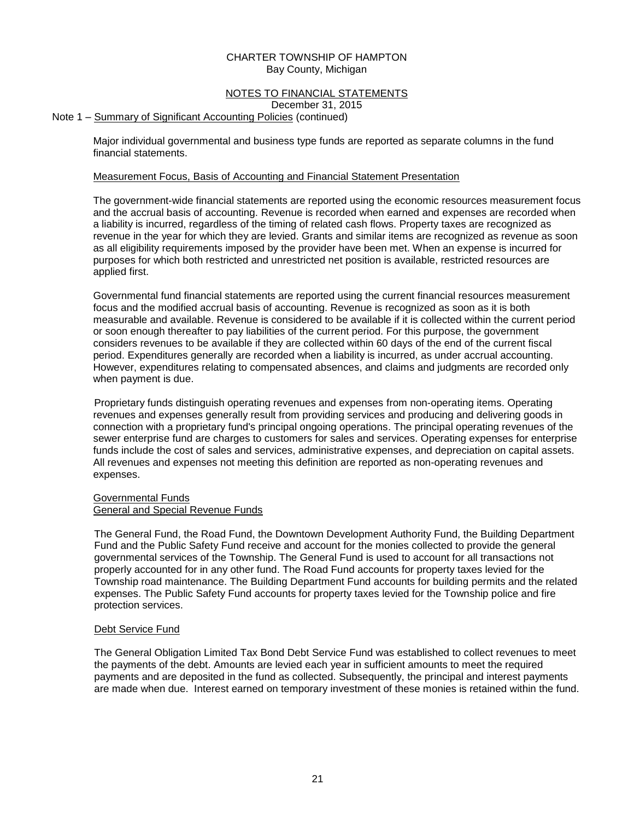# NOTES TO FINANCIAL STATEMENTS

December 31, 2015

## Note 1 – Summary of Significant Accounting Policies (continued)

Major individual governmental and business type funds are reported as separate columns in the fund financial statements.

# Measurement Focus, Basis of Accounting and Financial Statement Presentation

The government-wide financial statements are reported using the economic resources measurement focus and the accrual basis of accounting. Revenue is recorded when earned and expenses are recorded when a liability is incurred, regardless of the timing of related cash flows. Property taxes are recognized as revenue in the year for which they are levied. Grants and similar items are recognized as revenue as soon as all eligibility requirements imposed by the provider have been met. When an expense is incurred for purposes for which both restricted and unrestricted net position is available, restricted resources are applied first.

Governmental fund financial statements are reported using the current financial resources measurement focus and the modified accrual basis of accounting. Revenue is recognized as soon as it is both measurable and available. Revenue is considered to be available if it is collected within the current period or soon enough thereafter to pay liabilities of the current period. For this purpose, the government considers revenues to be available if they are collected within 60 days of the end of the current fiscal period. Expenditures generally are recorded when a liability is incurred, as under accrual accounting. However, expenditures relating to compensated absences, and claims and judgments are recorded only when payment is due.

Proprietary funds distinguish operating revenues and expenses from non-operating items. Operating revenues and expenses generally result from providing services and producing and delivering goods in connection with a proprietary fund's principal ongoing operations. The principal operating revenues of the sewer enterprise fund are charges to customers for sales and services. Operating expenses for enterprise funds include the cost of sales and services, administrative expenses, and depreciation on capital assets. All revenues and expenses not meeting this definition are reported as non-operating revenues and expenses.

#### Governmental Funds General and Special Revenue Funds

The General Fund, the Road Fund, the Downtown Development Authority Fund, the Building Department Fund and the Public Safety Fund receive and account for the monies collected to provide the general governmental services of the Township. The General Fund is used to account for all transactions not properly accounted for in any other fund. The Road Fund accounts for property taxes levied for the Township road maintenance. The Building Department Fund accounts for building permits and the related expenses. The Public Safety Fund accounts for property taxes levied for the Township police and fire protection services.

### Debt Service Fund

The General Obligation Limited Tax Bond Debt Service Fund was established to collect revenues to meet the payments of the debt. Amounts are levied each year in sufficient amounts to meet the required payments and are deposited in the fund as collected. Subsequently, the principal and interest payments are made when due. Interest earned on temporary investment of these monies is retained within the fund.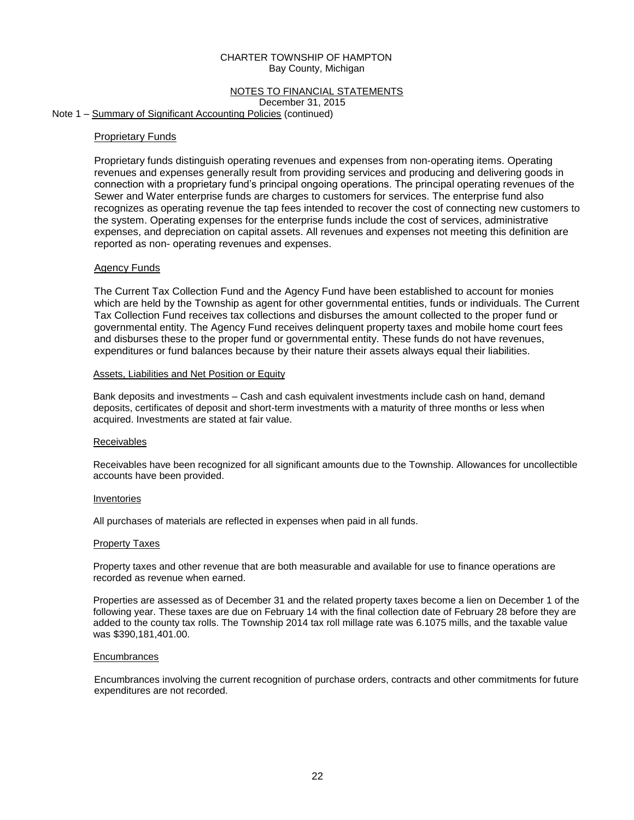#### NOTES TO FINANCIAL STATEMENTS

December 31, 2015

Note 1 – Summary of Significant Accounting Policies (continued)

#### Proprietary Funds

Proprietary funds distinguish operating revenues and expenses from non-operating items. Operating revenues and expenses generally result from providing services and producing and delivering goods in connection with a proprietary fund's principal ongoing operations. The principal operating revenues of the Sewer and Water enterprise funds are charges to customers for services. The enterprise fund also recognizes as operating revenue the tap fees intended to recover the cost of connecting new customers to the system. Operating expenses for the enterprise funds include the cost of services, administrative expenses, and depreciation on capital assets. All revenues and expenses not meeting this definition are reported as non- operating revenues and expenses.

#### Agency Funds

The Current Tax Collection Fund and the Agency Fund have been established to account for monies which are held by the Township as agent for other governmental entities, funds or individuals. The Current Tax Collection Fund receives tax collections and disburses the amount collected to the proper fund or governmental entity. The Agency Fund receives delinquent property taxes and mobile home court fees and disburses these to the proper fund or governmental entity. These funds do not have revenues, expenditures or fund balances because by their nature their assets always equal their liabilities.

#### Assets, Liabilities and Net Position or Equity

Bank deposits and investments – Cash and cash equivalent investments include cash on hand, demand deposits, certificates of deposit and short-term investments with a maturity of three months or less when acquired. Investments are stated at fair value.

#### Receivables

Receivables have been recognized for all significant amounts due to the Township. Allowances for uncollectible accounts have been provided.

#### Inventories

All purchases of materials are reflected in expenses when paid in all funds.

#### Property Taxes

Property taxes and other revenue that are both measurable and available for use to finance operations are recorded as revenue when earned.

Properties are assessed as of December 31 and the related property taxes become a lien on December 1 of the following year. These taxes are due on February 14 with the final collection date of February 28 before they are added to the county tax rolls. The Township 2014 tax roll millage rate was 6.1075 mills, and the taxable value was \$390,181,401.00.

#### **Encumbrances**

Encumbrances involving the current recognition of purchase orders, contracts and other commitments for future expenditures are not recorded.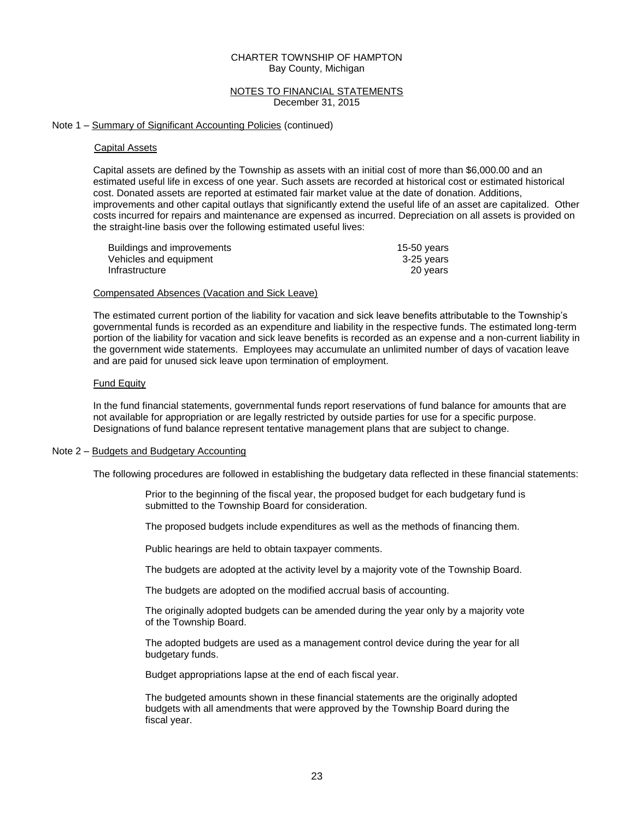#### NOTES TO FINANCIAL STATEMENTS December 31, 2015

#### Note 1 – Summary of Significant Accounting Policies (continued)

#### Capital Assets

Capital assets are defined by the Township as assets with an initial cost of more than \$6,000.00 and an estimated useful life in excess of one year. Such assets are recorded at historical cost or estimated historical cost. Donated assets are reported at estimated fair market value at the date of donation. Additions, improvements and other capital outlays that significantly extend the useful life of an asset are capitalized. Other costs incurred for repairs and maintenance are expensed as incurred. Depreciation on all assets is provided on the straight-line basis over the following estimated useful lives:

| Buildings and improvements | 15-50 years |
|----------------------------|-------------|
| Vehicles and equipment     | 3-25 years  |
| Infrastructure             | 20 years    |

#### Compensated Absences (Vacation and Sick Leave)

The estimated current portion of the liability for vacation and sick leave benefits attributable to the Township's governmental funds is recorded as an expenditure and liability in the respective funds. The estimated long-term portion of the liability for vacation and sick leave benefits is recorded as an expense and a non-current liability in the government wide statements. Employees may accumulate an unlimited number of days of vacation leave and are paid for unused sick leave upon termination of employment.

#### **Fund Equity**

In the fund financial statements, governmental funds report reservations of fund balance for amounts that are not available for appropriation or are legally restricted by outside parties for use for a specific purpose. Designations of fund balance represent tentative management plans that are subject to change.

#### Note 2 – Budgets and Budgetary Accounting

The following procedures are followed in establishing the budgetary data reflected in these financial statements:

Prior to the beginning of the fiscal year, the proposed budget for each budgetary fund is submitted to the Township Board for consideration.

The proposed budgets include expenditures as well as the methods of financing them.

Public hearings are held to obtain taxpayer comments.

The budgets are adopted at the activity level by a majority vote of the Township Board.

The budgets are adopted on the modified accrual basis of accounting.

The originally adopted budgets can be amended during the year only by a majority vote of the Township Board.

The adopted budgets are used as a management control device during the year for all budgetary funds.

Budget appropriations lapse at the end of each fiscal year.

The budgeted amounts shown in these financial statements are the originally adopted budgets with all amendments that were approved by the Township Board during the fiscal year.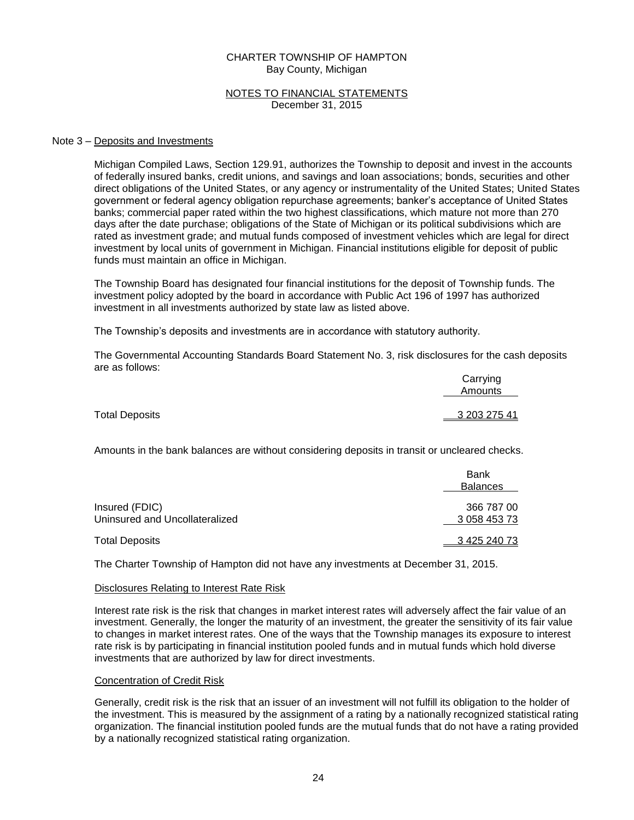#### NOTES TO FINANCIAL STATEMENTS December 31, 2015

#### Note 3 – Deposits and Investments

Michigan Compiled Laws, Section 129.91, authorizes the Township to deposit and invest in the accounts of federally insured banks, credit unions, and savings and loan associations; bonds, securities and other direct obligations of the United States, or any agency or instrumentality of the United States; United States government or federal agency obligation repurchase agreements; banker's acceptance of United States banks; commercial paper rated within the two highest classifications, which mature not more than 270 days after the date purchase; obligations of the State of Michigan or its political subdivisions which are rated as investment grade; and mutual funds composed of investment vehicles which are legal for direct investment by local units of government in Michigan. Financial institutions eligible for deposit of public funds must maintain an office in Michigan.

The Township Board has designated four financial institutions for the deposit of Township funds. The investment policy adopted by the board in accordance with Public Act 196 of 1997 has authorized investment in all investments authorized by state law as listed above.

The Township's deposits and investments are in accordance with statutory authority.

The Governmental Accounting Standards Board Statement No. 3, risk disclosures for the cash deposits are as follows:

|                       | Carrying     |
|-----------------------|--------------|
|                       | Amounts      |
|                       |              |
| <b>Total Deposits</b> | 3 203 275 41 |

Amounts in the bank balances are without considering deposits in transit or uncleared checks.

|                                                  | Bank<br><b>Balances</b>    |
|--------------------------------------------------|----------------------------|
| Insured (FDIC)<br>Uninsured and Uncollateralized | 366 787 00<br>3 058 453 73 |
| <b>Total Deposits</b>                            | 3 425 240 73               |

The Charter Township of Hampton did not have any investments at December 31, 2015.

#### Disclosures Relating to Interest Rate Risk

Interest rate risk is the risk that changes in market interest rates will adversely affect the fair value of an investment. Generally, the longer the maturity of an investment, the greater the sensitivity of its fair value to changes in market interest rates. One of the ways that the Township manages its exposure to interest rate risk is by participating in financial institution pooled funds and in mutual funds which hold diverse investments that are authorized by law for direct investments.

#### Concentration of Credit Risk

Generally, credit risk is the risk that an issuer of an investment will not fulfill its obligation to the holder of the investment. This is measured by the assignment of a rating by a nationally recognized statistical rating organization. The financial institution pooled funds are the mutual funds that do not have a rating provided by a nationally recognized statistical rating organization.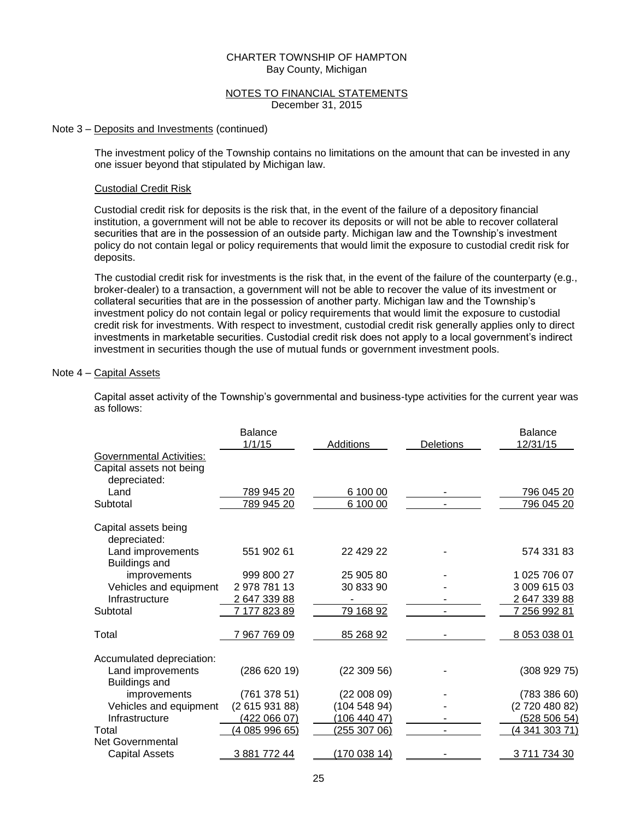#### NOTES TO FINANCIAL STATEMENTS December 31, 2015

#### Note 3 – Deposits and Investments (continued)

The investment policy of the Township contains no limitations on the amount that can be invested in any one issuer beyond that stipulated by Michigan law.

#### Custodial Credit Risk

Custodial credit risk for deposits is the risk that, in the event of the failure of a depository financial institution, a government will not be able to recover its deposits or will not be able to recover collateral securities that are in the possession of an outside party. Michigan law and the Township's investment policy do not contain legal or policy requirements that would limit the exposure to custodial credit risk for deposits.

The custodial credit risk for investments is the risk that, in the event of the failure of the counterparty (e.g., broker-dealer) to a transaction, a government will not be able to recover the value of its investment or collateral securities that are in the possession of another party. Michigan law and the Township's investment policy do not contain legal or policy requirements that would limit the exposure to custodial credit risk for investments. With respect to investment, custodial credit risk generally applies only to direct investments in marketable securities. Custodial credit risk does not apply to a local government's indirect investment in securities though the use of mutual funds or government investment pools.

#### Note 4 – Capital Assets

Capital asset activity of the Township's governmental and business-type activities for the current year was as follows:

|                                           | <b>Balance</b><br>1/1/15 | Additions           | <b>Deletions</b> | <b>Balance</b><br>12/31/15 |
|-------------------------------------------|--------------------------|---------------------|------------------|----------------------------|
| <b>Governmental Activities:</b>           |                          |                     |                  |                            |
| Capital assets not being<br>depreciated:  |                          |                     |                  |                            |
| Land                                      | 789 945 20               | 6 100 00            |                  | 796 045 20                 |
| Subtotal                                  | 789 945 20               | 6 100 00            | ٠                | 796 045 20                 |
| Capital assets being<br>depreciated:      |                          |                     |                  |                            |
| Land improvements<br><b>Buildings and</b> | 551 902 61               | 22 429 22           |                  | 574 331 83                 |
| improvements                              | 999 800 27               | 25 905 80           |                  | 1 025 706 07               |
| Vehicles and equipment                    | 297878113                | 30 833 90           |                  | 3 009 615 03               |
| Infrastructure                            | 2 647 339 88             |                     |                  | 2 647 339 88               |
| Subtotal                                  | 7 177 823 89             | 79 168 92           |                  | 7 256 992 81               |
| Total                                     | 7 967 769 09             | 85 268 92           |                  | 8 053 038 01               |
| Accumulated depreciation:                 |                          |                     |                  |                            |
| Land improvements                         | (286 620 19)             | (2230956)           |                  | (30892975)                 |
| <b>Buildings and</b>                      |                          |                     |                  |                            |
| improvements                              | (76137851)               | (2200809)           |                  | (783 386 60)               |
| Vehicles and equipment                    | (2 615 931 88)           | (10454894)          |                  | (2720 480 82)              |
| Infrastructure                            | (422 066 07)             | (106 440 47)        |                  | (52850654)                 |
| Total                                     | <u>(4 085 996 65)</u>    | <u>(255 307 06)</u> |                  | <u>(4 341 303 71)</u>      |
| Net Governmental                          |                          |                     |                  |                            |
| <b>Capital Assets</b>                     | 388177244                | (170 038 14)        |                  | 371173430                  |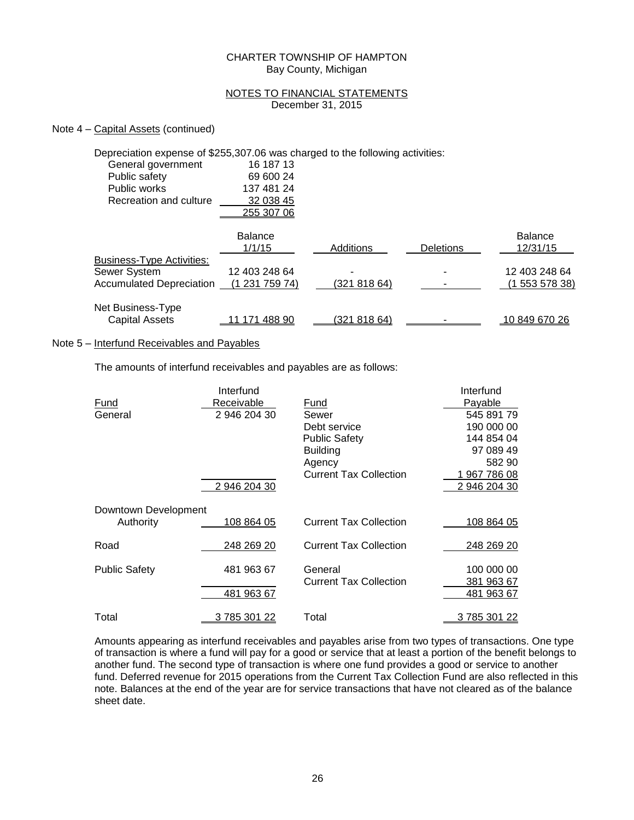#### NOTES TO FINANCIAL STATEMENTS December 31, 2015

#### Note 4 – Capital Assets (continued)

Depreciation expense of \$255,307.06 was charged to the following activities:

| General government     | 16 187 13  |
|------------------------|------------|
| Public safety          | 69 600 24  |
| Public works           | 137 481 24 |
| Recreation and culture | 32 038 45  |
|                        | 255 307 06 |

| Additions | <b>Deletions</b>                                                          | <b>Balance</b><br>12/31/15   |
|-----------|---------------------------------------------------------------------------|------------------------------|
|           |                                                                           |                              |
| -         | ۰                                                                         | 12 403 248 64                |
|           | ٠                                                                         | (155357838)                  |
|           |                                                                           |                              |
|           |                                                                           |                              |
|           |                                                                           | 10 849 670 26                |
|           | <b>Balance</b><br>1/1/15<br>12 403 248 64<br>(123175974)<br>11 171 488 90 | (321 818 64)<br>(321 818 64) |

# Note 5 – Interfund Receivables and Payables

The amounts of interfund receivables and payables are as follows:

|                                   | Interfund    |                               | Interfund    |
|-----------------------------------|--------------|-------------------------------|--------------|
| Fund                              | Receivable   | Fund                          | Payable      |
| General                           | 2 946 204 30 | Sewer                         | 545 891 79   |
|                                   |              | Debt service                  | 190 000 00   |
|                                   |              | <b>Public Safety</b>          | 144 854 04   |
|                                   |              | <b>Building</b>               | 97 089 49    |
|                                   |              | Agency                        | 582 90       |
|                                   |              | <b>Current Tax Collection</b> | 1 967 786 08 |
|                                   | 2 946 204 30 |                               | 2 946 204 30 |
| Downtown Development<br>Authority | 108 864 05   | <b>Current Tax Collection</b> | 108 864 05   |
| Road                              | 248 269 20   | <b>Current Tax Collection</b> | 248 269 20   |
| <b>Public Safety</b>              | 481 963 67   | General                       | 100 000 00   |
|                                   |              | <b>Current Tax Collection</b> | 381 963 67   |
|                                   | 481 963 67   |                               | 481 963 67   |
| Total                             | 378530122    | Total                         | 378530122    |

Amounts appearing as interfund receivables and payables arise from two types of transactions. One type of transaction is where a fund will pay for a good or service that at least a portion of the benefit belongs to another fund. The second type of transaction is where one fund provides a good or service to another fund. Deferred revenue for 2015 operations from the Current Tax Collection Fund are also reflected in this note. Balances at the end of the year are for service transactions that have not cleared as of the balance sheet date.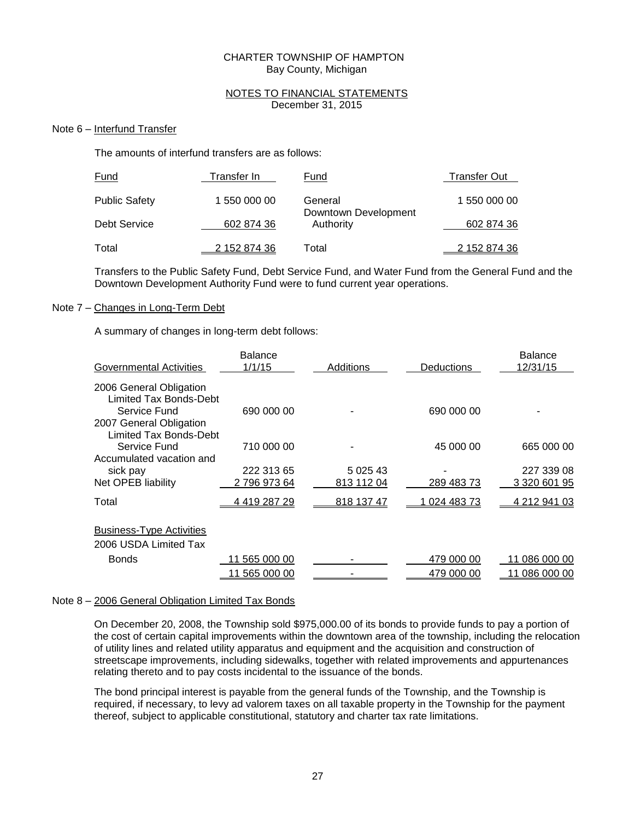#### NOTES TO FINANCIAL STATEMENTS December 31, 2015

#### Note 6 – Interfund Transfer

The amounts of interfund transfers are as follows:

| Fund                 | Transfer In  | Fund                            | Transfer Out |
|----------------------|--------------|---------------------------------|--------------|
| <b>Public Safety</b> | 1 550 000 00 | General<br>Downtown Development | 1 550 000 00 |
| Debt Service         | 602 874 36   | Authority                       | 602 874 36   |
| Total                | 2 152 874 36 | Total                           | 2 152 874 36 |

Transfers to the Public Safety Fund, Debt Service Fund, and Water Fund from the General Fund and the Downtown Development Authority Fund were to fund current year operations.

# Note 7 – Changes in Long-Term Debt

A summary of changes in long-term debt follows:

| Governmental Activities                           | <b>Balance</b><br>1/1/15 | Additions   | <b>Deductions</b> | <b>Balance</b><br>12/31/15 |
|---------------------------------------------------|--------------------------|-------------|-------------------|----------------------------|
| 2006 General Obligation<br>Limited Tax Bonds-Debt |                          |             |                   |                            |
| Service Fund                                      | 690 000 00               |             | 690 000 00        |                            |
| 2007 General Obligation<br>Limited Tax Bonds-Debt |                          |             |                   |                            |
| Service Fund                                      | 710 000 00               |             | 45 000 00         | 665 000 00                 |
| Accumulated vacation and                          |                          |             |                   |                            |
| sick pay                                          | 222 313 65               | 5 0 2 5 4 3 |                   | 227 339 08                 |
| Net OPEB liability                                | 279697364                | 813 112 04  | 289 483 73        | 3 320 601 95               |
| Total                                             | <u>441928729</u>         | 818 137 47  | 1 024 483 73      | 4 212 941 03               |
| <b>Business-Type Activities</b>                   |                          |             |                   |                            |
| 2006 USDA Limited Tax                             |                          |             |                   |                            |
| <b>Bonds</b>                                      | 11 565 000 00            |             | 479 000 00        | 11 086 000 00              |
|                                                   | 565 000 00               |             | 479 000 00        | 11 086 000 00              |
|                                                   |                          |             |                   |                            |

### Note 8 – 2006 General Obligation Limited Tax Bonds

On December 20, 2008, the Township sold \$975,000.00 of its bonds to provide funds to pay a portion of the cost of certain capital improvements within the downtown area of the township, including the relocation of utility lines and related utility apparatus and equipment and the acquisition and construction of streetscape improvements, including sidewalks, together with related improvements and appurtenances relating thereto and to pay costs incidental to the issuance of the bonds.

The bond principal interest is payable from the general funds of the Township, and the Township is required, if necessary, to levy ad valorem taxes on all taxable property in the Township for the payment thereof, subject to applicable constitutional, statutory and charter tax rate limitations.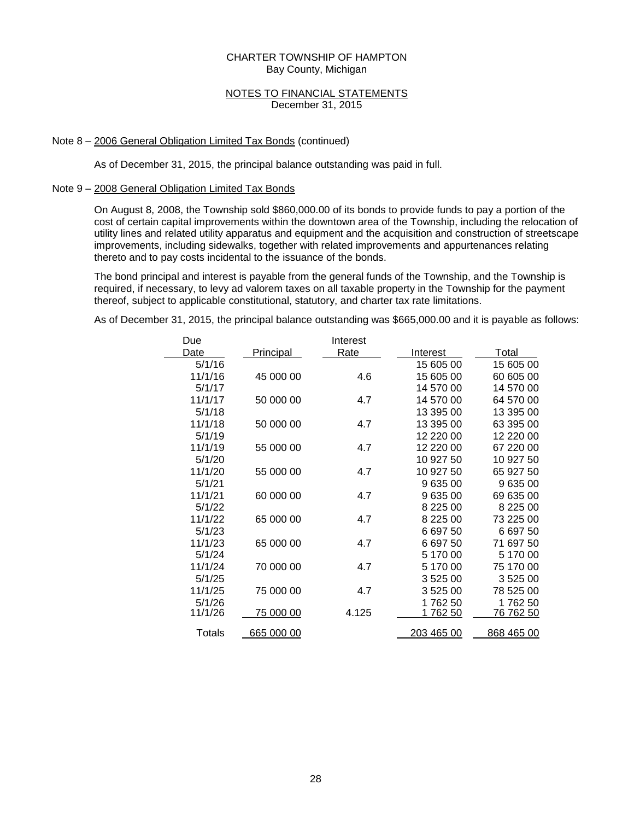#### NOTES TO FINANCIAL STATEMENTS December 31, 2015

### Note 8 – 2006 General Obligation Limited Tax Bonds (continued)

As of December 31, 2015, the principal balance outstanding was paid in full.

#### Note 9 – 2008 General Obligation Limited Tax Bonds

On August 8, 2008, the Township sold \$860,000.00 of its bonds to provide funds to pay a portion of the cost of certain capital improvements within the downtown area of the Township, including the relocation of utility lines and related utility apparatus and equipment and the acquisition and construction of streetscape improvements, including sidewalks, together with related improvements and appurtenances relating thereto and to pay costs incidental to the issuance of the bonds.

The bond principal and interest is payable from the general funds of the Township, and the Township is required, if necessary, to levy ad valorem taxes on all taxable property in the Township for the payment thereof, subject to applicable constitutional, statutory, and charter tax rate limitations.

As of December 31, 2015, the principal balance outstanding was \$665,000.00 and it is payable as follows:

| Due     |                  | Interest |             |              |
|---------|------------------|----------|-------------|--------------|
| Date    | <b>Principal</b> | Rate     | Interest    | <u>Total</u> |
| 5/1/16  |                  |          | 15 605 00   | 15 605 00    |
| 11/1/16 | 45 000 00        | 4.6      | 15 605 00   | 60 605 00    |
| 5/1/17  |                  |          | 14 570 00   | 14 570 00    |
| 11/1/17 | 50 000 00        | 4.7      | 14 570 00   | 64 570 00    |
| 5/1/18  |                  |          | 13 395 00   | 13 395 00    |
| 11/1/18 | 50 000 00        | 4.7      | 13 395 00   | 63 395 00    |
| 5/1/19  |                  |          | 12 220 00   | 12 220 00    |
| 11/1/19 | 55 000 00        | 4.7      | 12 220 00   | 67 220 00    |
| 5/1/20  |                  |          | 10 927 50   | 10 927 50    |
| 11/1/20 | 55 000 00        | 4.7      | 10 927 50   | 65 927 50    |
| 5/1/21  |                  |          | 9 635 00    | 9 635 00     |
| 11/1/21 | 60 000 00        | 4.7      | 9 635 00    | 69 635 00    |
| 5/1/22  |                  |          | 8 2 2 5 0 0 | 8 2 2 5 0 0  |
| 11/1/22 | 65 000 00        | 4.7      | 8 2 2 5 0 0 | 73 225 00    |
| 5/1/23  |                  |          | 6 697 50    | 6 697 50     |
| 11/1/23 | 65 000 00        | 4.7      | 6 697 50    | 71 697 50    |
| 5/1/24  |                  |          | 5 170 00    | 5 170 00     |
| 11/1/24 | 70 000 00        | 4.7      | 5 170 00    | 75 170 00    |
| 5/1/25  |                  |          | 3 525 00    | 3 525 00     |
| 11/1/25 | 75 000 00        | 4.7      | 3 525 00    | 78 525 00    |
| 5/1/26  |                  |          | 176250      | 176250       |
| 11/1/26 | 75 000 00        | 4.125    | 176250      | 76 762 50    |
| Totals  | 665 000 00       |          | 203 465 00  | 868 465 00   |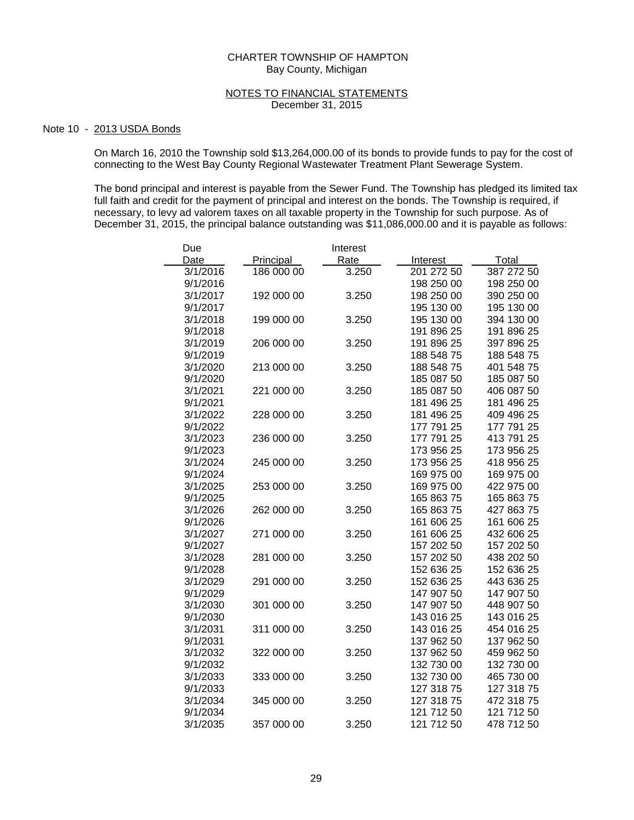#### NOTES TO FINANCIAL STATEMENTS December 31, 2015

#### Note 10 - 2013 USDA Bonds

On March 16, 2010 the Township sold \$13,264,000.00 of its bonds to provide funds to pay for the cost of connecting to the West Bay County Regional Wastewater Treatment Plant Sewerage System.

The bond principal and interest is payable from the Sewer Fund. The Township has pledged its limited tax full faith and credit for the payment of principal and interest on the bonds. The Township is required, if necessary, to levy ad valorem taxes on all taxable property in the Township for such purpose. As of December 31, 2015, the principal balance outstanding was \$11,086,000.00 and it is payable as follows:

| Due      |            | Interest |            |            |
|----------|------------|----------|------------|------------|
| Date     | Principal  | Rate     | Interest   | Total      |
| 3/1/2016 | 186 000 00 | 3.250    | 201 272 50 | 387 272 50 |
| 9/1/2016 |            |          | 198 250 00 | 198 250 00 |
| 3/1/2017 | 192 000 00 | 3.250    | 198 250 00 | 390 250 00 |
| 9/1/2017 |            |          | 195 130 00 | 195 130 00 |
| 3/1/2018 | 199 000 00 | 3.250    | 195 130 00 | 394 130 00 |
| 9/1/2018 |            |          | 191 896 25 | 191 896 25 |
| 3/1/2019 | 206 000 00 | 3.250    | 191 896 25 | 397 896 25 |
| 9/1/2019 |            |          | 188 548 75 | 188 548 75 |
| 3/1/2020 | 213 000 00 | 3.250    | 188 548 75 | 401 548 75 |
| 9/1/2020 |            |          | 185 087 50 | 185 087 50 |
| 3/1/2021 | 221 000 00 | 3.250    | 185 087 50 | 406 087 50 |
| 9/1/2021 |            |          | 181 496 25 | 181 496 25 |
| 3/1/2022 | 228 000 00 | 3.250    | 181 496 25 | 409 496 25 |
| 9/1/2022 |            |          | 177 791 25 | 177 791 25 |
| 3/1/2023 | 236 000 00 | 3.250    | 177 791 25 | 413 791 25 |
| 9/1/2023 |            |          | 173 956 25 | 173 956 25 |
| 3/1/2024 | 245 000 00 | 3.250    | 173 956 25 | 418 956 25 |
| 9/1/2024 |            |          | 169 975 00 | 169 975 00 |
| 3/1/2025 | 253 000 00 | 3.250    | 169 975 00 | 422 975 00 |
| 9/1/2025 |            |          | 165 863 75 | 165 863 75 |
| 3/1/2026 | 262 000 00 | 3.250    | 165 863 75 | 427 863 75 |
| 9/1/2026 |            |          | 161 606 25 | 161 606 25 |
| 3/1/2027 | 271 000 00 | 3.250    | 161 606 25 | 432 606 25 |
| 9/1/2027 |            |          | 157 202 50 | 157 202 50 |
| 3/1/2028 | 281 000 00 | 3.250    | 157 202 50 | 438 202 50 |
| 9/1/2028 |            |          | 152 636 25 | 152 636 25 |
| 3/1/2029 | 291 000 00 | 3.250    | 152 636 25 | 443 636 25 |
| 9/1/2029 |            |          | 147 907 50 | 147 907 50 |
| 3/1/2030 | 301 000 00 | 3.250    | 147 907 50 | 448 907 50 |
| 9/1/2030 |            |          | 143 016 25 | 143 016 25 |
| 3/1/2031 | 311 000 00 | 3.250    | 143 016 25 | 454 016 25 |
| 9/1/2031 |            |          | 137 962 50 | 137 962 50 |
| 3/1/2032 | 322 000 00 | 3.250    | 137 962 50 | 459 962 50 |
| 9/1/2032 |            |          | 132 730 00 | 132 730 00 |
| 3/1/2033 | 333 000 00 | 3.250    | 132 730 00 | 465 730 00 |
| 9/1/2033 |            |          | 127 318 75 | 127 318 75 |
| 3/1/2034 | 345 000 00 | 3.250    | 127 318 75 | 472 318 75 |
| 9/1/2034 |            |          | 121 712 50 | 121 712 50 |
| 3/1/2035 | 357 000 00 | 3.250    | 121 712 50 | 478 712 50 |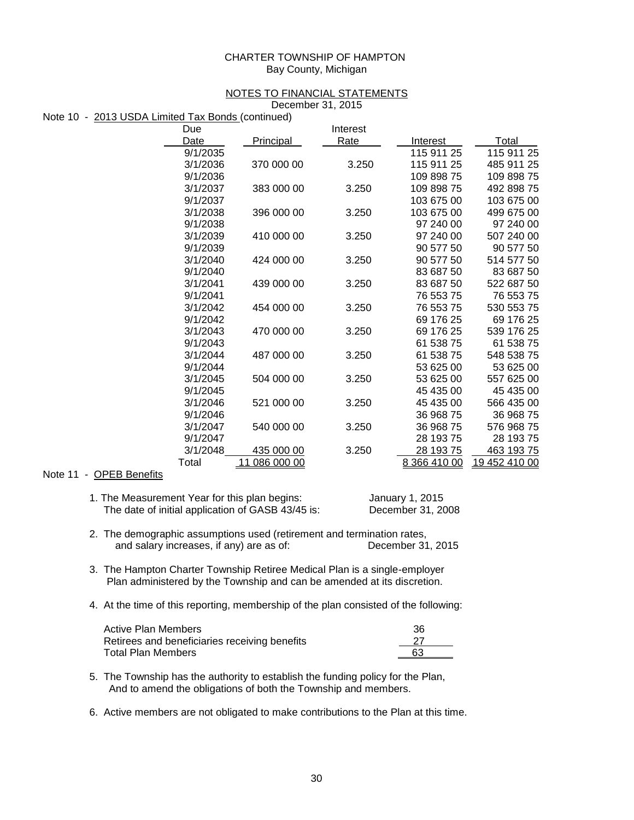# NOTES TO FINANCIAL STATEMENTS

| lote 10 - 2013 USDA Limited Tax Bonds (continued) |               |          |              |               |
|---------------------------------------------------|---------------|----------|--------------|---------------|
| Due                                               |               | Interest |              |               |
| Date                                              | Principal     | Rate     | Interest     | Total         |
| 9/1/2035                                          |               |          | 115 911 25   | 115 911 25    |
| 3/1/2036                                          | 370 000 00    | 3.250    | 115 911 25   | 485 911 25    |
| 9/1/2036                                          |               |          | 109 898 75   | 109 898 75    |
| 3/1/2037                                          | 383 000 00    | 3.250    | 109 898 75   | 492 898 75    |
| 9/1/2037                                          |               |          | 103 675 00   | 103 675 00    |
| 3/1/2038                                          | 396 000 00    | 3.250    | 103 675 00   | 499 675 00    |
| 9/1/2038                                          |               |          | 97 240 00    | 97 240 00     |
| 3/1/2039                                          | 410 000 00    | 3.250    | 97 240 00    | 507 240 00    |
| 9/1/2039                                          |               |          | 90 577 50    | 90 577 50     |
| 3/1/2040                                          | 424 000 00    | 3.250    | 90 577 50    | 514 577 50    |
| 9/1/2040                                          |               |          | 83 687 50    | 83 687 50     |
| 3/1/2041                                          | 439 000 00    | 3.250    | 83 687 50    | 522 687 50    |
| 9/1/2041                                          |               |          | 76 553 75    | 76 553 75     |
| 3/1/2042                                          | 454 000 00    | 3.250    | 76 553 75    | 530 553 75    |
| 9/1/2042                                          |               |          | 69 176 25    | 69 176 25     |
| 3/1/2043                                          | 470 000 00    | 3.250    | 69 176 25    | 539 176 25    |
| 9/1/2043                                          |               |          | 61 538 75    | 61 538 75     |
| 3/1/2044                                          | 487 000 00    | 3.250    | 61 538 75    | 548 538 75    |
| 9/1/2044                                          |               |          | 53 625 00    | 53 625 00     |
| 3/1/2045                                          | 504 000 00    | 3.250    | 53 625 00    | 557 625 00    |
| 9/1/2045                                          |               |          | 45 435 00    | 45 435 00     |
| 3/1/2046                                          | 521 000 00    | 3.250    | 45 435 00    | 566 435 00    |
| 9/1/2046                                          |               |          | 36 968 75    | 36 968 75     |
| 3/1/2047                                          | 540 000 00    | 3.250    | 36 968 75    | 576 968 75    |
| 9/1/2047                                          |               |          | 28 193 75    | 28 193 75     |
| 3/1/2048                                          | 435 000 00    | 3.250    | 28 193 75    | 463 193 75    |
| Total                                             | 11 086 000 00 |          | 8 366 410 00 | 19 452 410 00 |

# December 31, 2015

#### Note 10 - 2013 USDA Limited Tax Bonds (continued)

#### Note 11 - OPEB Benefits

| 1. The Measurement Year for this plan begins:     | January 1, 2015   |
|---------------------------------------------------|-------------------|
| The date of initial application of GASB 43/45 is: | December 31, 2008 |

- 2. The demographic assumptions used (retirement and termination rates,<br>and salary increases, if any) are as of: December 31, 2015 and salary increases, if any) are as of:
- 3. The Hampton Charter Township Retiree Medical Plan is a single-employer Plan administered by the Township and can be amended at its discretion.
- 4. At the time of this reporting, membership of the plan consisted of the following:

| Active Plan Members                           | 36 |
|-----------------------------------------------|----|
| Retirees and beneficiaries receiving benefits |    |
| <b>Total Plan Members</b>                     |    |

- 5. The Township has the authority to establish the funding policy for the Plan, And to amend the obligations of both the Township and members.
- 6. Active members are not obligated to make contributions to the Plan at this time.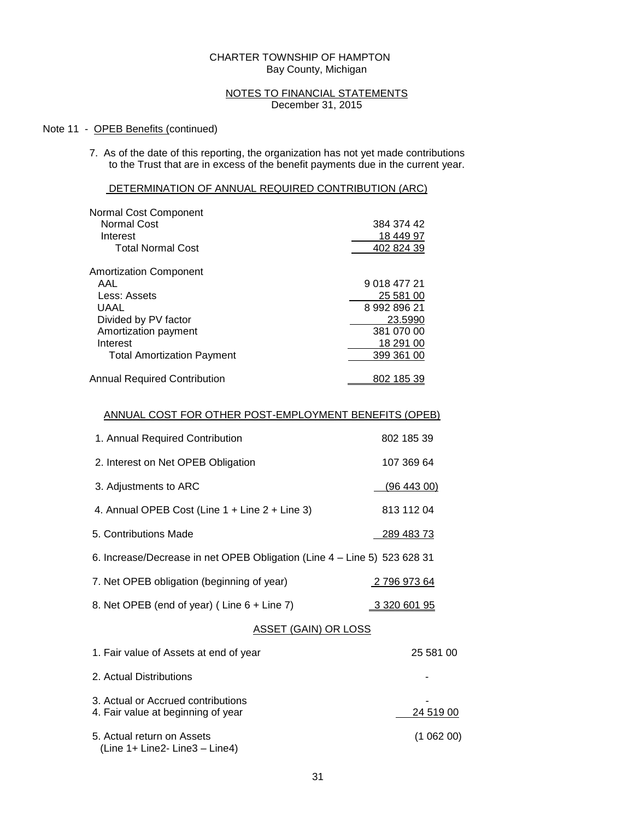#### NOTES TO FINANCIAL STATEMENTS December 31, 2015

# Note 11 - OPEB Benefits (continued)

7. As of the date of this reporting, the organization has not yet made contributions to the Trust that are in excess of the benefit payments due in the current year.

# DETERMINATION OF ANNUAL REQUIRED CONTRIBUTION (ARC)

| Normal Cost Component               |              |
|-------------------------------------|--------------|
| Normal Cost                         | 384 374 42   |
| Interest                            | 18 449 97    |
| <b>Total Normal Cost</b>            | 402 824 39   |
| <b>Amortization Component</b>       |              |
| AAL                                 | 9 018 477 21 |
| Less: Assets                        | 25 581 00    |
| UAAL                                | 8 992 896 21 |
| Divided by PV factor                | 23.5990      |
| Amortization payment                | 381 070 00   |
| Interest                            | 18 291 00    |
| <b>Total Amortization Payment</b>   | 399 361 00   |
| <b>Annual Required Contribution</b> | 802 185 39   |

# ANNUAL COST FOR OTHER POST-EMPLOYMENT BENEFITS (OPEB)

| 1. Annual Required Contribution                                          | 802 185 39         |
|--------------------------------------------------------------------------|--------------------|
| 2. Interest on Net OPEB Obligation                                       | 107 369 64         |
| 3. Adjustments to ARC                                                    | <u>(96 443 00)</u> |
| 4. Annual OPEB Cost (Line 1 + Line 2 + Line 3)                           | 813 112 04         |
| 5. Contributions Made                                                    | 289 483 73         |
| 6. Increase/Decrease in net OPEB Obligation (Line 4 - Line 5) 523 628 31 |                    |
| 7. Net OPEB obligation (beginning of year)                               | 279697364          |
| 8. Net OPEB (end of year) (Line 6 + Line 7)                              | 3 320 601 95       |
| <b>ASSET (GAIN) OR LOSS</b>                                              |                    |
| 1. Fair value of Assets at end of year                                   | 25 581 00          |
| 2. Actual Distributions                                                  |                    |
| 3. Actual or Accrued contributions<br>4. Fair value at beginning of year | 24 519 00          |
| 5. Actual return on Assets<br>(Line 1+ Line2- Line3 - Line4)             | (106200)           |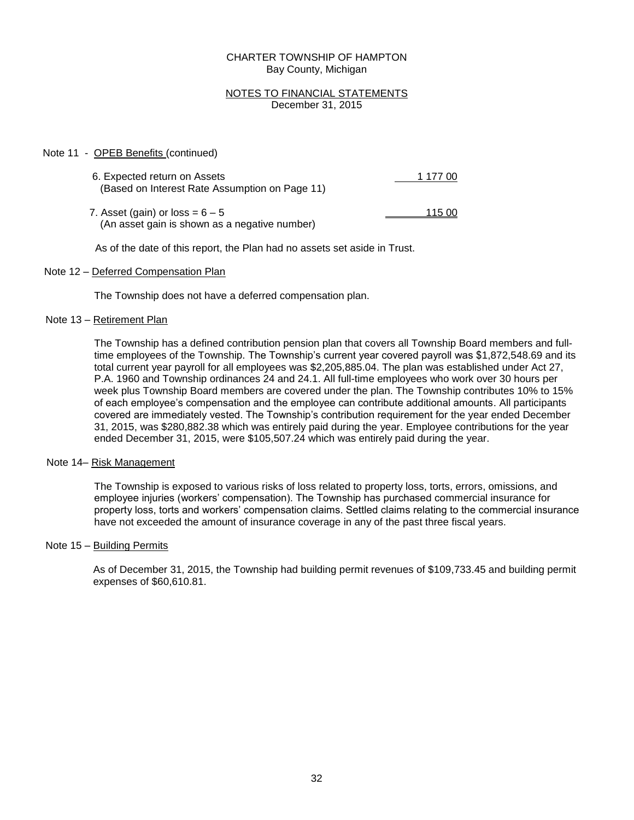#### NOTES TO FINANCIAL STATEMENTS December 31, 2015

#### Note 11 - OPEB Benefits (continued)

| 6. Expected return on Assets<br>(Based on Interest Rate Assumption on Page 11)     | 1 177 00 |
|------------------------------------------------------------------------------------|----------|
| 7. Asset (gain) or loss = $6 - 5$<br>(An asset gain is shown as a negative number) | 115 00   |

As of the date of this report, the Plan had no assets set aside in Trust.

#### Note 12 – Deferred Compensation Plan

The Township does not have a deferred compensation plan.

#### Note 13 – Retirement Plan

The Township has a defined contribution pension plan that covers all Township Board members and fulltime employees of the Township. The Township's current year covered payroll was \$1,872,548.69 and its total current year payroll for all employees was \$2,205,885.04. The plan was established under Act 27, P.A. 1960 and Township ordinances 24 and 24.1. All full-time employees who work over 30 hours per week plus Township Board members are covered under the plan. The Township contributes 10% to 15% of each employee's compensation and the employee can contribute additional amounts. All participants covered are immediately vested. The Township's contribution requirement for the year ended December 31, 2015, was \$280,882.38 which was entirely paid during the year. Employee contributions for the year ended December 31, 2015, were \$105,507.24 which was entirely paid during the year.

#### Note 14– Risk Management

The Township is exposed to various risks of loss related to property loss, torts, errors, omissions, and employee injuries (workers' compensation). The Township has purchased commercial insurance for property loss, torts and workers' compensation claims. Settled claims relating to the commercial insurance have not exceeded the amount of insurance coverage in any of the past three fiscal years.

#### Note 15 – Building Permits

As of December 31, 2015, the Township had building permit revenues of \$109,733.45 and building permit expenses of \$60,610.81.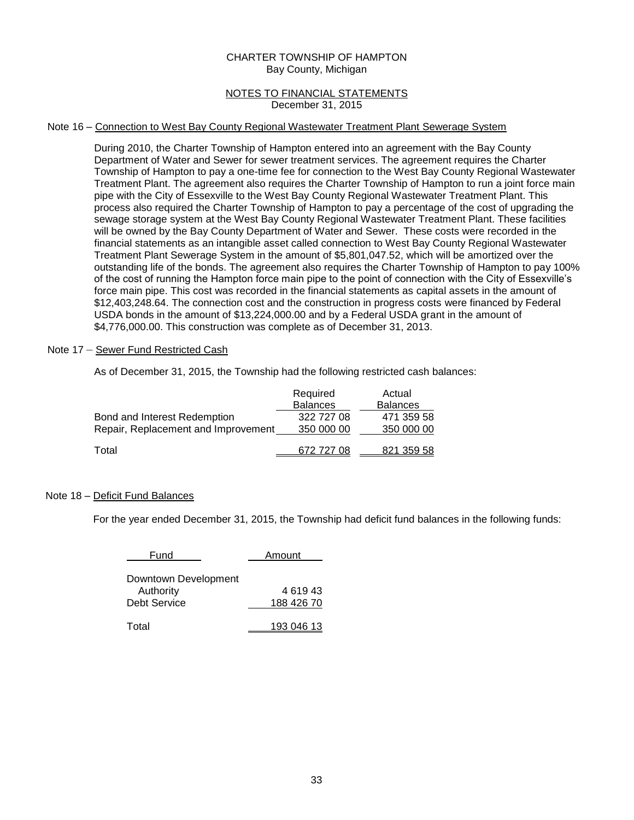#### NOTES TO FINANCIAL STATEMENTS December 31, 2015

# Note 16 – Connection to West Bay County Regional Wastewater Treatment Plant Sewerage System

During 2010, the Charter Township of Hampton entered into an agreement with the Bay County Department of Water and Sewer for sewer treatment services. The agreement requires the Charter Township of Hampton to pay a one-time fee for connection to the West Bay County Regional Wastewater Treatment Plant. The agreement also requires the Charter Township of Hampton to run a joint force main pipe with the City of Essexville to the West Bay County Regional Wastewater Treatment Plant. This process also required the Charter Township of Hampton to pay a percentage of the cost of upgrading the sewage storage system at the West Bay County Regional Wastewater Treatment Plant. These facilities will be owned by the Bay County Department of Water and Sewer. These costs were recorded in the financial statements as an intangible asset called connection to West Bay County Regional Wastewater Treatment Plant Sewerage System in the amount of \$5,801,047.52, which will be amortized over the outstanding life of the bonds. The agreement also requires the Charter Township of Hampton to pay 100% of the cost of running the Hampton force main pipe to the point of connection with the City of Essexville's force main pipe. This cost was recorded in the financial statements as capital assets in the amount of \$12,403,248.64. The connection cost and the construction in progress costs were financed by Federal USDA bonds in the amount of \$13,224,000.00 and by a Federal USDA grant in the amount of \$4,776,000.00. This construction was complete as of December 31, 2013.

### Note 17 – Sewer Fund Restricted Cash

As of December 31, 2015, the Township had the following restricted cash balances:

|                                     | Required        | Actual          |
|-------------------------------------|-----------------|-----------------|
|                                     | <b>Balances</b> | <b>Balances</b> |
| Bond and Interest Redemption        | 322 727 08      | 471 359 58      |
| Repair, Replacement and Improvement | 350 000 00      | 350 000 00      |
|                                     |                 |                 |
| Total                               | 672 727 08      | 821 359 58      |

### Note 18 – Deficit Fund Balances

For the year ended December 31, 2015, the Township had deficit fund balances in the following funds:

| Fund                 | Amount     |
|----------------------|------------|
| Downtown Development |            |
| Authority            | 4 619 43   |
| Debt Service         | 188 426 70 |
| Total                | 193 046 13 |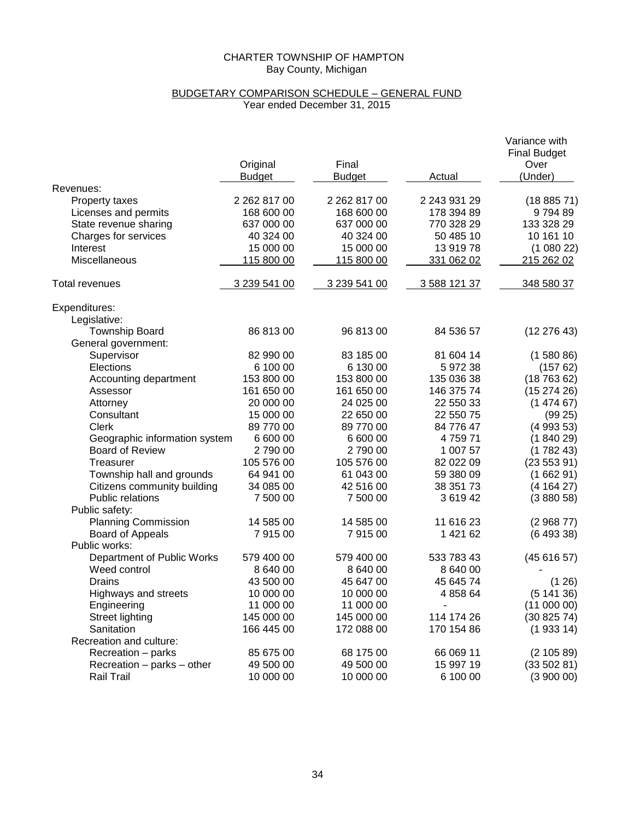#### BUDGETARY COMPARISON SCHEDULE – GENERAL FUND Year ended December 31, 2015

|                               | Original<br><b>Budget</b> | Final<br><b>Budget</b> | Actual         | Variance with<br><b>Final Budget</b><br>Over<br>(Under) |
|-------------------------------|---------------------------|------------------------|----------------|---------------------------------------------------------|
| Revenues:                     |                           |                        |                |                                                         |
| Property taxes                | 2 262 817 00              | 2 262 817 00           | 2 243 931 29   | (1888571)                                               |
| Licenses and permits          | 168 600 00                | 168 600 00             | 178 394 89     | 979489                                                  |
| State revenue sharing         | 637 000 00                | 637 000 00             | 770 328 29     | 133 328 29                                              |
| Charges for services          | 40 324 00                 | 40 324 00              | 50 485 10      | 10 161 10                                               |
| Interest                      | 15 000 00                 | 15 000 00              | 13 919 78      | (108022)                                                |
| Miscellaneous                 | 115 800 00                | 115 800 00             | 331 062 02     | 215 262 02                                              |
| <b>Total revenues</b>         | 3 239 541 00              | 3 239 541 00           | 3 588 121 37   | 348 580 37                                              |
| Expenditures:                 |                           |                        |                |                                                         |
| Legislative:                  |                           |                        |                |                                                         |
| <b>Township Board</b>         | 86 813 00                 | 96 813 00              | 84 536 57      | (12 276 43)                                             |
| General government:           |                           |                        |                |                                                         |
| Supervisor                    | 82 990 00                 | 83 185 00              | 81 604 14      | (158086)                                                |
| Elections                     | 6 100 00                  | 6 130 00               | 5 972 38       | (15762)                                                 |
| Accounting department         | 153 800 00                | 153 800 00             | 135 036 38     | (1876362)                                               |
| Assessor                      | 161 650 00                | 161 650 00             | 146 375 74     | (1527426)                                               |
| Attorney                      | 20 000 00                 | 24 025 00              | 22 550 33      | (147467)                                                |
| Consultant                    | 15 000 00                 | 22 650 00              | 22 550 75      | (99 25)                                                 |
| Clerk                         | 89 770 00                 | 89 770 00              | 84 776 47      | (499353)                                                |
| Geographic information system | 6 600 00                  | 6 600 00               | 475971         | (184029)                                                |
| <b>Board of Review</b>        | 279000                    | 279000                 | 1 007 57       | (178243)                                                |
| Treasurer                     | 105 576 00                | 105 576 00             | 82 022 09      | (2355391)                                               |
| Township hall and grounds     | 64 941 00                 | 61 043 00              | 59 380 09      | (166291)                                                |
| Citizens community building   | 34 085 00                 | 42 516 00              | 38 351 73      | (416427)                                                |
| <b>Public relations</b>       | 7 500 00                  | 7 500 00               | 361942         | (388058)                                                |
| Public safety:                |                           |                        |                |                                                         |
| <b>Planning Commission</b>    | 14 585 00                 | 14 585 00              | 11 616 23      | (296877)                                                |
| <b>Board of Appeals</b>       | 7 915 00                  | 7 915 00               | 1 421 62       | (649338)                                                |
| Public works:                 |                           |                        |                |                                                         |
| Department of Public Works    | 579 400 00                | 579 400 00             | 533 783 43     | (4561657)                                               |
| Weed control                  | 8 640 00                  | 8 640 00               | 8 640 00       |                                                         |
| Drains                        | 43 500 00                 | 45 647 00              | 45 645 74      | (1 26)                                                  |
| Highways and streets          | 10 000 00                 | 10 000 00              | 4 858 64       | (514136)                                                |
| Engineering                   | 11 000 00                 | 11 000 00              | $\blacksquare$ | (1100000)                                               |
| <b>Street lighting</b>        | 145 000 00                | 145 000 00             | 114 174 26     | (3082574)                                               |
| Sanitation                    | 166 445 00                | 172 088 00             | 170 154 86     | (193314)                                                |
| Recreation and culture:       |                           |                        |                |                                                         |
| Recreation - parks            | 85 675 00                 | 68 175 00              | 66 069 11      | (2 105 89)                                              |
| Recreation - parks - other    | 49 500 00                 | 49 500 00              | 15 997 19      | (3350281)                                               |
| Rail Trail                    | 10 000 00                 | 10 000 00              | 6 100 00       | (390000)                                                |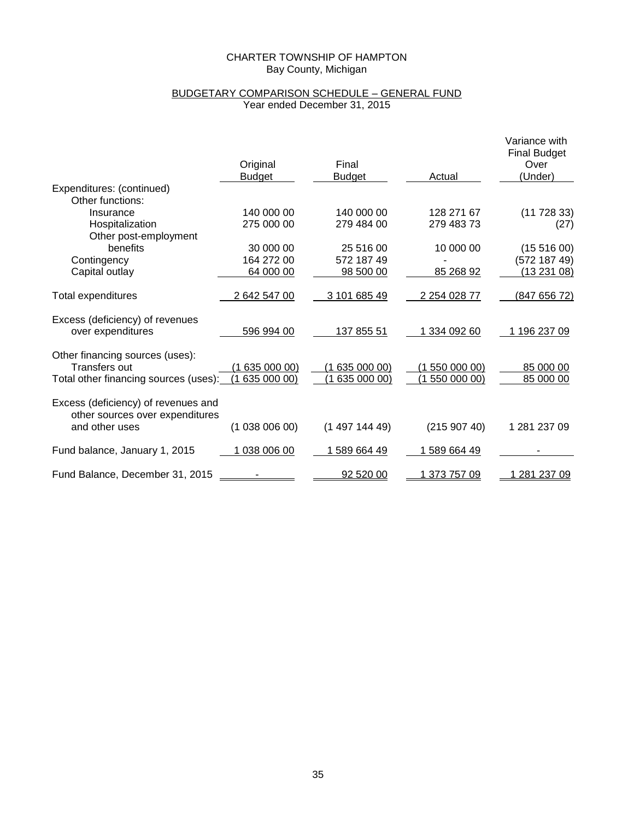#### BUDGETARY COMPARISON SCHEDULE – GENERAL FUND Year ended December 31, 2015

|                                                                        | Original<br><b>Budget</b> | Final<br><b>Budget</b> | Actual         | Variance with<br><b>Final Budget</b><br>Over<br>(Under) |
|------------------------------------------------------------------------|---------------------------|------------------------|----------------|---------------------------------------------------------|
| Expenditures: (continued)                                              |                           |                        |                |                                                         |
| Other functions:                                                       |                           |                        |                |                                                         |
| Insurance                                                              | 140 000 00                | 140 000 00             | 128 271 67     | (11 728 33)                                             |
| Hospitalization                                                        | 275 000 00                | 279 484 00             | 279 483 73     | (27)                                                    |
| Other post-employment                                                  |                           |                        |                |                                                         |
| benefits                                                               | 30 000 00                 | 25 516 00              | 10 000 00      | (1551600)                                               |
| Contingency                                                            | 164 272 00                | 572 187 49             |                | (572 187 49)                                            |
| Capital outlay                                                         | 64 000 00                 | 98 500 00              | 85 268 92      | (1323108)                                               |
| Total expenditures                                                     | 2 642 547 00              | 3 101 685 49           | 2 254 028 77   | (847 656 72)                                            |
| Excess (deficiency) of revenues                                        |                           |                        |                |                                                         |
| over expenditures                                                      | 596 994 00                | 137 855 51             | 1 334 092 60   | 1 196 237 09                                            |
| Other financing sources (uses):                                        |                           |                        |                |                                                         |
| <b>Transfers out</b>                                                   | (163500000)               | (1 635 000 00)         | (1 550 000 00) | 85 000 00                                               |
| Total other financing sources (uses):                                  | (163500000)               | 635 000 00)<br>(1      | 550 000 00)    | 85 000 00                                               |
| Excess (deficiency) of revenues and<br>other sources over expenditures |                           |                        |                |                                                         |
| and other uses                                                         | (103800600)               | (149714449)            | (21590740)     | 1 281 237 09                                            |
| Fund balance, January 1, 2015                                          | 1 038 006 00              | 1 589 664 49           | 158966449      |                                                         |
| Fund Balance, December 31, 2015                                        |                           | 92 520 00              | 1 373 757 09   | 281 237 09                                              |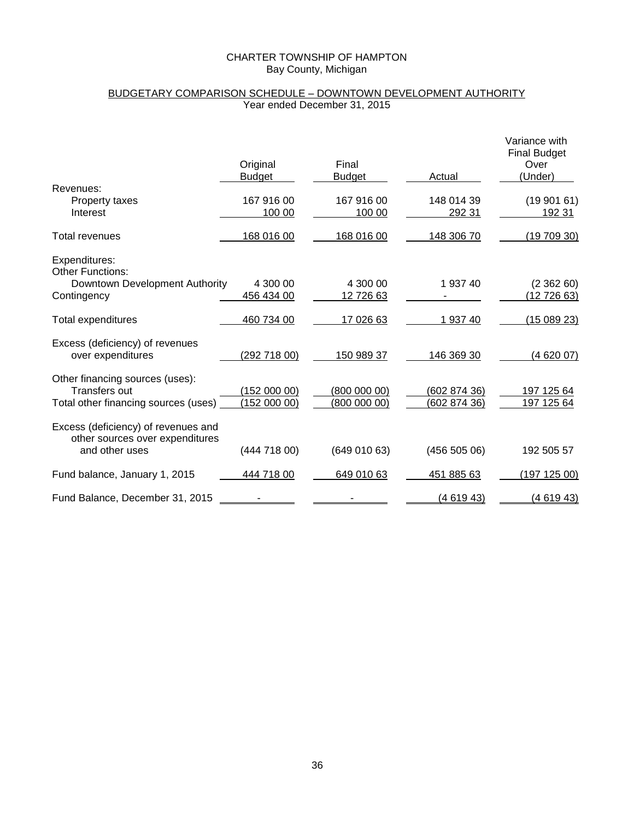#### BUDGETARY COMPARISON SCHEDULE – DOWNTOWN DEVELOPMENT AUTHORITY Year ended December 31, 2015

|                                                                        | Original<br><b>Budget</b> | Final<br><b>Budget</b> | Actual       | Variance with<br><b>Final Budget</b><br>Over<br>(Under) |
|------------------------------------------------------------------------|---------------------------|------------------------|--------------|---------------------------------------------------------|
| Revenues:                                                              |                           |                        |              |                                                         |
| <b>Property taxes</b>                                                  | 167 916 00                | 167 916 00             | 148 014 39   | (1990161)                                               |
| Interest                                                               | 100 00                    | 100 00                 | 292 31       | 192 31                                                  |
| Total revenues                                                         | 168 016 00                | 168 016 00             | 148 306 70   | (1970930)                                               |
| Expenditures:<br><b>Other Functions:</b>                               |                           |                        |              |                                                         |
| Downtown Development Authority                                         | 4 300 00                  | 4 300 00               | 1 937 40     | (236260)                                                |
| Contingency                                                            | 456 434 00                | 12 726 63              |              | (1272663)                                               |
| Total expenditures                                                     | 460 734 00                | 17 026 63              | 1 937 40     | (1508923)                                               |
| Excess (deficiency) of revenues<br>over expenditures                   | (292 718 00)              | 150 989 37             | 146 369 30   | (462007)                                                |
| Other financing sources (uses):<br>Transfers out                       | (152 000 00)              | (800 000 00)           | (602 874 36) | 197 125 64                                              |
| Total other financing sources (uses)                                   | (152 000 00)              | (800 000 00)           | (602 874 36) | 197 125 64                                              |
| Excess (deficiency) of revenues and<br>other sources over expenditures |                           |                        |              |                                                         |
| and other uses                                                         | (44471800)                | (64901063)             | (456 505 06) | 192 505 57                                              |
| Fund balance, January 1, 2015                                          | 444 718 00                | 649 010 63             | 451 885 63   | (197 125 00)                                            |
| Fund Balance, December 31, 2015                                        |                           |                        | (461943)     | (461943)                                                |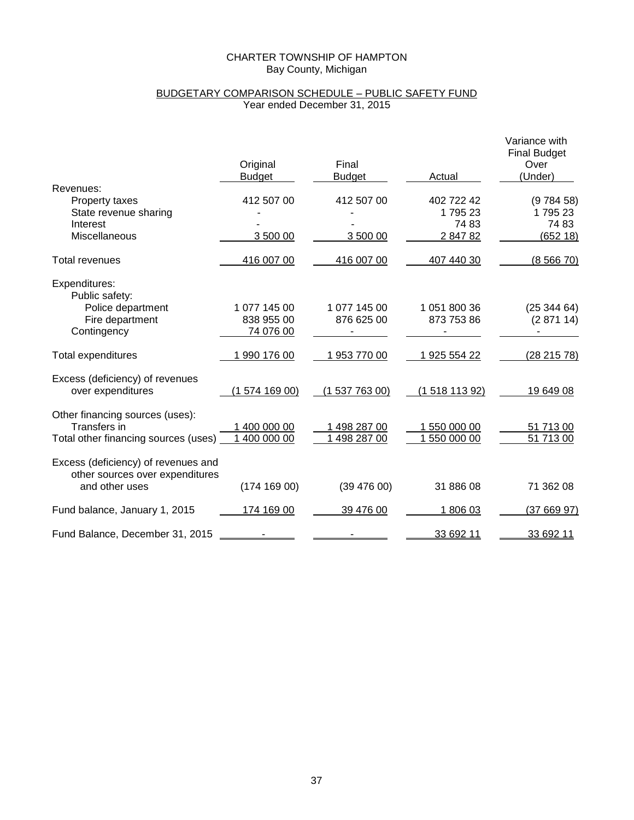#### BUDGETARY COMPARISON SCHEDULE – PUBLIC SAFETY FUND Year ended December 31, 2015

|                                                                        | Original<br><b>Budget</b> | Final<br><b>Budget</b> | Actual       | Variance with<br><b>Final Budget</b><br>Over<br>(Under) |
|------------------------------------------------------------------------|---------------------------|------------------------|--------------|---------------------------------------------------------|
| Revenues:                                                              |                           |                        |              |                                                         |
| Property taxes                                                         | 412 507 00                | 412 507 00             | 402 722 42   | (978458)                                                |
| State revenue sharing                                                  |                           |                        | 179523       | 179523                                                  |
| Interest                                                               |                           |                        | 7483         | 7483                                                    |
| Miscellaneous                                                          | 3 500 00                  | 3 500 00               | 2 847 82     | (652 18)                                                |
| Total revenues                                                         | 416 007 00                | 416 007 00             | 407 440 30   | (856670)                                                |
| Expenditures:                                                          |                           |                        |              |                                                         |
| Public safety:                                                         |                           |                        |              |                                                         |
| Police department                                                      | 1 077 145 00              | 1 077 145 00           | 1 051 800 36 | (2534464)                                               |
| Fire department                                                        | 838 955 00                | 876 625 00             | 873 753 86   | (287114)                                                |
| Contingency                                                            | 74 076 00                 |                        |              |                                                         |
| <b>Total expenditures</b>                                              | 1 990 176 00              | 1 953 770 00           | 1 925 554 22 | (28 215 78)                                             |
| Excess (deficiency) of revenues                                        |                           |                        |              |                                                         |
| over expenditures                                                      | (1 574 169 00)            | (153776300)            | (151811392)  | 19 649 08                                               |
| Other financing sources (uses):                                        |                           |                        |              |                                                         |
| Transfers in                                                           | 1 400 000 00              | 1 498 287 00           | 1 550 000 00 | 51 713 00                                               |
| Total other financing sources (uses)                                   | 1 400 000 00              | 1 498 287 00           | 1 550 000 00 | 51 713 00                                               |
| Excess (deficiency) of revenues and<br>other sources over expenditures |                           |                        |              |                                                         |
| and other uses                                                         | (174 169 00)              | (39 476 00)            | 31 886 08    | 71 362 08                                               |
| Fund balance, January 1, 2015                                          | 174 169 00                | 39 476 00              | 180603       | (3766997)                                               |
| Fund Balance, December 31, 2015                                        |                           |                        | 33 692 11    | 33 692 11                                               |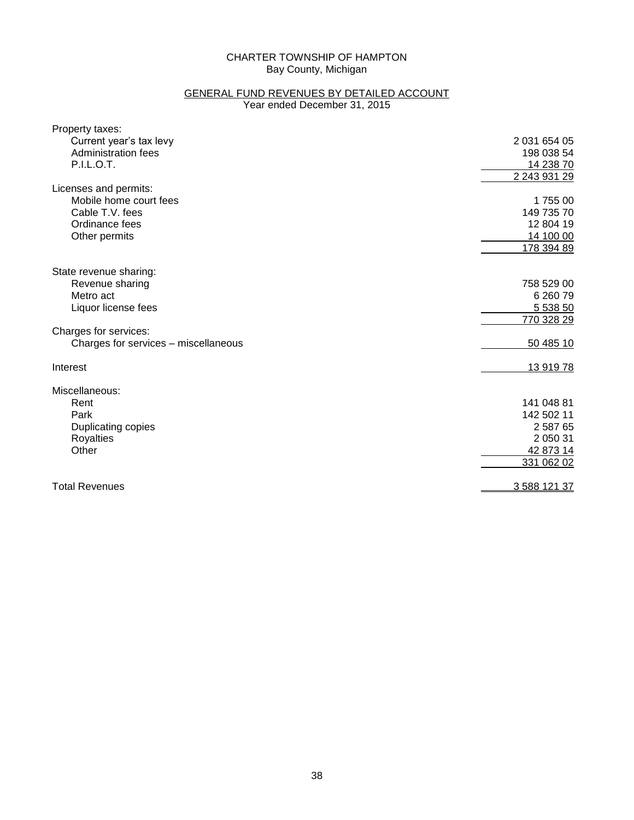#### GENERAL FUND REVENUES BY DETAILED ACCOUNT Year ended December 31, 2015

| Property taxes:                      |                        |
|--------------------------------------|------------------------|
| Current year's tax levy              | 2 031 654 05           |
| <b>Administration fees</b>           | 198 038 54             |
| P.I.L.O.T.                           | 14 238 70              |
|                                      | 2 243 931 29           |
| Licenses and permits:                |                        |
| Mobile home court fees               | 175500                 |
| Cable T.V. fees                      | 149 735 70             |
| Ordinance fees                       | 12 804 19              |
| Other permits                        | 14 100 00              |
|                                      | 178 394 89             |
|                                      |                        |
| State revenue sharing:               | 758 529 00             |
| Revenue sharing<br>Metro act         | 6 260 79               |
|                                      |                        |
| Liquor license fees                  | 5 538 50<br>770 328 29 |
|                                      |                        |
| Charges for services:                | 50 485 10              |
| Charges for services - miscellaneous |                        |
| Interest                             | 13 919 78              |
| Miscellaneous:                       |                        |
| Rent                                 | 141 048 81             |
| Park                                 | 142 502 11             |
| Duplicating copies                   | 2 587 65               |
| <b>Royalties</b>                     | 2 050 31               |
| Other                                | 42 873 14              |
|                                      | 331 062 02             |
| <b>Total Revenues</b>                | 3 588 121 37           |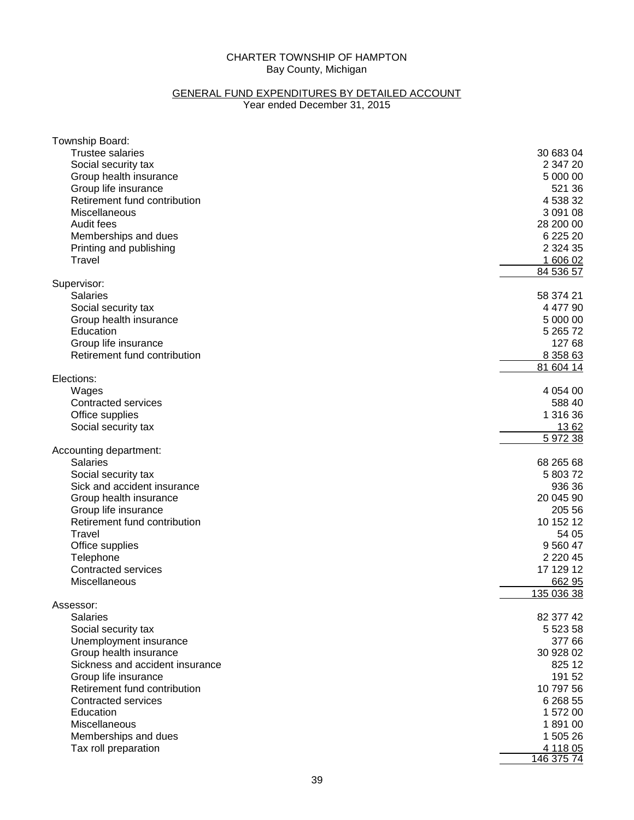#### GENERAL FUND EXPENDITURES BY DETAILED ACCOUNT Year ended December 31, 2015

| Township Board:                 |             |
|---------------------------------|-------------|
| <b>Trustee salaries</b>         | 30 683 04   |
| Social security tax             | 2 347 20    |
| Group health insurance          | 5 000 00    |
| Group life insurance            | 521 36      |
| Retirement fund contribution    | 4 538 32    |
| Miscellaneous                   | 3 091 08    |
| Audit fees                      | 28 200 00   |
| Memberships and dues            | 6 225 20    |
| Printing and publishing         | 2 3 2 4 3 5 |
| Travel                          | 1 606 02    |
|                                 | 84 536 57   |
| Supervisor:                     |             |
| <b>Salaries</b>                 | 58 374 21   |
| Social security tax             | 4 477 90    |
| Group health insurance          | 5 000 00    |
| Education                       | 5 265 72    |
| Group life insurance            | 127 68      |
| Retirement fund contribution    | 8 358 63    |
|                                 | 81 604 14   |
| Elections:                      |             |
| Wages                           | 4 0 54 0 0  |
| Contracted services             | 588 40      |
| Office supplies                 | 1 316 36    |
| Social security tax             | 1362        |
| Accounting department:          | 5 972 38    |
| <b>Salaries</b>                 | 68 265 68   |
| Social security tax             | 5 803 72    |
| Sick and accident insurance     | 936 36      |
| Group health insurance          | 20 045 90   |
| Group life insurance            | 205 56      |
| Retirement fund contribution    | 10 152 12   |
| Travel                          | 54 05       |
| Office supplies                 | 9 5 6 0 4 7 |
| Telephone                       | 2 2 2 0 4 5 |
| <b>Contracted services</b>      | 17 129 12   |
| Miscellaneous                   | 662 95      |
|                                 | 135 036 38  |
| Assessor:                       |             |
| <b>Salaries</b>                 | 82 377 42   |
| Social security tax             | 5 5 2 3 5 8 |
| Unemployment insurance          | 377 66      |
| Group health insurance          | 30 928 02   |
| Sickness and accident insurance | 825 12      |
| Group life insurance            | 191 52      |
| Retirement fund contribution    | 10 797 56   |
| <b>Contracted services</b>      | 6 268 55    |
| Education                       | 1 572 00    |
| Miscellaneous                   | 189100      |
| Memberships and dues            | 1 505 26    |
| Tax roll preparation            | 4 118 05    |
|                                 | 146 375 74  |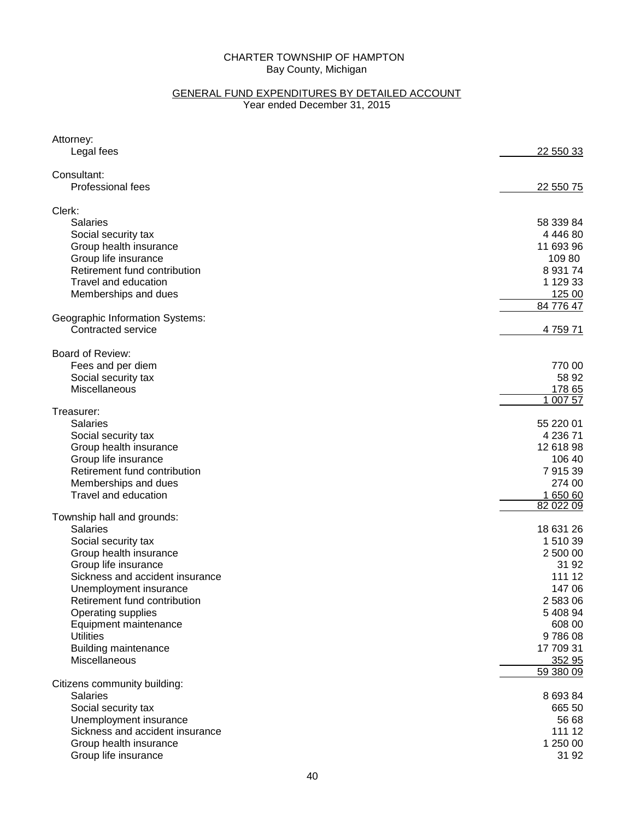#### GENERAL FUND EXPENDITURES BY DETAILED ACCOUNT Year ended December 31, 2015

| Attorney:                                                 |                     |
|-----------------------------------------------------------|---------------------|
| Legal fees                                                | 22 550 33           |
| Consultant:                                               |                     |
| <b>Professional fees</b>                                  | 22 550 75           |
| Clerk:                                                    |                     |
| <b>Salaries</b>                                           | 58 339 84           |
| Social security tax                                       | 4 4 4 6 8 0         |
| Group health insurance                                    | 11 693 96           |
| Group life insurance                                      | 10980               |
| Retirement fund contribution                              | 8 9 31 74           |
| <b>Travel and education</b>                               | 1 129 33            |
| Memberships and dues                                      | 125 00<br>84 776 47 |
| Geographic Information Systems:                           |                     |
| Contracted service                                        | 475971              |
| Board of Review:                                          |                     |
| Fees and per diem                                         | 770 00              |
| Social security tax                                       | 58 92               |
| Miscellaneous                                             | 178 65              |
|                                                           | 100757              |
| Treasurer:                                                | 55 220 01           |
| <b>Salaries</b>                                           | 4 236 71            |
| Social security tax<br>Group health insurance             | 12 618 98           |
| Group life insurance                                      | 106 40              |
| Retirement fund contribution                              | 791539              |
| Memberships and dues                                      | 274 00              |
| Travel and education                                      | 1 650 60            |
|                                                           | 82 022 09           |
| Township hall and grounds:                                |                     |
| <b>Salaries</b>                                           | 18 631 26           |
| Social security tax                                       | 1 510 39            |
| Group health insurance                                    | 2 500 00            |
| Group life insurance                                      | 3192                |
| Sickness and accident insurance                           | 111 12<br>147 06    |
| Unemployment insurance<br>Retirement fund contribution    | 2 583 06            |
| Operating supplies                                        | 5 408 94            |
| Equipment maintenance                                     | 608 00              |
| <b>Utilities</b>                                          | 978608              |
| <b>Building maintenance</b>                               | 17 709 31           |
| Miscellaneous                                             | 352 95              |
|                                                           | 59 380 09           |
| Citizens community building:                              |                     |
| <b>Salaries</b>                                           | 8 6 9 3 8 4         |
| Social security tax                                       | 665 50              |
| Unemployment insurance                                    | 56 68               |
| Sickness and accident insurance<br>Group health insurance | 111 12<br>1 250 00  |
| Group life insurance                                      | 31 92               |
|                                                           |                     |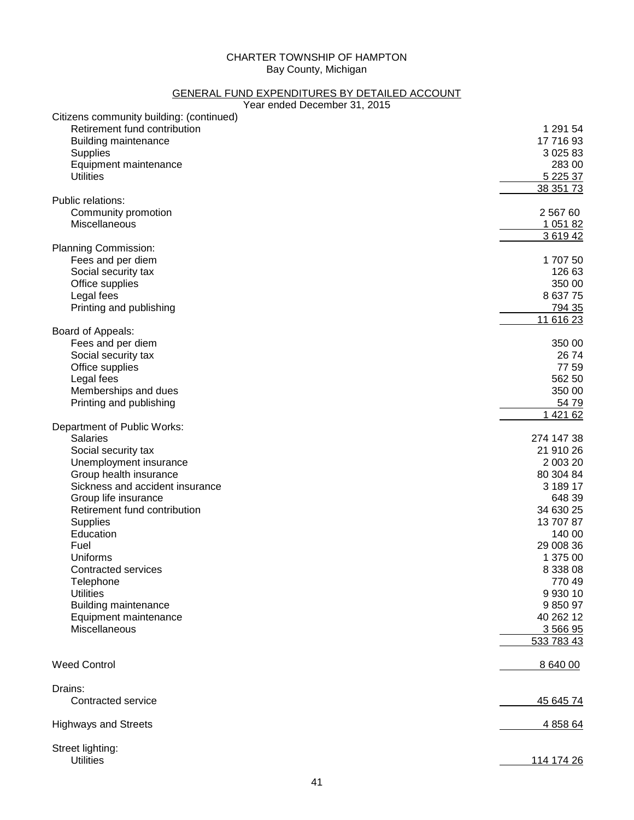#### GENERAL FUND EXPENDITURES BY DETAILED ACCOUNT

#### Year ended December 31, 2015

| Citizens community building: (continued) |                     |
|------------------------------------------|---------------------|
| Retirement fund contribution             | 1 291 54            |
| <b>Building maintenance</b>              | 17 716 93           |
| <b>Supplies</b>                          | 3 0 2 5 8 3         |
| Equipment maintenance                    | 283 00              |
| <b>Utilities</b>                         | 5 2 2 5 3 7         |
|                                          | 38 351 73           |
| Public relations:                        |                     |
| Community promotion                      | 2 5 6 7 6 0         |
| Miscellaneous                            | 1 051 82            |
|                                          | 3 619 42            |
| Planning Commission:                     |                     |
| Fees and per diem                        | 170750              |
| Social security tax                      | 126 63              |
| Office supplies                          | 350 00              |
| Legal fees                               | 8 637 75            |
| Printing and publishing                  | 794 35<br>11 616 23 |
| Board of Appeals:                        |                     |
| Fees and per diem                        | 350 00              |
| Social security tax                      | 2674                |
| Office supplies                          | 77 59               |
| Legal fees                               | 562 50              |
| Memberships and dues                     | 350 00              |
| Printing and publishing                  | 5479                |
|                                          | 1 421 62            |
| Department of Public Works:              |                     |
| <b>Salaries</b>                          | 274 147 38          |
| Social security tax                      | 21 910 26           |
| Unemployment insurance                   | 2 003 20            |
| Group health insurance                   | 80 304 84           |
| Sickness and accident insurance          | 3 189 17            |
| Group life insurance                     | 648 39              |
| Retirement fund contribution             | 34 630 25           |
| <b>Supplies</b>                          | 13 707 87           |
| Education                                | 140 00              |
| Fuel                                     | 29 008 36           |
| Uniforms                                 | 1 375 00            |
| Contracted services                      | 8 3 3 8 0 8         |
| Telephone                                | 770 49              |
| <b>Utilities</b>                         | 9 9 3 0 1 0         |
| <b>Building maintenance</b>              | 985097              |
| Equipment maintenance                    | 40 262 12           |
| Miscellaneous                            | 3 566 95            |
|                                          | 533 783 43          |
| <b>Weed Control</b>                      | 8 640 00            |
| Drains:                                  |                     |
| Contracted service                       | 45 645 74           |
|                                          |                     |
| <b>Highways and Streets</b>              | 4 858 64            |
| Street lighting:                         |                     |
| <b>Utilities</b>                         | 114 174 26          |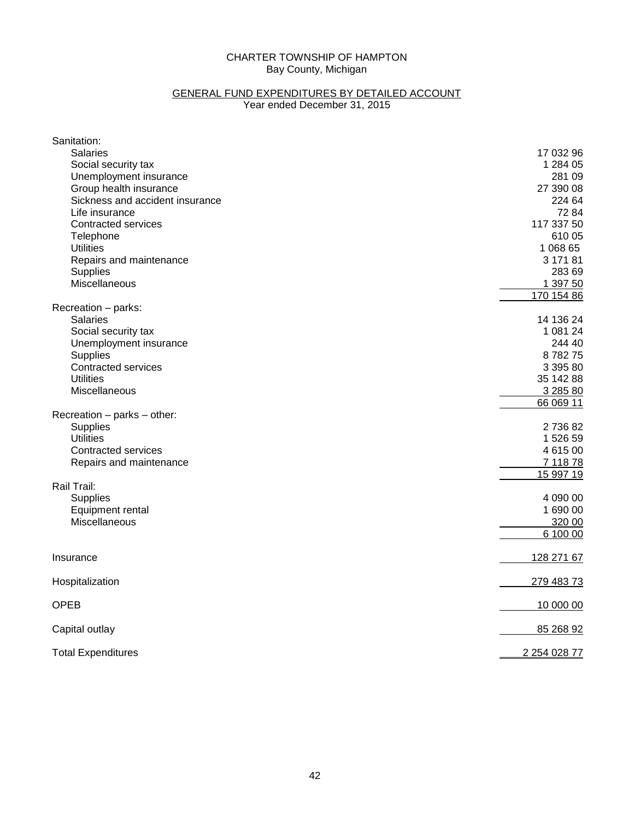# GENERAL FUND EXPENDITURES BY DETAILED ACCOUNT

Year ended December 31, 2015

| Sanitation:                     |                   |
|---------------------------------|-------------------|
| Salaries                        | 17 032 96         |
| Social security tax             | 1 284 05          |
| Unemployment insurance          | 281 09            |
| Group health insurance          | 27 390 08         |
| Sickness and accident insurance | 224 64            |
| Life insurance                  | 7284              |
| Contracted services             | 117 337 50        |
| Telephone                       | 610 05            |
| <b>Utilities</b>                | 1 068 65          |
| Repairs and maintenance         | 3 171 81          |
| <b>Supplies</b>                 | 283 69            |
| Miscellaneous                   | 1 397 50          |
|                                 | 170 154 86        |
| Recreation - parks:             |                   |
| Salaries                        | 14 136 24         |
| Social security tax             | 1 081 24          |
| Unemployment insurance          | 244 40            |
| Supplies                        | 878275            |
| Contracted services             | 3 3 9 5 8 0       |
| <b>Utilities</b>                | 35 142 88         |
| Miscellaneous                   | 3 285 80          |
|                                 | 66 069 11         |
| Recreation - parks - other:     |                   |
| Supplies                        | 273682            |
| <b>Utilities</b>                | 1 526 59          |
| <b>Contracted services</b>      | 4 615 00          |
| Repairs and maintenance         | 7 118 78          |
|                                 | 15 997 19         |
| Rail Trail:                     |                   |
| <b>Supplies</b>                 | 4 090 00          |
| Equipment rental                | 1 690 00          |
| <b>Miscellaneous</b>            | 320 00            |
|                                 | 6 100 00          |
|                                 |                   |
| Insurance                       | 128 271 67        |
| Hospitalization                 | 279 483 73        |
| <b>OPEB</b>                     | 10 000 00         |
| Capital outlay                  | 85 268 92         |
|                                 |                   |
| <b>Total Expenditures</b>       | 2 2 5 4 0 2 8 7 7 |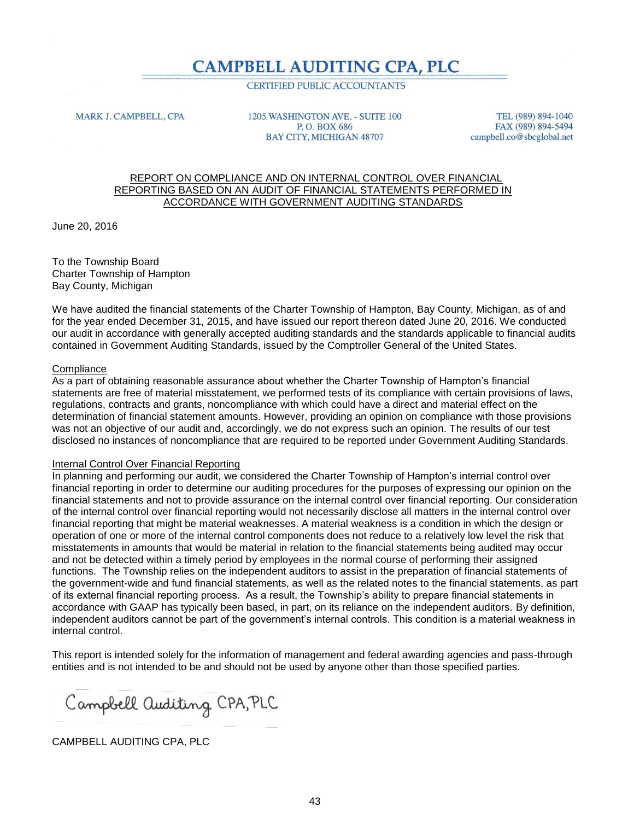# **CAMPBELL AUDITING CPA, PLC**

CERTIFIED PUBLIC ACCOUNTANTS

MARK J. CAMPBELL, CPA

1205 WASHINGTON AVE. - SUITE 100 P.O. BOX 686 BAY CITY, MICHIGAN 48707

TEL (989) 894-1040 FAX (989) 894-5494 campbell.co@sbcglobal.net

#### REPORT ON COMPLIANCE AND ON INTERNAL CONTROL OVER FINANCIAL REPORTING BASED ON AN AUDIT OF FINANCIAL STATEMENTS PERFORMED IN ACCORDANCE WITH GOVERNMENT AUDITING STANDARDS

June 20, 2016

To the Township Board Charter Township of Hampton Bay County, Michigan

We have audited the financial statements of the Charter Township of Hampton, Bay County, Michigan, as of and for the year ended December 31, 2015, and have issued our report thereon dated June 20, 2016. We conducted our audit in accordance with generally accepted auditing standards and the standards applicable to financial audits contained in Government Auditing Standards, issued by the Comptroller General of the United States.

#### **Compliance**

As a part of obtaining reasonable assurance about whether the Charter Township of Hampton's financial statements are free of material misstatement, we performed tests of its compliance with certain provisions of laws, regulations, contracts and grants, noncompliance with which could have a direct and material effect on the determination of financial statement amounts. However, providing an opinion on compliance with those provisions was not an objective of our audit and, accordingly, we do not express such an opinion. The results of our test disclosed no instances of noncompliance that are required to be reported under Government Auditing Standards.

#### Internal Control Over Financial Reporting

In planning and performing our audit, we considered the Charter Township of Hampton's internal control over financial reporting in order to determine our auditing procedures for the purposes of expressing our opinion on the financial statements and not to provide assurance on the internal control over financial reporting. Our consideration of the internal control over financial reporting would not necessarily disclose all matters in the internal control over financial reporting that might be material weaknesses. A material weakness is a condition in which the design or operation of one or more of the internal control components does not reduce to a relatively low level the risk that misstatements in amounts that would be material in relation to the financial statements being audited may occur and not be detected within a timely period by employees in the normal course of performing their assigned functions. The Township relies on the independent auditors to assist in the preparation of financial statements of the government-wide and fund financial statements, as well as the related notes to the financial statements, as part of its external financial reporting process. As a result, the Township's ability to prepare financial statements in accordance with GAAP has typically been based, in part, on its reliance on the independent auditors. By definition, independent auditors cannot be part of the government's internal controls. This condition is a material weakness in internal control.

This report is intended solely for the information of management and federal awarding agencies and pass-through entities and is not intended to be and should not be used by anyone other than those specified parties.

Campbell auditing CPA, PLC

CAMPBELL AUDITING CPA, PLC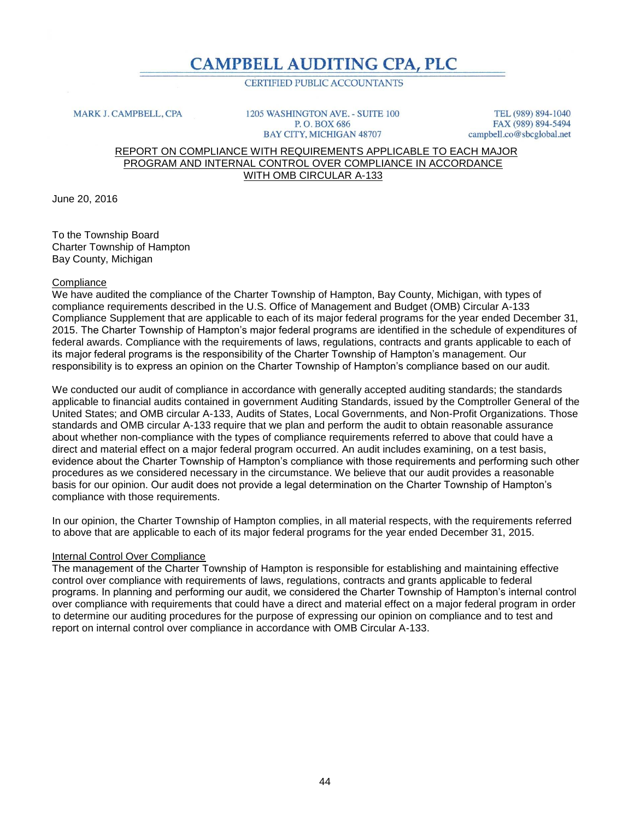# **CAMPBELL AUDITING CPA, PLC**

CERTIFIED PUBLIC ACCOUNTANTS

MARK J. CAMPBELL, CPA

1205 WASHINGTON AVE. - SUITE 100 P.O. BOX 686 **BAY CITY, MICHIGAN 48707** 

TEL (989) 894-1040 FAX (989) 894-5494 campbell.co@sbcglobal.net

# REPORT ON COMPLIANCE WITH REQUIREMENTS APPLICABLE TO EACH MAJOR PROGRAM AND INTERNAL CONTROL OVER COMPLIANCE IN ACCORDANCE WITH OMB CIRCULAR A-133

June 20, 2016

To the Township Board Charter Township of Hampton Bay County, Michigan

#### **Compliance**

We have audited the compliance of the Charter Township of Hampton, Bay County, Michigan, with types of compliance requirements described in the U.S. Office of Management and Budget (OMB) Circular A-133 Compliance Supplement that are applicable to each of its major federal programs for the year ended December 31, 2015. The Charter Township of Hampton's major federal programs are identified in the schedule of expenditures of federal awards. Compliance with the requirements of laws, regulations, contracts and grants applicable to each of its major federal programs is the responsibility of the Charter Township of Hampton's management. Our responsibility is to express an opinion on the Charter Township of Hampton's compliance based on our audit.

We conducted our audit of compliance in accordance with generally accepted auditing standards; the standards applicable to financial audits contained in government Auditing Standards, issued by the Comptroller General of the United States; and OMB circular A-133, Audits of States, Local Governments, and Non-Profit Organizations. Those standards and OMB circular A-133 require that we plan and perform the audit to obtain reasonable assurance about whether non-compliance with the types of compliance requirements referred to above that could have a direct and material effect on a major federal program occurred. An audit includes examining, on a test basis, evidence about the Charter Township of Hampton's compliance with those requirements and performing such other procedures as we considered necessary in the circumstance. We believe that our audit provides a reasonable basis for our opinion. Our audit does not provide a legal determination on the Charter Township of Hampton's compliance with those requirements.

In our opinion, the Charter Township of Hampton complies, in all material respects, with the requirements referred to above that are applicable to each of its major federal programs for the year ended December 31, 2015.

#### Internal Control Over Compliance

The management of the Charter Township of Hampton is responsible for establishing and maintaining effective control over compliance with requirements of laws, regulations, contracts and grants applicable to federal programs. In planning and performing our audit, we considered the Charter Township of Hampton's internal control over compliance with requirements that could have a direct and material effect on a major federal program in order to determine our auditing procedures for the purpose of expressing our opinion on compliance and to test and report on internal control over compliance in accordance with OMB Circular A-133.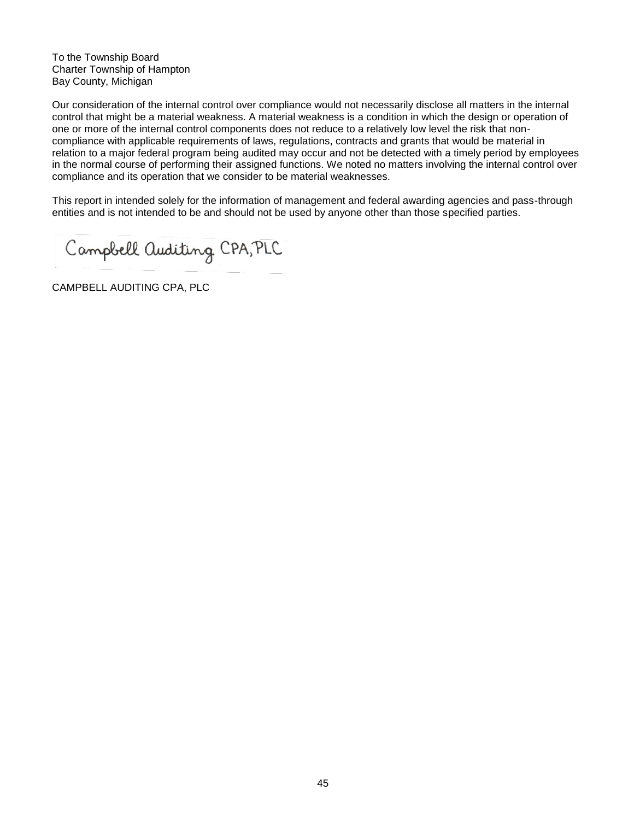To the Township Board Charter Township of Hampton Bay County, Michigan

Our consideration of the internal control over compliance would not necessarily disclose all matters in the internal control that might be a material weakness. A material weakness is a condition in which the design or operation of one or more of the internal control components does not reduce to a relatively low level the risk that noncompliance with applicable requirements of laws, regulations, contracts and grants that would be material in relation to a major federal program being audited may occur and not be detected with a timely period by employees in the normal course of performing their assigned functions. We noted no matters involving the internal control over compliance and its operation that we consider to be material weaknesses.

This report in intended solely for the information of management and federal awarding agencies and pass-through entities and is not intended to be and should not be used by anyone other than those specified parties.

Campbell auditing CPA, PLC

CAMPBELL AUDITING CPA, PLC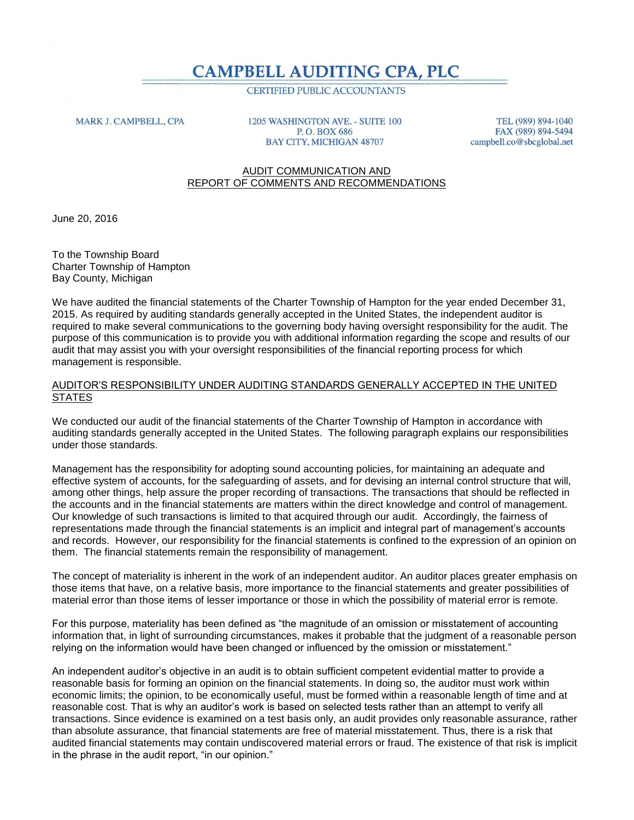# **CAMPBELL AUDITING CPA, PLC**

CERTIFIED PUBLIC ACCOUNTANTS

MARK J. CAMPBELL, CPA

1205 WASHINGTON AVE. - SUITE 100 P.O. BOX 686 **BAY CITY, MICHIGAN 48707** 

TEL (989) 894-1040 FAX (989) 894-5494 campbell.co@sbcglobal.net

# AUDIT COMMUNICATION AND REPORT OF COMMENTS AND RECOMMENDATIONS

June 20, 2016

To the Township Board Charter Township of Hampton Bay County, Michigan

We have audited the financial statements of the Charter Township of Hampton for the year ended December 31, 2015. As required by auditing standards generally accepted in the United States, the independent auditor is required to make several communications to the governing body having oversight responsibility for the audit. The purpose of this communication is to provide you with additional information regarding the scope and results of our audit that may assist you with your oversight responsibilities of the financial reporting process for which management is responsible.

#### AUDITOR'S RESPONSIBILITY UNDER AUDITING STANDARDS GENERALLY ACCEPTED IN THE UNITED **STATES**

We conducted our audit of the financial statements of the Charter Township of Hampton in accordance with auditing standards generally accepted in the United States. The following paragraph explains our responsibilities under those standards.

Management has the responsibility for adopting sound accounting policies, for maintaining an adequate and effective system of accounts, for the safeguarding of assets, and for devising an internal control structure that will, among other things, help assure the proper recording of transactions. The transactions that should be reflected in the accounts and in the financial statements are matters within the direct knowledge and control of management. Our knowledge of such transactions is limited to that acquired through our audit. Accordingly, the fairness of representations made through the financial statements is an implicit and integral part of management's accounts and records. However, our responsibility for the financial statements is confined to the expression of an opinion on them. The financial statements remain the responsibility of management.

The concept of materiality is inherent in the work of an independent auditor. An auditor places greater emphasis on those items that have, on a relative basis, more importance to the financial statements and greater possibilities of material error than those items of lesser importance or those in which the possibility of material error is remote.

For this purpose, materiality has been defined as "the magnitude of an omission or misstatement of accounting information that, in light of surrounding circumstances, makes it probable that the judgment of a reasonable person relying on the information would have been changed or influenced by the omission or misstatement."

An independent auditor's objective in an audit is to obtain sufficient competent evidential matter to provide a reasonable basis for forming an opinion on the financial statements. In doing so, the auditor must work within economic limits; the opinion, to be economically useful, must be formed within a reasonable length of time and at reasonable cost. That is why an auditor's work is based on selected tests rather than an attempt to verify all transactions. Since evidence is examined on a test basis only, an audit provides only reasonable assurance, rather than absolute assurance, that financial statements are free of material misstatement. Thus, there is a risk that audited financial statements may contain undiscovered material errors or fraud. The existence of that risk is implicit in the phrase in the audit report, "in our opinion."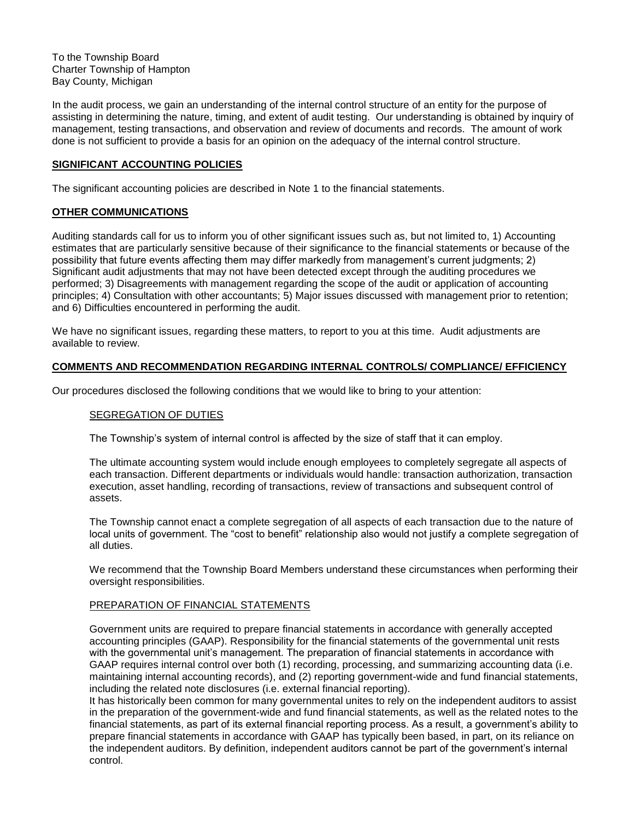To the Township Board Charter Township of Hampton Bay County, Michigan

In the audit process, we gain an understanding of the internal control structure of an entity for the purpose of assisting in determining the nature, timing, and extent of audit testing. Our understanding is obtained by inquiry of management, testing transactions, and observation and review of documents and records. The amount of work done is not sufficient to provide a basis for an opinion on the adequacy of the internal control structure.

# **SIGNIFICANT ACCOUNTING POLICIES**

The significant accounting policies are described in Note 1 to the financial statements.

### **OTHER COMMUNICATIONS**

Auditing standards call for us to inform you of other significant issues such as, but not limited to, 1) Accounting estimates that are particularly sensitive because of their significance to the financial statements or because of the possibility that future events affecting them may differ markedly from management's current judgments; 2) Significant audit adjustments that may not have been detected except through the auditing procedures we performed; 3) Disagreements with management regarding the scope of the audit or application of accounting principles; 4) Consultation with other accountants; 5) Major issues discussed with management prior to retention; and 6) Difficulties encountered in performing the audit.

We have no significant issues, regarding these matters, to report to you at this time. Audit adjustments are available to review.

### **COMMENTS AND RECOMMENDATION REGARDING INTERNAL CONTROLS/ COMPLIANCE/ EFFICIENCY**

Our procedures disclosed the following conditions that we would like to bring to your attention:

#### SEGREGATION OF DUTIES

The Township's system of internal control is affected by the size of staff that it can employ.

The ultimate accounting system would include enough employees to completely segregate all aspects of each transaction. Different departments or individuals would handle: transaction authorization, transaction execution, asset handling, recording of transactions, review of transactions and subsequent control of assets.

The Township cannot enact a complete segregation of all aspects of each transaction due to the nature of local units of government. The "cost to benefit" relationship also would not justify a complete segregation of all duties.

We recommend that the Township Board Members understand these circumstances when performing their oversight responsibilities.

#### PREPARATION OF FINANCIAL STATEMENTS

Government units are required to prepare financial statements in accordance with generally accepted accounting principles (GAAP). Responsibility for the financial statements of the governmental unit rests with the governmental unit's management. The preparation of financial statements in accordance with GAAP requires internal control over both (1) recording, processing, and summarizing accounting data (i.e. maintaining internal accounting records), and (2) reporting government-wide and fund financial statements, including the related note disclosures (i.e. external financial reporting).

It has historically been common for many governmental unites to rely on the independent auditors to assist in the preparation of the government-wide and fund financial statements, as well as the related notes to the financial statements, as part of its external financial reporting process. As a result, a government's ability to prepare financial statements in accordance with GAAP has typically been based, in part, on its reliance on the independent auditors. By definition, independent auditors cannot be part of the government's internal control.